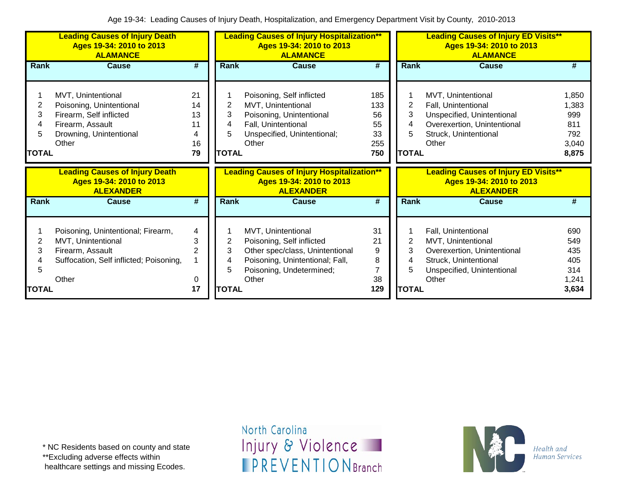|                                  | <b>Leading Causes of Injury Death</b><br>Ages 19-34: 2010 to 2013<br><b>ALAMANCE</b>                                              |                                       | <b>Leading Causes of Injury Hospitalization**</b><br>Ages 19-34: 2010 to 2013<br><b>ALAMANCE</b> |                                                                                                                                                            |                                            | <b>Leading Causes of Injury ED Visits**</b><br>Ages 19-34: 2010 to 2013<br><b>ALAMANCE</b> |                                                                                                                                          |                                                       |  |
|----------------------------------|-----------------------------------------------------------------------------------------------------------------------------------|---------------------------------------|--------------------------------------------------------------------------------------------------|------------------------------------------------------------------------------------------------------------------------------------------------------------|--------------------------------------------|--------------------------------------------------------------------------------------------|------------------------------------------------------------------------------------------------------------------------------------------|-------------------------------------------------------|--|
| Rank                             | <b>Cause</b>                                                                                                                      | #                                     | Rank                                                                                             | <b>Cause</b>                                                                                                                                               | #                                          | Rank                                                                                       | <b>Cause</b>                                                                                                                             | #                                                     |  |
| 2<br>3<br>4<br>5<br><b>TOTAL</b> | MVT, Unintentional<br>Poisoning, Unintentional<br>Firearm, Self inflicted<br>Firearm, Assault<br>Drowning, Unintentional<br>Other | 21<br>14<br>13<br>11<br>4<br>16<br>79 | 2<br>3<br>4<br>5<br><b>TOTAL</b>                                                                 | Poisoning, Self inflicted<br>MVT, Unintentional<br>Poisoning, Unintentional<br>Fall, Unintentional<br>Unspecified, Unintentional;<br>Other                 | 185<br>133<br>56<br>55<br>33<br>255<br>750 | 2<br>3<br>4<br>5<br><b>TOTAL</b>                                                           | MVT, Unintentional<br>Fall, Unintentional<br>Unspecified, Unintentional<br>Overexertion, Unintentional<br>Struck, Unintentional<br>Other | 1,850<br>1,383<br>999<br>811<br>792<br>3,040<br>8,875 |  |
|                                  |                                                                                                                                   |                                       |                                                                                                  |                                                                                                                                                            |                                            |                                                                                            |                                                                                                                                          |                                                       |  |
|                                  | <b>Leading Causes of Injury Death</b><br>Ages 19-34: 2010 to 2013<br><b>ALEXANDER</b>                                             |                                       |                                                                                                  | <b>Leading Causes of Injury Hospitalization**</b><br>Ages 19-34: 2010 to 2013<br><b>ALEXANDER</b>                                                          |                                            |                                                                                            | <b>Leading Causes of Injury ED Visits**</b><br>Ages 19-34: 2010 to 2013<br><b>ALEXANDER</b>                                              |                                                       |  |
| <b>Rank</b>                      | <b>Cause</b>                                                                                                                      | #                                     | Rank                                                                                             | <b>Cause</b>                                                                                                                                               | #                                          | Rank                                                                                       | <b>Cause</b>                                                                                                                             | #                                                     |  |
| 2<br>3<br>5<br><b>TOTAL</b>      | Poisoning, Unintentional; Firearm,<br>MVT, Unintentional<br>Firearm, Assault<br>Suffocation, Self inflicted; Poisoning,<br>Other  | 4<br>3<br>2<br>0<br>17                | 2<br>3<br>5<br><b>TOTAL</b>                                                                      | MVT, Unintentional<br>Poisoning, Self inflicted<br>Other spec/class, Unintentional<br>Poisoning, Unintentional; Fall,<br>Poisoning, Undetermined;<br>Other | 31<br>21<br>9<br>8<br>7<br>38<br>129       | 2<br>3<br><b>TOTAL</b>                                                                     | Fall, Unintentional<br>MVT, Unintentional<br>Overexertion, Unintentional<br>Struck, Unintentional<br>Unspecified, Unintentional<br>Other | 690<br>549<br>435<br>405<br>314<br>1,241<br>3,634     |  |

\*\*Excluding adverse effects within

healthcare settings and missing Ecodes.

North Carolina Injury & Violence **IPREVENTIONBranch** 

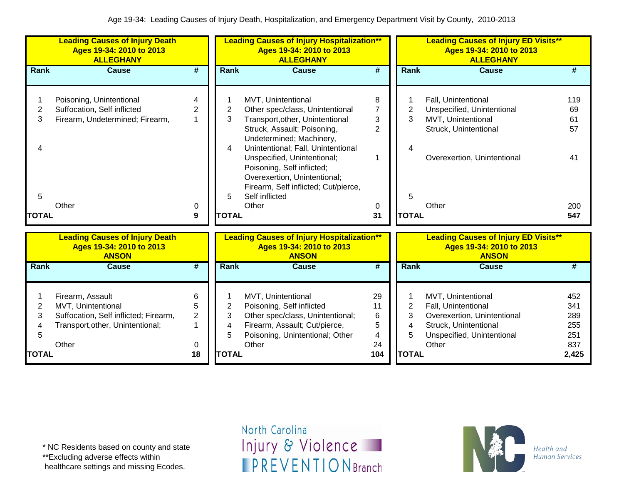|                                                           | <b>Leading Causes of Injury Death</b><br>Ages 19-34: 2010 to 2013<br><b>ALLEGHANY</b>                               |                          |                     | <b>Leading Causes of Injury Hospitalization**</b><br>Ages 19-34: 2010 to 2013<br><b>ALLEGHANY</b>                                                                                                   |                                            |                     | <b>Leading Causes of Injury ED Visits**</b><br>Ages 19-34: 2010 to 2013<br><b>ALLEGHANY</b>                                     |                                 |
|-----------------------------------------------------------|---------------------------------------------------------------------------------------------------------------------|--------------------------|---------------------|-----------------------------------------------------------------------------------------------------------------------------------------------------------------------------------------------------|--------------------------------------------|---------------------|---------------------------------------------------------------------------------------------------------------------------------|---------------------------------|
| Rank                                                      | <b>Cause</b>                                                                                                        | #                        | Rank                | <b>Cause</b>                                                                                                                                                                                        | #                                          | Rank                | <b>Cause</b>                                                                                                                    | #                               |
| 1<br>$\overline{2}$<br>3                                  | Poisoning, Unintentional<br>Suffocation, Self inflicted<br>Firearm, Undetermined; Firearm,                          | 4<br>$\overline{2}$      | $\overline{2}$<br>3 | MVT, Unintentional<br>Other spec/class, Unintentional<br>Transport, other, Unintentional<br>Struck, Assault; Poisoning,                                                                             | 8<br>$\overline{7}$<br>3<br>$\overline{2}$ | $\overline{2}$<br>3 | Fall, Unintentional<br>Unspecified, Unintentional<br>MVT, Unintentional<br>Struck, Unintentional                                | 119<br>69<br>61<br>57           |
|                                                           |                                                                                                                     |                          | 4                   | Undetermined; Machinery,<br>Unintentional; Fall, Unintentional<br>Unspecified, Unintentional;<br>Poisoning, Self inflicted;<br>Overexertion, Unintentional;<br>Firearm, Self inflicted; Cut/pierce, | 1                                          |                     | Overexertion, Unintentional                                                                                                     | 41                              |
| 5<br><b>TOTAL</b>                                         | Other                                                                                                               | 0<br>9                   | 5<br><b>TOTAL</b>   | Self inflicted<br>Other                                                                                                                                                                             | 0<br>31                                    | 5<br><b>TOTAL</b>   | Other                                                                                                                           | 200<br>547                      |
|                                                           | <b>Leading Causes of Injury Death</b><br>Ages 19-34: 2010 to 2013<br><b>ANSON</b>                                   |                          |                     | <b>Leading Causes of Injury Hospitalization**</b><br>Ages 19-34: 2010 to 2013<br><b>ANSON</b>                                                                                                       |                                            |                     | <b>Leading Causes of Injury ED Visits**</b><br>Ages 19-34: 2010 to 2013<br><b>ANSON</b>                                         |                                 |
| <b>Rank</b>                                               | <b>Cause</b>                                                                                                        | #                        | Rank                | <b>Cause</b>                                                                                                                                                                                        | #                                          | Rank                | <b>Cause</b>                                                                                                                    | #                               |
| 1<br>$\overline{2}$<br>3<br>$\overline{\mathcal{A}}$<br>5 | Firearm, Assault<br>MVT, Unintentional<br>Suffocation, Self inflicted; Firearm,<br>Transport, other, Unintentional; | 6<br>5<br>$\overline{2}$ | 2<br>3<br>4<br>5    | MVT, Unintentional<br>Poisoning, Self inflicted<br>Other spec/class, Unintentional;<br>Firearm, Assault; Cut/pierce,<br>Poisoning, Unintentional; Other                                             | 29<br>11<br>6<br>5<br>4                    | 2<br>3<br>4<br>5    | MVT, Unintentional<br>Fall, Unintentional<br>Overexertion, Unintentional<br>Struck, Unintentional<br>Unspecified, Unintentional | 452<br>341<br>289<br>255<br>251 |
| <b>TOTAL</b>                                              | Other                                                                                                               | 0<br>18                  | <b>TOTAL</b>        | Other                                                                                                                                                                                               | 24<br>104                                  | <b>TOTAL</b>        | Other                                                                                                                           | 837<br>2,425                    |

\* NC Residents based on county and state

\*\*Excluding adverse effects within

healthcare settings and missing Ecodes.

North Carolina Injury & Violence **IPREVENTIONBranch** 

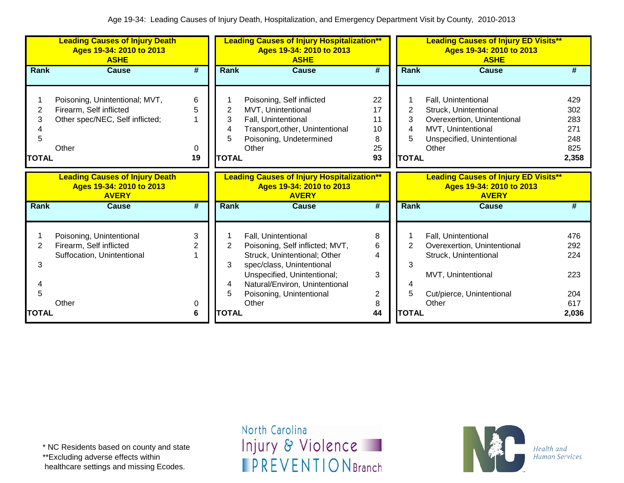|                             | <b>Leading Causes of Injury Death</b><br>Ages 19-34: 2010 to 2013<br><b>ASHE</b>                      |                   | <b>Leading Causes of Injury Hospitalization**</b><br>Ages 19-34: 2010 to 2013<br><b>ASHE</b> |                                                                                                                                                                                                                           |                                                  |                             | <b>Leading Causes of Injury ED Visits**</b><br>Ages 19-34: 2010 to 2013<br><b>ASHE</b>                                                   |                                                 |  |  |
|-----------------------------|-------------------------------------------------------------------------------------------------------|-------------------|----------------------------------------------------------------------------------------------|---------------------------------------------------------------------------------------------------------------------------------------------------------------------------------------------------------------------------|--------------------------------------------------|-----------------------------|------------------------------------------------------------------------------------------------------------------------------------------|-------------------------------------------------|--|--|
| <b>Rank</b>                 | <b>Cause</b>                                                                                          | #                 | Rank                                                                                         | <b>Cause</b>                                                                                                                                                                                                              | #                                                | Rank                        | Cause                                                                                                                                    | #                                               |  |  |
| 2<br>3<br>5<br><b>TOTAL</b> | Poisoning, Unintentional; MVT,<br>Firearm, Self inflicted<br>Other spec/NEC, Self inflicted;<br>Other | 6<br>5<br>0<br>19 | 2<br>3<br>4<br>5<br><b>TOTAL</b>                                                             | Poisoning, Self inflicted<br>MVT, Unintentional<br>Fall, Unintentional<br>Transport, other, Unintentional<br>Poisoning, Undetermined<br>Other                                                                             | 22<br>17<br>11<br>10<br>8<br>25<br>93            | 2<br>3<br>4<br><b>TOTAL</b> | Fall, Unintentional<br>Struck, Unintentional<br>Overexertion, Unintentional<br>MVT, Unintentional<br>Unspecified, Unintentional<br>Other | 429<br>302<br>283<br>271<br>248<br>825<br>2,358 |  |  |
|                             | <b>Leading Causes of Injury Death</b><br>Ages 19-34: 2010 to 2013<br><b>AVERY</b>                     |                   |                                                                                              | <b>Leading Causes of Injury Hospitalization**</b><br>Ages 19-34: 2010 to 2013<br><b>AVERY</b>                                                                                                                             |                                                  |                             | <b>Leading Causes of Injury ED Visits**</b><br>Ages 19-34: 2010 to 2013<br><b>AVERY</b>                                                  |                                                 |  |  |
| Rank                        | <b>Cause</b>                                                                                          | #                 | Rank                                                                                         | <b>Cause</b>                                                                                                                                                                                                              | #                                                | <b>Rank</b>                 | <b>Cause</b>                                                                                                                             | #                                               |  |  |
| 2<br>3<br>5                 | Poisoning, Unintentional<br>Firearm, Self inflicted<br>Suffocation, Unintentional<br>Other            | 3<br>0            | 2<br>3<br>4<br>5                                                                             | Fall, Unintentional<br>Poisoning, Self inflicted; MVT,<br>Struck, Unintentional; Other<br>spec/class, Unintentional<br>Unspecified, Unintentional;<br>Natural/Environ, Unintentional<br>Poisoning, Unintentional<br>Other | 8<br>6<br>4<br>3<br>$\overline{\mathbf{c}}$<br>8 | $\overline{2}$<br>3<br>5    | Fall, Unintentional<br>Overexertion, Unintentional<br>Struck, Unintentional<br>MVT, Unintentional<br>Cut/pierce, Unintentional<br>Other  | 476<br>292<br>224<br>223<br>204<br>617          |  |  |
| <b>TOTAL</b>                |                                                                                                       | 6                 | <b>TOTAL</b>                                                                                 |                                                                                                                                                                                                                           | 44                                               | <b>TOTAL</b>                |                                                                                                                                          | 2,036                                           |  |  |

\*\*Excluding adverse effects within

healthcare settings and missing Ecodes.

North Carolina Injury & Violence **IPREVENTIONBranch** 

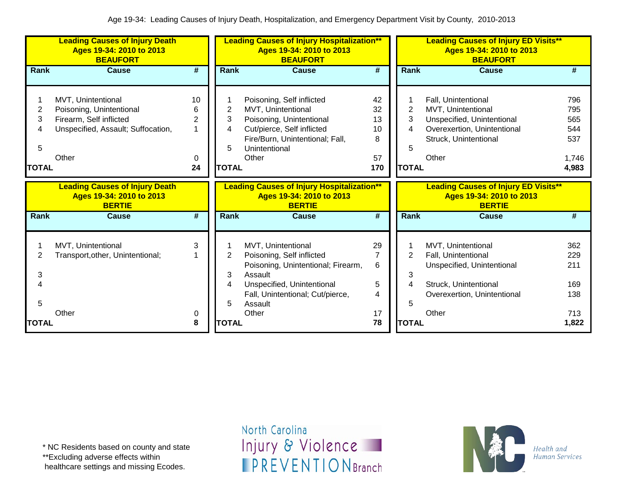|              | <b>Leading Causes of Injury Death</b><br>Ages 19-34: 2010 to 2013<br><b>BEAUFORT</b> |        | <b>Leading Causes of Injury Hospitalization**</b><br>Ages 19-34: 2010 to 2013<br><b>BEAUFORT</b> |                                                                                                |          |              | <b>Leading Causes of Injury ED Visits**</b><br>Ages 19-34: 2010 to 2013<br><b>BEAUFORT</b> |              |  |  |
|--------------|--------------------------------------------------------------------------------------|--------|--------------------------------------------------------------------------------------------------|------------------------------------------------------------------------------------------------|----------|--------------|--------------------------------------------------------------------------------------------|--------------|--|--|
| <b>Rank</b>  | <b>Cause</b>                                                                         | #      | <b>Rank</b>                                                                                      | <b>Cause</b>                                                                                   | #        | <b>Rank</b>  | <b>Cause</b>                                                                               | #            |  |  |
|              |                                                                                      |        |                                                                                                  |                                                                                                |          |              |                                                                                            |              |  |  |
|              | MVT, Unintentional                                                                   | 10     |                                                                                                  | Poisoning, Self inflicted                                                                      | 42       |              | Fall, Unintentional                                                                        | 796          |  |  |
| 2            | Poisoning, Unintentional                                                             | 6      | 2                                                                                                | MVT, Unintentional                                                                             | 32       | 2            | MVT, Unintentional                                                                         | 795          |  |  |
| 3            | Firearm, Self inflicted                                                              | 2      | 3                                                                                                | Poisoning, Unintentional                                                                       | 13       | 3            | Unspecified, Unintentional                                                                 | 565          |  |  |
| 4            | Unspecified, Assault; Suffocation,                                                   | 1      | 4                                                                                                | Cut/pierce, Self inflicted                                                                     | 10       | 4            | Overexertion, Unintentional                                                                | 544          |  |  |
|              |                                                                                      |        |                                                                                                  | Fire/Burn, Unintentional; Fall,                                                                | 8        |              | Struck, Unintentional                                                                      | 537          |  |  |
| 5            |                                                                                      |        | 5                                                                                                | Unintentional                                                                                  |          | 5            |                                                                                            |              |  |  |
|              | Other                                                                                | 0      |                                                                                                  | Other                                                                                          | 57       |              | Other                                                                                      | 1,746        |  |  |
| <b>TOTAL</b> |                                                                                      | 24     | <b>TOTAL</b>                                                                                     |                                                                                                | 170      | <b>TOTAL</b> |                                                                                            | 4,983        |  |  |
|              | <b>Leading Causes of Injury Death</b><br>Ages 19-34: 2010 to 2013<br><b>BERTIE</b>   |        |                                                                                                  | <b>Leading Causes of Injury Hospitalization**</b><br>Ages 19-34: 2010 to 2013<br><b>BERTIE</b> |          |              | <b>Leading Causes of Injury ED Visits**</b><br>Ages 19-34: 2010 to 2013<br><b>BERTIE</b>   |              |  |  |
| Rank         | <b>Cause</b>                                                                         | #      | Rank                                                                                             | <b>Cause</b>                                                                                   | #        | Rank         | <b>Cause</b>                                                                               | #            |  |  |
|              |                                                                                      |        |                                                                                                  |                                                                                                |          |              |                                                                                            |              |  |  |
|              | MVT, Unintentional                                                                   | 3      |                                                                                                  | MVT, Unintentional                                                                             | 29       |              | MVT, Unintentional                                                                         | 362          |  |  |
|              | Transport, other, Unintentional;                                                     |        | 2                                                                                                | Poisoning, Self inflicted                                                                      | 7        | 2            | Fall, Unintentional                                                                        | 229          |  |  |
|              |                                                                                      |        |                                                                                                  | Poisoning, Unintentional; Firearm,                                                             | 6        |              | Unspecified, Unintentional                                                                 | 211          |  |  |
| 3            |                                                                                      |        | 3                                                                                                | Assault                                                                                        |          |              |                                                                                            |              |  |  |
|              |                                                                                      |        |                                                                                                  |                                                                                                |          | 3            |                                                                                            |              |  |  |
|              |                                                                                      |        | 4                                                                                                | Unspecified, Unintentional                                                                     | 5        | 4            | Struck, Unintentional                                                                      | 169          |  |  |
|              |                                                                                      |        |                                                                                                  | Fall, Unintentional; Cut/pierce,                                                               | 4        |              | Overexertion, Unintentional                                                                | 138          |  |  |
| 5            |                                                                                      |        | 5                                                                                                | Assault                                                                                        |          | 5            |                                                                                            |              |  |  |
| TOTAL        | Other                                                                                | 0<br>8 | <b>TOTAL</b>                                                                                     | Other                                                                                          | 17<br>78 | <b>TOTAL</b> | Other                                                                                      | 713<br>1,822 |  |  |

\*\*Excluding adverse effects within

healthcare settings and missing Ecodes.

North Carolina Injury & Violence **IPREVENTIONBranch** 

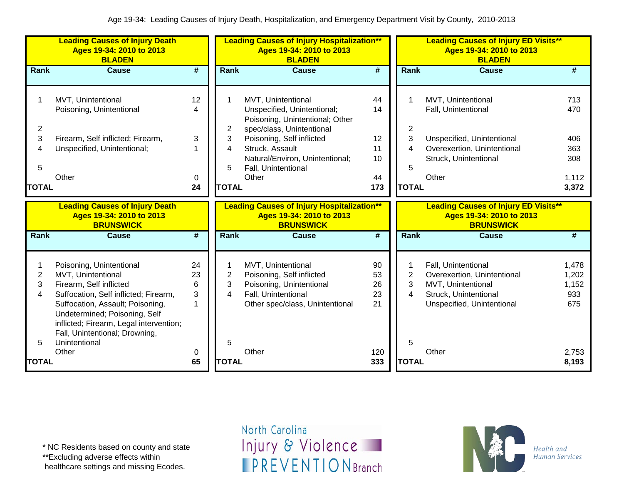|                                       | <b>Leading Causes of Injury Death</b><br>Ages 19-34: 2010 to 2013<br><b>BLADEN</b>                                                                                                                                                                                                             |                                           | <b>Leading Causes of Injury Hospitalization**</b><br>Ages 19-34: 2010 to 2013<br><b>BLADEN</b> |                                                                                                                                                                                                                                      |                                         |                                  | <b>Leading Causes of Injury ED Visits**</b><br>Ages 19-34: 2010 to 2013<br><b>BLADEN</b>                                                 |                                                   |  |  |
|---------------------------------------|------------------------------------------------------------------------------------------------------------------------------------------------------------------------------------------------------------------------------------------------------------------------------------------------|-------------------------------------------|------------------------------------------------------------------------------------------------|--------------------------------------------------------------------------------------------------------------------------------------------------------------------------------------------------------------------------------------|-----------------------------------------|----------------------------------|------------------------------------------------------------------------------------------------------------------------------------------|---------------------------------------------------|--|--|
| Rank                                  | <b>Cause</b>                                                                                                                                                                                                                                                                                   | #                                         | <b>Rank</b>                                                                                    | <b>Cause</b>                                                                                                                                                                                                                         | #                                       | <b>Rank</b>                      | <b>Cause</b>                                                                                                                             | #                                                 |  |  |
| 1<br>2<br>3<br>4<br>5<br><b>TOTAL</b> | MVT, Unintentional<br>Poisoning, Unintentional<br>Firearm, Self inflicted; Firearm,<br>Unspecified, Unintentional;<br>Other                                                                                                                                                                    | 12<br>4<br>3<br>0<br>24                   | 2<br>3<br>4<br>5<br><b>TOTAL</b>                                                               | MVT, Unintentional<br>Unspecified, Unintentional;<br>Poisoning, Unintentional; Other<br>spec/class, Unintentional<br>Poisoning, Self inflicted<br>Struck, Assault<br>Natural/Environ, Unintentional;<br>Fall, Unintentional<br>Other | 44<br>14<br>12<br>11<br>10<br>44<br>173 | 2<br>3<br>4<br>5<br><b>TOTAL</b> | MVT, Unintentional<br>Fall, Unintentional<br>Unspecified, Unintentional<br>Overexertion, Unintentional<br>Struck, Unintentional<br>Other | 713<br>470<br>406<br>363<br>308<br>1,112<br>3,372 |  |  |
|                                       | <b>Leading Causes of Injury Death</b><br>Ages 19-34: 2010 to 2013<br><b>BRUNSWICK</b>                                                                                                                                                                                                          |                                           |                                                                                                | <b>Leading Causes of Injury Hospitalization**</b><br>Ages 19-34: 2010 to 2013<br><b>BRUNSWICK</b>                                                                                                                                    |                                         |                                  | <b>Leading Causes of Injury ED Visits**</b><br>Ages 19-34: 2010 to 2013<br><b>BRUNSWICK</b>                                              |                                                   |  |  |
| Rank                                  | <b>Cause</b>                                                                                                                                                                                                                                                                                   | #                                         | Rank                                                                                           | <b>Cause</b>                                                                                                                                                                                                                         | #                                       | Rank                             | <b>Cause</b>                                                                                                                             | $\overline{\boldsymbol{t}}$                       |  |  |
| 1<br>$\overline{c}$<br>3<br>4<br>5    | Poisoning, Unintentional<br>MVT, Unintentional<br>Firearm, Self inflicted<br>Suffocation, Self inflicted; Firearm,<br>Suffocation, Assault; Poisoning,<br>Undetermined; Poisoning, Self<br>inflicted; Firearm, Legal intervention;<br>Fall, Unintentional; Drowning,<br>Unintentional<br>Other | 24<br>23<br>6<br>3<br>$\overline{ }$<br>0 | 2<br>3<br>4<br>5                                                                               | MVT, Unintentional<br>Poisoning, Self inflicted<br>Poisoning, Unintentional<br>Fall, Unintentional<br>Other spec/class, Unintentional<br>Other                                                                                       | 90<br>53<br>26<br>23<br>21<br>120       | $\overline{c}$<br>3<br>4<br>5    | Fall, Unintentional<br>Overexertion, Unintentional<br>MVT, Unintentional<br>Struck, Unintentional<br>Unspecified, Unintentional<br>Other | 1,478<br>1,202<br>1,152<br>933<br>675<br>2,753    |  |  |
| <b>TOTAL</b>                          |                                                                                                                                                                                                                                                                                                | 65                                        | <b>TOTAL</b>                                                                                   |                                                                                                                                                                                                                                      | 333                                     | <b>TOTAL</b>                     |                                                                                                                                          | 8,193                                             |  |  |

\* NC Residents based on county and state

\*\*Excluding adverse effects within

healthcare settings and missing Ecodes.

North Carolina Injury & Violence **IPREVENTIONBranch** 

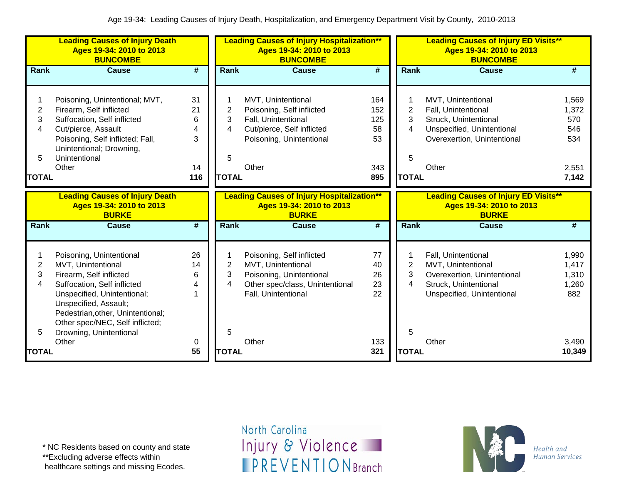|                | <b>Leading Causes of Injury Death</b><br>Ages 19-34: 2010 to 2013<br><b>BUNCOMBE</b> |                             | <b>Leading Causes of Injury Hospitalization**</b><br>Ages 19-34: 2010 to 2013<br><b>BUNCOMBE</b> |                                                   |                             |                | <b>Leading Causes of Injury ED Visits**</b><br>Ages 19-34: 2010 to 2013<br><b>BUNCOMBE</b> |                 |  |  |
|----------------|--------------------------------------------------------------------------------------|-----------------------------|--------------------------------------------------------------------------------------------------|---------------------------------------------------|-----------------------------|----------------|--------------------------------------------------------------------------------------------|-----------------|--|--|
| Rank           | <b>Cause</b>                                                                         | $\overline{\boldsymbol{t}}$ | Rank                                                                                             | <b>Cause</b>                                      | $\overline{\boldsymbol{t}}$ | <b>Rank</b>    | <b>Cause</b>                                                                               | #               |  |  |
|                |                                                                                      |                             |                                                                                                  |                                                   |                             |                |                                                                                            |                 |  |  |
|                | Poisoning, Unintentional; MVT,                                                       | 31                          |                                                                                                  | MVT, Unintentional                                | 164                         |                | MVT, Unintentional                                                                         | 1,569           |  |  |
| $\overline{2}$ | Firearm, Self inflicted                                                              | 21                          | $\overline{2}$                                                                                   | Poisoning, Self inflicted                         | 152                         | $\overline{2}$ | Fall, Unintentional                                                                        | 1,372           |  |  |
| 3              | Suffocation, Self inflicted                                                          | 6                           | 3                                                                                                | Fall, Unintentional                               | 125                         | 3              | Struck, Unintentional                                                                      | 570             |  |  |
| 4              | Cut/pierce, Assault                                                                  | 4                           | 4                                                                                                | Cut/pierce, Self inflicted                        | 58                          | 4              | Unspecified, Unintentional                                                                 | 546             |  |  |
|                | Poisoning, Self inflicted; Fall,                                                     | 3                           |                                                                                                  | Poisoning, Unintentional                          | 53                          |                | Overexertion, Unintentional                                                                | 534             |  |  |
|                | Unintentional; Drowning,                                                             |                             |                                                                                                  |                                                   |                             |                |                                                                                            |                 |  |  |
| 5              | Unintentional                                                                        |                             | 5                                                                                                |                                                   |                             | 5              |                                                                                            |                 |  |  |
|                | Other                                                                                | 14                          |                                                                                                  | Other                                             | 343                         |                | Other                                                                                      | 2,551           |  |  |
| <b>TOTAL</b>   |                                                                                      | 116                         | <b>TOTAL</b>                                                                                     |                                                   | 895                         | <b>TOTAL</b>   |                                                                                            | 7,142           |  |  |
|                |                                                                                      |                             |                                                                                                  |                                                   |                             |                |                                                                                            |                 |  |  |
|                | <b>Leading Causes of Injury Death</b>                                                |                             |                                                                                                  | <b>Leading Causes of Injury Hospitalization**</b> |                             |                | <b>Leading Causes of Injury ED Visits**</b>                                                |                 |  |  |
|                |                                                                                      |                             |                                                                                                  |                                                   |                             |                |                                                                                            |                 |  |  |
|                | Ages 19-34: 2010 to 2013                                                             |                             |                                                                                                  | Ages 19-34: 2010 to 2013                          |                             |                | Ages 19-34: 2010 to 2013                                                                   |                 |  |  |
| Rank           | <b>BURKE</b><br><b>Cause</b>                                                         | $\overline{\boldsymbol{t}}$ | Rank                                                                                             | <b>BURKE</b><br><b>Cause</b>                      | $\overline{\boldsymbol{t}}$ | Rank           | <b>BURKE</b><br><b>Cause</b>                                                               | #               |  |  |
|                |                                                                                      |                             |                                                                                                  |                                                   |                             |                |                                                                                            |                 |  |  |
|                |                                                                                      |                             |                                                                                                  |                                                   |                             |                |                                                                                            |                 |  |  |
|                | Poisoning, Unintentional                                                             | 26                          |                                                                                                  | Poisoning, Self inflicted                         | 77                          |                | Fall, Unintentional                                                                        | 1,990           |  |  |
| $\overline{2}$ | MVT, Unintentional                                                                   | 14                          | $\overline{c}$                                                                                   | MVT, Unintentional                                | 40                          | $\overline{2}$ | MVT, Unintentional                                                                         | 1,417           |  |  |
| 3              | Firearm, Self inflicted                                                              | 6                           | 3                                                                                                | Poisoning, Unintentional                          | 26                          | 3              | Overexertion, Unintentional                                                                | 1,310           |  |  |
| 4              | Suffocation, Self inflicted                                                          | 4                           | 4                                                                                                | Other spec/class, Unintentional                   | 23                          | 4              | Struck, Unintentional                                                                      | 1,260           |  |  |
|                | Unspecified, Unintentional;                                                          |                             |                                                                                                  | Fall, Unintentional                               | 22                          |                | Unspecified, Unintentional                                                                 | 882             |  |  |
|                | Unspecified, Assault;                                                                |                             |                                                                                                  |                                                   |                             |                |                                                                                            |                 |  |  |
|                | Pedestrian, other, Unintentional;                                                    |                             |                                                                                                  |                                                   |                             |                |                                                                                            |                 |  |  |
|                | Other spec/NEC, Self inflicted;                                                      |                             |                                                                                                  |                                                   |                             |                |                                                                                            |                 |  |  |
| 5              | Drowning, Unintentional                                                              |                             | 5                                                                                                |                                                   |                             | 5              |                                                                                            |                 |  |  |
| TOTAL          | Other                                                                                | 0<br>55                     | <b>TOTAL</b>                                                                                     | Other                                             | 133<br>321                  | <b>TOTAL</b>   | Other                                                                                      | 3,490<br>10,349 |  |  |

\*\*Excluding adverse effects within

healthcare settings and missing Ecodes.

North Carolina Injury & Violence **IPREVENTIONBranch** 

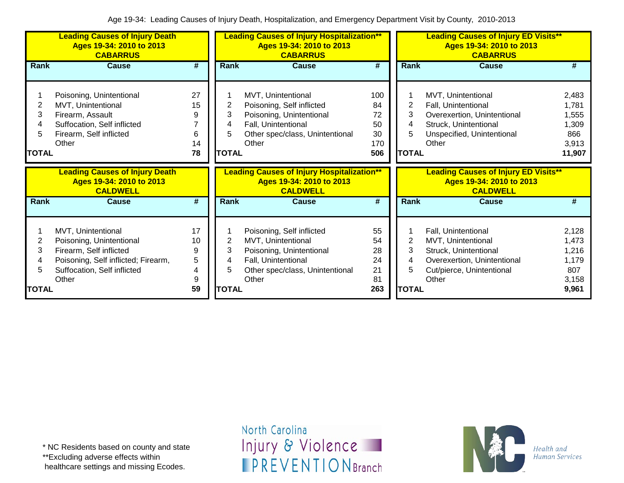|                                  | <b>Leading Causes of Injury Death</b><br>Ages 19-34: 2010 to 2013<br><b>CABARRUS</b>                                                                     |                                    | <b>Leading Causes of Injury Hospitalization**</b><br>Ages 19-34: 2010 to 2013<br><b>CABARRUS</b> |                                                                                                                                                |                                           |                                  | <b>Leading Causes of Injury ED Visits**</b><br>Ages 19-34: 2010 to 2013<br><b>CABARRUS</b>                                               |                                                            |  |  |
|----------------------------------|----------------------------------------------------------------------------------------------------------------------------------------------------------|------------------------------------|--------------------------------------------------------------------------------------------------|------------------------------------------------------------------------------------------------------------------------------------------------|-------------------------------------------|----------------------------------|------------------------------------------------------------------------------------------------------------------------------------------|------------------------------------------------------------|--|--|
| Rank                             | <b>Cause</b>                                                                                                                                             | #                                  | Rank                                                                                             | <b>Cause</b>                                                                                                                                   | #                                         | Rank                             | <b>Cause</b>                                                                                                                             | #                                                          |  |  |
| 2<br>3<br>4<br>5<br><b>TOTAL</b> | Poisoning, Unintentional<br>MVT, Unintentional<br>Firearm, Assault<br>Suffocation, Self inflicted<br>Firearm, Self inflicted<br>Other                    | 27<br>15<br>9<br>6<br>14<br>78     | 2<br>3<br>4<br>5.<br><b>TOTAL</b>                                                                | MVT, Unintentional<br>Poisoning, Self inflicted<br>Poisoning, Unintentional<br>Fall, Unintentional<br>Other spec/class, Unintentional<br>Other | 100<br>84<br>72<br>50<br>30<br>170<br>506 | 2<br>3<br>4<br>5<br><b>TOTAL</b> | MVT, Unintentional<br>Fall, Unintentional<br>Overexertion, Unintentional<br>Struck, Unintentional<br>Unspecified, Unintentional<br>Other | 2,483<br>1,781<br>1,555<br>1,309<br>866<br>3,913<br>11,907 |  |  |
|                                  | <b>Leading Causes of Injury Death</b><br>Ages 19-34: 2010 to 2013<br><b>CALDWELL</b>                                                                     |                                    |                                                                                                  | <b>Leading Causes of Injury Hospitalization**</b><br>Ages 19-34: 2010 to 2013<br><b>CALDWELL</b>                                               |                                           |                                  | <b>Leading Causes of Injury ED Visits**</b><br>Ages 19-34: 2010 to 2013<br><b>CALDWELL</b>                                               |                                                            |  |  |
| <b>Rank</b>                      | <b>Cause</b>                                                                                                                                             | #                                  | Rank                                                                                             | <b>Cause</b>                                                                                                                                   | #                                         | Rank                             | <b>Cause</b>                                                                                                                             | #                                                          |  |  |
| 2<br>3<br>4<br>5<br><b>TOTAL</b> | MVT, Unintentional<br>Poisoning, Unintentional<br>Firearm, Self inflicted<br>Poisoning, Self inflicted; Firearm,<br>Suffocation, Self inflicted<br>Other | 17<br>10<br>9<br>5<br>4<br>9<br>59 | 2<br>3<br>4<br>5<br><b>TOTAL</b>                                                                 | Poisoning, Self inflicted<br>MVT, Unintentional<br>Poisoning, Unintentional<br>Fall, Unintentional<br>Other spec/class, Unintentional<br>Other | 55<br>54<br>28<br>24<br>21<br>81<br>263   | 2<br>3<br>4<br>5<br><b>TOTAL</b> | Fall, Unintentional<br>MVT, Unintentional<br>Struck, Unintentional<br>Overexertion, Unintentional<br>Cut/pierce, Unintentional<br>Other  | 2,128<br>1,473<br>1,216<br>1,179<br>807<br>3,158<br>9,961  |  |  |

\*\*Excluding adverse effects within

healthcare settings and missing Ecodes.

North Carolina Injury & Violence **IPREVENTIONBranch** 

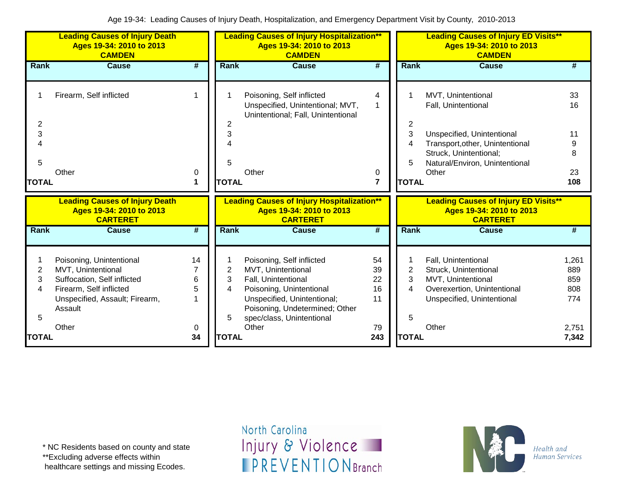|                                  | <b>Leading Causes of Injury Death</b><br>Ages 19-34: 2010 to 2013<br><b>CAMDEN</b>                                                                             |                             |                                  | <b>Leading Causes of Injury Hospitalization**</b><br>Ages 19-34: 2010 to 2013<br><b>CAMDEN</b>                                                                                                            |                                         |                                  | <b>Leading Causes of Injury ED Visits**</b><br>Ages 19-34: 2010 to 2013<br><b>CAMDEN</b>                                                                                        |                                                     |
|----------------------------------|----------------------------------------------------------------------------------------------------------------------------------------------------------------|-----------------------------|----------------------------------|-----------------------------------------------------------------------------------------------------------------------------------------------------------------------------------------------------------|-----------------------------------------|----------------------------------|---------------------------------------------------------------------------------------------------------------------------------------------------------------------------------|-----------------------------------------------------|
| Rank                             | <b>Cause</b>                                                                                                                                                   | $\overline{\boldsymbol{r}}$ | Rank                             | <b>Cause</b>                                                                                                                                                                                              | $\overline{\boldsymbol{t}}$             | Rank                             | <b>Cause</b>                                                                                                                                                                    | #                                                   |
| 2<br>3<br>5                      | Firearm, Self inflicted<br>Other                                                                                                                               | 1<br>0                      | 3<br>5                           | Poisoning, Self inflicted<br>Unspecified, Unintentional; MVT,<br>Unintentional; Fall, Unintentional<br>Other                                                                                              | 4<br>1<br>0                             | 2<br>3<br>4<br>5                 | MVT, Unintentional<br>Fall, Unintentional<br>Unspecified, Unintentional<br>Transport, other, Unintentional<br>Struck, Unintentional;<br>Natural/Environ, Unintentional<br>Other | 33<br>16<br>11<br>8<br>23                           |
| <b>TOTAL</b>                     |                                                                                                                                                                | 1                           | <b>TOTAL</b>                     |                                                                                                                                                                                                           | $\overline{7}$                          | <b>TOTAL</b>                     |                                                                                                                                                                                 | 108                                                 |
|                                  | <b>Leading Causes of Injury Death</b><br>Ages 19-34: 2010 to 2013<br><b>CARTERET</b>                                                                           |                             |                                  | <b>Leading Causes of Injury Hospitalization**</b><br>Ages 19-34: 2010 to 2013                                                                                                                             |                                         |                                  | <b>Leading Causes of Injury ED Visits**</b><br>Ages 19-34: 2010 to 2013                                                                                                         |                                                     |
| Rank                             |                                                                                                                                                                |                             |                                  | <b>CARTERET</b>                                                                                                                                                                                           |                                         |                                  | <b>CARTERET</b>                                                                                                                                                                 |                                                     |
|                                  | <b>Cause</b>                                                                                                                                                   | $\overline{\boldsymbol{t}}$ | Rank                             | <b>Cause</b>                                                                                                                                                                                              | #                                       | <b>Rank</b>                      | <b>Cause</b>                                                                                                                                                                    | #                                                   |
| 2<br>3<br>4<br>5<br><b>TOTAL</b> | Poisoning, Unintentional<br>MVT, Unintentional<br>Suffocation, Self inflicted<br>Firearm, Self inflicted<br>Unspecified, Assault; Firearm,<br>Assault<br>Other | 14<br>6<br>5<br>0<br>34     | 2<br>3<br>4<br>5<br><b>TOTAL</b> | Poisoning, Self inflicted<br>MVT, Unintentional<br>Fall, Unintentional<br>Poisoning, Unintentional<br>Unspecified, Unintentional;<br>Poisoning, Undetermined; Other<br>spec/class, Unintentional<br>Other | 54<br>39<br>22<br>16<br>11<br>79<br>243 | 2<br>3<br>4<br>5<br><b>TOTAL</b> | Fall, Unintentional<br>Struck, Unintentional<br>MVT, Unintentional<br>Overexertion, Unintentional<br>Unspecified, Unintentional<br>Other                                        | 1,261<br>889<br>859<br>808<br>774<br>2,751<br>7,342 |

\*\*Excluding adverse effects within

healthcare settings and missing Ecodes.

North Carolina Injury & Violence **IPREVENTIONBranch** 

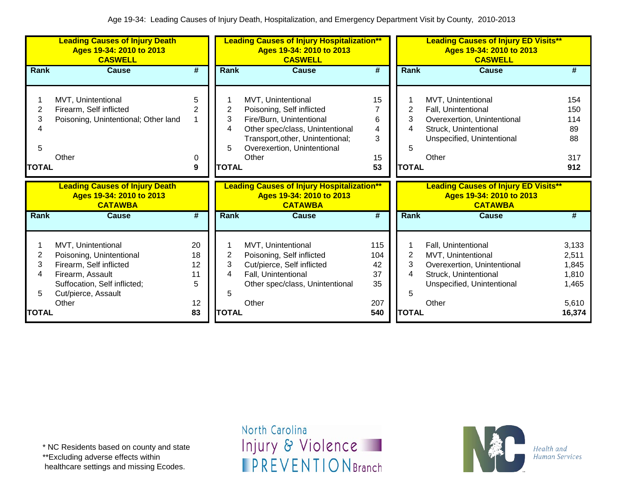|                      | <b>Leading Causes of Injury Death</b><br>Ages 19-34: 2010 to 2013<br><b>CASWELL</b>                                                                           |                                 | <b>Leading Causes of Injury Hospitalization**</b><br>Ages 19-34: 2010 to 2013<br><b>CASWELL</b> |                                                                                                                                                                                            |                                     |                                  | <b>Leading Causes of Injury ED Visits**</b><br>Ages 19-34: 2010 to 2013<br><b>CASWELL</b>                                                |                                                    |  |  |
|----------------------|---------------------------------------------------------------------------------------------------------------------------------------------------------------|---------------------------------|-------------------------------------------------------------------------------------------------|--------------------------------------------------------------------------------------------------------------------------------------------------------------------------------------------|-------------------------------------|----------------------------------|------------------------------------------------------------------------------------------------------------------------------------------|----------------------------------------------------|--|--|
| Rank                 | <b>Cause</b>                                                                                                                                                  | $\overline{\boldsymbol{r}}$     | Rank                                                                                            | <b>Cause</b>                                                                                                                                                                               | $\overline{\boldsymbol{r}}$         | Rank                             | <b>Cause</b>                                                                                                                             | #                                                  |  |  |
| 2<br>3<br>5<br>TOTAL | MVT, Unintentional<br>Firearm, Self inflicted<br>Poisoning, Unintentional; Other land<br>Other                                                                | 5<br>2<br>0<br>9                | 2<br>3<br>4<br>5<br><b>TOTAL</b>                                                                | MVT, Unintentional<br>Poisoning, Self inflicted<br>Fire/Burn, Unintentional<br>Other spec/class, Unintentional<br>Transport, other, Unintentional;<br>Overexertion, Unintentional<br>Other | 15<br>6<br>4<br>3<br>15<br>53       | 2<br>3<br>4<br>5<br><b>TOTAL</b> | MVT, Unintentional<br>Fall, Unintentional<br>Overexertion, Unintentional<br>Struck, Unintentional<br>Unspecified, Unintentional<br>Other | 154<br>150<br>114<br>89<br>88<br>317<br>912        |  |  |
|                      | <b>Leading Causes of Injury Death</b><br>Ages 19-34: 2010 to 2013<br><b>CATAWBA</b>                                                                           |                                 |                                                                                                 | <b>Leading Causes of Injury Hospitalization**</b><br>Ages 19-34: 2010 to 2013<br><b>CATAWBA</b>                                                                                            |                                     |                                  | <b>Leading Causes of Injury ED Visits**</b><br>Ages 19-34: 2010 to 2013<br><b>CATAWBA</b>                                                |                                                    |  |  |
| <b>Rank</b>          | <b>Cause</b>                                                                                                                                                  | $\overline{\boldsymbol{t}}$     | <b>Rank</b>                                                                                     | <b>Cause</b>                                                                                                                                                                               | #                                   | Rank                             | <b>Cause</b>                                                                                                                             | #                                                  |  |  |
|                      |                                                                                                                                                               |                                 |                                                                                                 |                                                                                                                                                                                            |                                     |                                  |                                                                                                                                          |                                                    |  |  |
| 2<br>3<br>4<br>5     | MVT, Unintentional<br>Poisoning, Unintentional<br>Firearm, Self inflicted<br>Firearm, Assault<br>Suffocation, Self inflicted;<br>Cut/pierce, Assault<br>Other | 20<br>18<br>12<br>11<br>5<br>12 | 2<br>3<br>4<br>5                                                                                | MVT, Unintentional<br>Poisoning, Self inflicted<br>Cut/pierce, Self inflicted<br>Fall, Unintentional<br>Other spec/class, Unintentional<br>Other                                           | 115<br>104<br>42<br>37<br>35<br>207 | $\overline{2}$<br>3<br>4<br>5    | Fall, Unintentional<br>MVT, Unintentional<br>Overexertion, Unintentional<br>Struck, Unintentional<br>Unspecified, Unintentional<br>Other | 3,133<br>2,511<br>1,845<br>1,810<br>1,465<br>5,610 |  |  |

\* NC Residents based on county and state

\*\*Excluding adverse effects within

healthcare settings and missing Ecodes.

North Carolina Injury & Violence **IPREVENTIONBranch** 

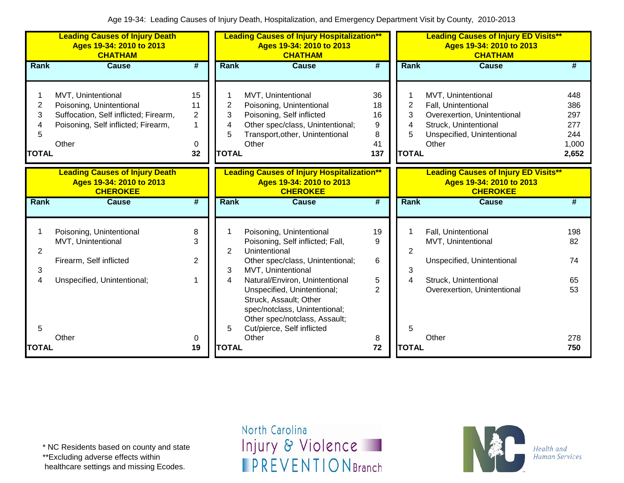|                                  | <b>Leading Causes of Injury Death</b><br>Ages 19-34: 2010 to 2013<br><b>CHATHAM</b>                                                     |                                            | <b>Leading Causes of Injury Hospitalization**</b><br>Ages 19-34: 2010 to 2013<br><b>CHATHAM</b> |                                                                                                                                                                                                                     |                                       |              | <b>Leading Causes of Injury ED Visits**</b><br>Ages 19-34: 2010 to 2013<br><b>CHATHAM</b> |                                                                                                                                          |                                                   |  |
|----------------------------------|-----------------------------------------------------------------------------------------------------------------------------------------|--------------------------------------------|-------------------------------------------------------------------------------------------------|---------------------------------------------------------------------------------------------------------------------------------------------------------------------------------------------------------------------|---------------------------------------|--------------|-------------------------------------------------------------------------------------------|------------------------------------------------------------------------------------------------------------------------------------------|---------------------------------------------------|--|
| <b>Rank</b>                      | <b>Cause</b>                                                                                                                            | #                                          | Rank                                                                                            | <b>Cause</b>                                                                                                                                                                                                        | #                                     |              | <b>Rank</b>                                                                               | <b>Cause</b>                                                                                                                             | #                                                 |  |
| 2<br>3<br>4<br>5<br><b>TOTAL</b> | MVT, Unintentional<br>Poisoning, Unintentional<br>Suffocation, Self inflicted; Firearm,<br>Poisoning, Self inflicted; Firearm,<br>Other | 15<br>11<br>$\overline{2}$<br>1<br>0<br>32 | 2<br>3<br>4<br>5<br><b>TOTAL</b>                                                                | MVT, Unintentional<br>Poisoning, Unintentional<br>Poisoning, Self inflicted<br>Other spec/class, Unintentional;<br>Transport, other, Unintentional<br>Other                                                         | 36<br>18<br>16<br>9<br>8<br>41<br>137 | <b>TOTAL</b> | $\overline{2}$<br>3<br>4<br>5                                                             | MVT, Unintentional<br>Fall, Unintentional<br>Overexertion, Unintentional<br>Struck, Unintentional<br>Unspecified, Unintentional<br>Other | 448<br>386<br>297<br>277<br>244<br>1,000<br>2,652 |  |
|                                  | <b>Leading Causes of Injury Death</b><br>Ages 19-34: 2010 to 2013<br><b>CHEROKEE</b>                                                    |                                            |                                                                                                 | <b>Leading Causes of Injury Hospitalization**</b><br>Ages 19-34: 2010 to 2013<br><b>CHEROKEE</b>                                                                                                                    |                                       |              |                                                                                           | <b>Leading Causes of Injury ED Visits**</b><br>Ages 19-34: 2010 to 2013<br><b>CHEROKEE</b>                                               |                                                   |  |
| <b>Rank</b>                      | <b>Cause</b>                                                                                                                            | #                                          | <b>Rank</b>                                                                                     | <b>Cause</b>                                                                                                                                                                                                        | #                                     | Rank         |                                                                                           | <b>Cause</b>                                                                                                                             | #                                                 |  |
| $\overline{2}$                   | Poisoning, Unintentional<br>MVT, Unintentional                                                                                          | 8<br>3                                     | $\overline{2}$                                                                                  | Poisoning, Unintentional<br>Poisoning, Self inflicted; Fall,<br>Unintentional                                                                                                                                       | 19<br>9                               |              | $\overline{2}$                                                                            | Fall, Unintentional<br>MVT, Unintentional                                                                                                | 198<br>82                                         |  |
| 3<br>4                           | Firearm, Self inflicted<br>Unspecified, Unintentional;                                                                                  | $\overline{2}$                             | 3<br>4                                                                                          | Other spec/class, Unintentional;<br>MVT, Unintentional<br>Natural/Environ, Unintentional<br>Unspecified, Unintentional;<br>Struck, Assault; Other<br>spec/notclass, Unintentional;<br>Other spec/notclass, Assault; | 6<br>5<br>$\overline{2}$              |              | 3<br>4                                                                                    | Unspecified, Unintentional<br>Struck, Unintentional<br>Overexertion, Unintentional                                                       | 74<br>65<br>53                                    |  |
| 5<br>TOTAL                       | Other                                                                                                                                   | 0<br>19                                    | 5<br><b>TOTAL</b>                                                                               | Cut/pierce, Self inflicted<br>Other                                                                                                                                                                                 | 8<br>72                               | <b>TOTAL</b> | 5                                                                                         | Other                                                                                                                                    | 278<br>750                                        |  |

\*\*Excluding adverse effects within

healthcare settings and missing Ecodes.

North Carolina Injury & Violence **IPREVENTIONBranch** 

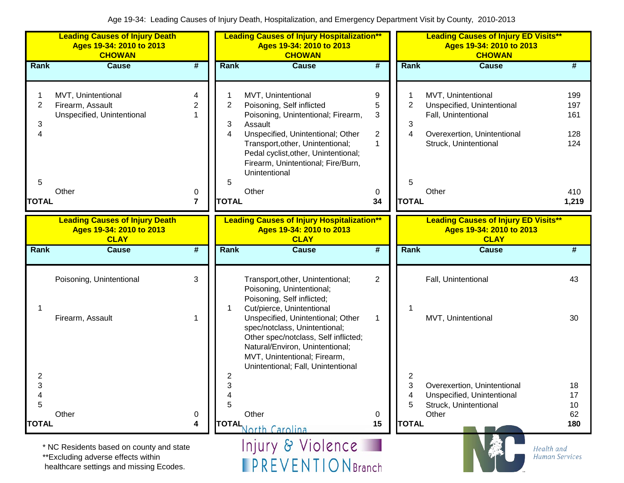|                     | <b>Leading Causes of Injury Death</b><br>Ages 19-34: 2010 to 2013<br><b>CHOWAN</b>                                        |                             | <b>Leading Causes of Injury Hospitalization**</b><br>Ages 19-34: 2010 to 2013<br><b>CHOWAN</b> |                                                                                                                                                                                                                                                                          |                                               | <b>Leading Causes of Injury ED Visits**</b><br>Ages 19-34: 2010 to 2013<br><b>CHOWAN</b> |                                                                                                                                 |                                     |  |
|---------------------|---------------------------------------------------------------------------------------------------------------------------|-----------------------------|------------------------------------------------------------------------------------------------|--------------------------------------------------------------------------------------------------------------------------------------------------------------------------------------------------------------------------------------------------------------------------|-----------------------------------------------|------------------------------------------------------------------------------------------|---------------------------------------------------------------------------------------------------------------------------------|-------------------------------------|--|
| <b>Rank</b>         | <b>Cause</b>                                                                                                              | #                           | <b>Rank</b>                                                                                    | <b>Cause</b>                                                                                                                                                                                                                                                             | $\overline{\boldsymbol{H}}$                   | Rank                                                                                     | <b>Cause</b>                                                                                                                    | #                                   |  |
| 1<br>2<br>3<br>4    | MVT, Unintentional<br>Firearm, Assault<br>Unspecified, Unintentional                                                      | 4<br>$\overline{2}$         | $\overline{2}$<br>3<br>4                                                                       | MVT, Unintentional<br>Poisoning, Self inflicted<br>Poisoning, Unintentional; Firearm,<br>Assault<br>Unspecified, Unintentional; Other<br>Transport, other, Unintentional;<br>Pedal cyclist, other, Unintentional;<br>Firearm, Unintentional; Fire/Burn,<br>Unintentional | 9<br>5<br>3<br>$\overline{c}$<br>$\mathbf{1}$ | $\overline{2}$<br>3<br>4                                                                 | MVT, Unintentional<br>Unspecified, Unintentional<br>Fall, Unintentional<br>Overexertion, Unintentional<br>Struck, Unintentional | 199<br>197<br>161<br>128<br>124     |  |
| 5                   |                                                                                                                           |                             | 5                                                                                              |                                                                                                                                                                                                                                                                          |                                               | 5                                                                                        |                                                                                                                                 |                                     |  |
| <b>TOTAL</b>        | Other                                                                                                                     | 0<br>7                      | <b>TOTAL</b>                                                                                   | Other                                                                                                                                                                                                                                                                    | 0<br>34                                       | <b>TOTAL</b>                                                                             | Other                                                                                                                           | 410<br>1,219                        |  |
|                     | <b>Leading Causes of Injury Death</b><br>Ages 19-34: 2010 to 2013<br><b>CLAY</b>                                          |                             |                                                                                                | <b>Leading Causes of Injury Hospitalization**</b><br>Ages 19-34: 2010 to 2013<br><b>CLAY</b>                                                                                                                                                                             |                                               |                                                                                          | <b>Leading Causes of Injury ED Visits**</b><br>Ages 19-34: 2010 to 2013<br><b>CLAY</b>                                          |                                     |  |
| <b>Rank</b>         | <b>Cause</b>                                                                                                              | $\overline{\boldsymbol{r}}$ | <b>Rank</b>                                                                                    | <b>Cause</b>                                                                                                                                                                                                                                                             | $\overline{\boldsymbol{t}}$                   | Rank                                                                                     | <b>Cause</b>                                                                                                                    | #                                   |  |
| 1                   | Poisoning, Unintentional<br>Firearm, Assault                                                                              | 3                           |                                                                                                | Transport, other, Unintentional;<br>Poisoning, Unintentional;<br>Poisoning, Self inflicted;<br>Cut/pierce, Unintentional<br>Unspecified, Unintentional; Other                                                                                                            | $\overline{2}$<br>1                           |                                                                                          | Fall, Unintentional<br>MVT, Unintentional                                                                                       | 43<br>30                            |  |
|                     |                                                                                                                           |                             |                                                                                                | spec/notclass, Unintentional;<br>Other spec/notclass, Self inflicted;<br>Natural/Environ, Unintentional;<br>MVT, Unintentional; Firearm,<br>Unintentional; Fall, Unintentional                                                                                           |                                               |                                                                                          |                                                                                                                                 |                                     |  |
| $\overline{2}$<br>3 |                                                                                                                           |                             | $\overline{c}$<br>3                                                                            |                                                                                                                                                                                                                                                                          |                                               | 2<br>3                                                                                   | Overexertion, Unintentional                                                                                                     | 18                                  |  |
| 4<br>5              |                                                                                                                           |                             | 4<br>5                                                                                         |                                                                                                                                                                                                                                                                          |                                               | 4<br>5                                                                                   | Unspecified, Unintentional<br>Struck, Unintentional                                                                             | 17<br>10                            |  |
| <b>TOTAL</b>        | Other                                                                                                                     | 0<br>4                      |                                                                                                | Other                                                                                                                                                                                                                                                                    | 0<br>15                                       | <b>TOTAL</b>                                                                             | Other                                                                                                                           | 62<br>180                           |  |
|                     | * NC Residents based on county and state<br>**Excluding adverse effects within<br>healthcare settings and missing Ecodes. |                             |                                                                                                | TOTAL North Carolina<br>Injury & Violence<br><b>IPREVENTIONBranch</b>                                                                                                                                                                                                    |                                               |                                                                                          |                                                                                                                                 | Health and<br><b>Human Services</b> |  |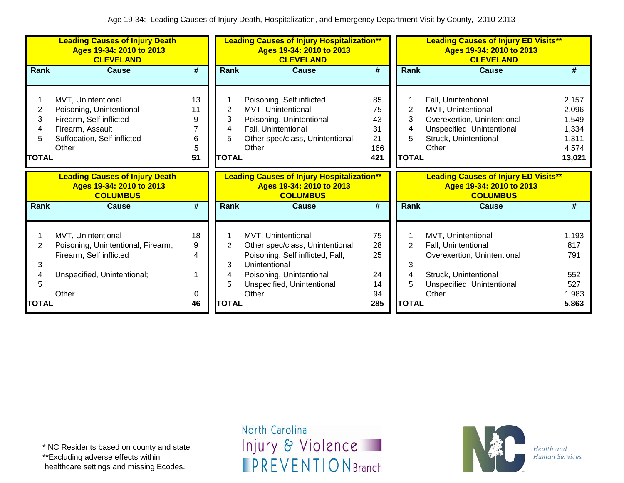|                                  | <b>Leading Causes of Injury Death</b><br>Ages 19-34: 2010 to 2013<br><b>CLEVELAND</b>                                                 |                               | <b>Leading Causes of Injury Hospitalization**</b><br>Ages 19-34: 2010 to 2013<br><b>CLEVELAND</b> |                                                                                                                                                                               |                                          | <b>Leading Causes of Injury ED Visits**</b><br>Ages 19-34: 2010 to 2013<br><b>CLEVELAND</b> |                                                                                                                                          |                                                              |  |
|----------------------------------|---------------------------------------------------------------------------------------------------------------------------------------|-------------------------------|---------------------------------------------------------------------------------------------------|-------------------------------------------------------------------------------------------------------------------------------------------------------------------------------|------------------------------------------|---------------------------------------------------------------------------------------------|------------------------------------------------------------------------------------------------------------------------------------------|--------------------------------------------------------------|--|
| Rank                             | <b>Cause</b>                                                                                                                          | #                             | Rank                                                                                              | <b>Cause</b>                                                                                                                                                                  | $\overline{\boldsymbol{t}}$              | <b>Rank</b>                                                                                 | <b>Cause</b>                                                                                                                             | #                                                            |  |
| 2<br>3<br>4<br>5<br><b>TOTAL</b> | MVT, Unintentional<br>Poisoning, Unintentional<br>Firearm, Self inflicted<br>Firearm, Assault<br>Suffocation, Self inflicted<br>Other | 13<br>11<br>9<br>6<br>5<br>51 | 2<br>3<br>4<br>5<br><b>TOTAL</b>                                                                  | Poisoning, Self inflicted<br>MVT, Unintentional<br>Poisoning, Unintentional<br>Fall, Unintentional<br>Other spec/class, Unintentional<br>Other                                | 85<br>75<br>43<br>31<br>21<br>166<br>421 | 2<br>3<br><b>TOTAL</b>                                                                      | Fall, Unintentional<br>MVT, Unintentional<br>Overexertion, Unintentional<br>Unspecified, Unintentional<br>Struck, Unintentional<br>Other | 2,157<br>2,096<br>1,549<br>1,334<br>1,311<br>4,574<br>13,021 |  |
|                                  | <b>Leading Causes of Injury Death</b><br>Ages 19-34: 2010 to 2013<br><b>COLUMBUS</b>                                                  |                               |                                                                                                   | <b>Leading Causes of Injury Hospitalization**</b><br>Ages 19-34: 2010 to 2013<br><b>COLUMBUS</b>                                                                              |                                          |                                                                                             | <b>Leading Causes of Injury ED Visits**</b><br>Ages 19-34: 2010 to 2013<br><b>COLUMBUS</b>                                               |                                                              |  |
| <b>Rank</b>                      | <b>Cause</b>                                                                                                                          | #                             | Rank                                                                                              | <b>Cause</b>                                                                                                                                                                  | #                                        | <b>Rank</b>                                                                                 | Cause                                                                                                                                    | #                                                            |  |
| 2<br>3<br>4<br>5                 | MVT, Unintentional<br>Poisoning, Unintentional; Firearm,<br>Firearm, Self inflicted<br>Unspecified, Unintentional;<br>Other           | 18<br>9<br>4<br>1<br>0        | 2<br>3<br>4<br>5                                                                                  | MVT, Unintentional<br>Other spec/class, Unintentional<br>Poisoning, Self inflicted; Fall,<br>Unintentional<br>Poisoning, Unintentional<br>Unspecified, Unintentional<br>Other | 75<br>28<br>25<br>24<br>14<br>94         | 2<br>3<br>4                                                                                 | MVT, Unintentional<br>Fall, Unintentional<br>Overexertion, Unintentional<br>Struck, Unintentional<br>Unspecified, Unintentional<br>Other | 1,193<br>817<br>791<br>552<br>527<br>1,983                   |  |
| <b>TOTAL</b>                     |                                                                                                                                       | 46                            | <b>TOTAL</b>                                                                                      |                                                                                                                                                                               | 285                                      | <b>TOTAL</b>                                                                                |                                                                                                                                          | 5,863                                                        |  |

\*\*Excluding adverse effects within

healthcare settings and missing Ecodes.

North Carolina Injury & Violence **IPREVENTIONBranch** 

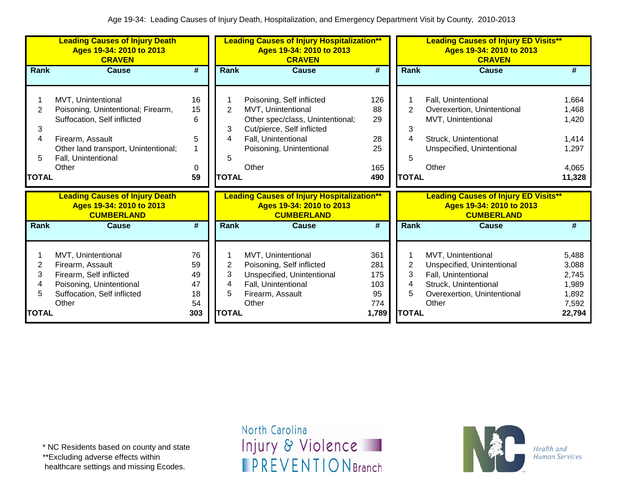|                                  | <b>Leading Causes of Injury Death</b><br>Ages 19-34: 2010 to 2013<br><b>CRAVEN</b>                                                                                                  |                                         |                                               | <b>Leading Causes of Injury Hospitalization**</b><br>Ages 19-34: 2010 to 2013<br><b>CRAVEN</b>                                                                                |                                                |                                               | <b>Leading Causes of Injury ED Visits**</b><br>Ages 19-34: 2010 to 2013<br><b>CRAVEN</b>                                                 |                                                              |
|----------------------------------|-------------------------------------------------------------------------------------------------------------------------------------------------------------------------------------|-----------------------------------------|-----------------------------------------------|-------------------------------------------------------------------------------------------------------------------------------------------------------------------------------|------------------------------------------------|-----------------------------------------------|------------------------------------------------------------------------------------------------------------------------------------------|--------------------------------------------------------------|
| Rank                             | <b>Cause</b>                                                                                                                                                                        | $\overline{\boldsymbol{t}}$             | <b>Rank</b>                                   | <b>Cause</b>                                                                                                                                                                  | $\overline{\boldsymbol{t}}$                    | Rank                                          | <b>Cause</b>                                                                                                                             | #                                                            |
| 2<br>3<br>4<br>5<br><b>TOTAL</b> | MVT, Unintentional<br>Poisoning, Unintentional; Firearm,<br>Suffocation, Self inflicted<br>Firearm, Assault<br>Other land transport, Unintentional;<br>Fall, Unintentional<br>Other | 16<br>15<br>6<br>5<br>0<br>59           | $\overline{2}$<br>3<br>4<br>5<br><b>TOTAL</b> | Poisoning, Self inflicted<br>MVT, Unintentional<br>Other spec/class, Unintentional;<br>Cut/pierce, Self inflicted<br>Fall, Unintentional<br>Poisoning, Unintentional<br>Other | 126<br>88<br>29<br>28<br>25<br>165<br>490      | $\overline{2}$<br>3<br>4<br>5<br><b>TOTAL</b> | Fall, Unintentional<br>Overexertion, Unintentional<br>MVT, Unintentional<br>Struck, Unintentional<br>Unspecified, Unintentional<br>Other | 1,664<br>1,468<br>1,420<br>1,414<br>1,297<br>4,065<br>11,328 |
|                                  | <b>Leading Causes of Injury Death</b><br>Ages 19-34: 2010 to 2013<br><b>CUMBERLAND</b>                                                                                              |                                         |                                               | <b>Leading Causes of Injury Hospitalization**</b><br>Ages 19-34: 2010 to 2013<br><b>CUMBERLAND</b>                                                                            |                                                |                                               | <b>Leading Causes of Injury ED Visits**</b><br>Ages 19-34: 2010 to 2013<br><b>CUMBERLAND</b>                                             |                                                              |
| Rank                             | <b>Cause</b>                                                                                                                                                                        | #                                       | Rank                                          | <b>Cause</b>                                                                                                                                                                  | #                                              | Rank                                          | <b>Cause</b>                                                                                                                             | #                                                            |
| 2<br>3<br>4<br>5<br><b>TOTAL</b> | MVT, Unintentional<br>Firearm, Assault<br>Firearm, Self inflicted<br>Poisoning, Unintentional<br>Suffocation, Self inflicted<br>Other                                               | 76<br>59<br>49<br>47<br>18<br>54<br>303 | 2<br>3<br>4<br>5<br><b>TOTAL</b>              | MVT, Unintentional<br>Poisoning, Self inflicted<br>Unspecified, Unintentional<br>Fall, Unintentional<br>Firearm, Assault<br>Other                                             | 361<br>281<br>175<br>103<br>95<br>774<br>1,789 | 2<br>3<br>4<br>5<br><b>TOTAL</b>              | MVT, Unintentional<br>Unspecified, Unintentional<br>Fall, Unintentional<br>Struck, Unintentional<br>Overexertion, Unintentional<br>Other | 5,488<br>3,088<br>2,745<br>1,989<br>1,892<br>7,592<br>22,794 |
|                                  |                                                                                                                                                                                     |                                         |                                               |                                                                                                                                                                               |                                                |                                               |                                                                                                                                          |                                                              |

\* NC Residents based on county and state

\*\*Excluding adverse effects within

healthcare settings and missing Ecodes.

North Carolina Injury & Violence **IPREVENTIONBranch** 

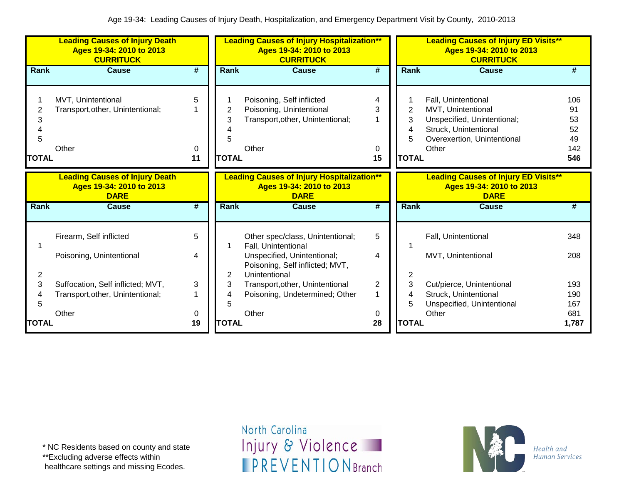|                             | <b>Leading Causes of Injury Death</b><br>Ages 19-34: 2010 to 2013<br><b>CURRITUCK</b> |                             |                             | <b>Leading Causes of Injury Hospitalization**</b><br>Ages 19-34: 2010 to 2013<br><b>CURRITUCK</b>  |                        |                                  | <b>Leading Causes of Injury ED Visits**</b><br>Ages 19-34: 2010 to 2013<br><b>CURRITUCK</b>                                               |                                           |
|-----------------------------|---------------------------------------------------------------------------------------|-----------------------------|-----------------------------|----------------------------------------------------------------------------------------------------|------------------------|----------------------------------|-------------------------------------------------------------------------------------------------------------------------------------------|-------------------------------------------|
| Rank                        | <b>Cause</b>                                                                          | #                           | Rank                        | <b>Cause</b>                                                                                       | #                      | <b>Rank</b>                      | <b>Cause</b>                                                                                                                              | #                                         |
| 2<br>3<br>5<br><b>TOTAL</b> | MVT, Unintentional<br>Transport, other, Unintentional;<br>Other                       | 5<br>0<br>11                | 2<br>3<br>5<br><b>TOTAL</b> | Poisoning, Self inflicted<br>Poisoning, Unintentional<br>Transport, other, Unintentional;<br>Other | 4<br>3<br>1<br>0<br>15 | 2<br>3<br>4<br>5<br><b>TOTAL</b> | Fall, Unintentional<br>MVT, Unintentional<br>Unspecified, Unintentional;<br>Struck, Unintentional<br>Overexertion, Unintentional<br>Other | 106<br>91<br>53<br>52<br>49<br>142<br>546 |
|                             | <b>Leading Causes of Injury Death</b><br>Ages 19-34: 2010 to 2013<br><b>DARE</b>      |                             |                             | <b>Leading Causes of Injury Hospitalization**</b><br>Ages 19-34: 2010 to 2013<br><b>DARE</b>       |                        |                                  | <b>Leading Causes of Injury ED Visits**</b><br>Ages 19-34: 2010 to 2013<br><b>DARE</b>                                                    |                                           |
| Rank                        | <b>Cause</b>                                                                          | $\overline{\boldsymbol{H}}$ | Rank                        | <b>Cause</b>                                                                                       | #                      | Rank                             | <b>Cause</b>                                                                                                                              | #                                         |
|                             | Firearm, Self inflicted                                                               | 5                           |                             | Other spec/class, Unintentional;<br>Fall, Unintentional                                            | 5                      |                                  | Fall, Unintentional                                                                                                                       | 348                                       |
| 2                           | Poisoning, Unintentional                                                              | 4                           | 2                           | Unspecified, Unintentional;<br>Poisoning, Self inflicted; MVT,<br>Unintentional                    | 4                      | 2                                | MVT, Unintentional                                                                                                                        | 208                                       |
| 3                           | Suffocation, Self inflicted; MVT,                                                     | 3                           | 3                           | Transport, other, Unintentional                                                                    | $\overline{2}$         | 3                                | Cut/pierce, Unintentional                                                                                                                 | 193                                       |
| 4<br>5                      | Transport, other, Unintentional;                                                      |                             | 4<br>5                      | Poisoning, Undetermined; Other                                                                     | 1                      | 5                                | Struck, Unintentional<br>Unspecified, Unintentional                                                                                       | 190<br>167                                |
|                             | Other                                                                                 | 0                           |                             | Other                                                                                              | 0                      |                                  | Other                                                                                                                                     | 681                                       |
| TOTAL                       |                                                                                       | 19                          | <b>TOTAL</b>                |                                                                                                    | 28                     | <b>TOTAL</b>                     |                                                                                                                                           | 1,787                                     |

\*\*Excluding adverse effects within

healthcare settings and missing Ecodes.

North Carolina Injury & Violence **IPREVENTIONBranch** 

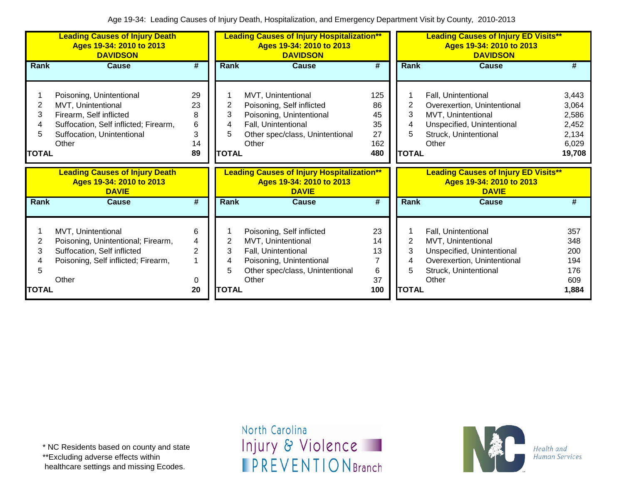|                              | <b>Leading Causes of Injury Death</b><br>Ages 19-34: 2010 to 2013<br><b>DAVIDSON</b>                                                                      |                                          |                                  | <b>Leading Causes of Injury Hospitalization**</b><br>Ages 19-34: 2010 to 2013<br><b>DAVIDSON</b>                                               |                                           |                                  | <b>Leading Causes of Injury ED Visits**</b><br>Ages 19-34: 2010 to 2013<br><b>DAVIDSON</b>                                               |                                                              |
|------------------------------|-----------------------------------------------------------------------------------------------------------------------------------------------------------|------------------------------------------|----------------------------------|------------------------------------------------------------------------------------------------------------------------------------------------|-------------------------------------------|----------------------------------|------------------------------------------------------------------------------------------------------------------------------------------|--------------------------------------------------------------|
| Rank                         | <b>Cause</b>                                                                                                                                              | $\overline{\#}$                          | Rank                             | <b>Cause</b>                                                                                                                                   | $\overline{\boldsymbol{t}}$               | <b>Rank</b>                      | <b>Cause</b>                                                                                                                             | #                                                            |
| 2<br>3<br>5<br><b>TOTAL</b>  | Poisoning, Unintentional<br>MVT, Unintentional<br>Firearm, Self inflicted<br>Suffocation, Self inflicted; Firearm,<br>Suffocation, Unintentional<br>Other | 29<br>23<br>8<br>6<br>3<br>14<br>89      | 2<br>3<br>4<br>5<br><b>TOTAL</b> | MVT, Unintentional<br>Poisoning, Self inflicted<br>Poisoning, Unintentional<br>Fall, Unintentional<br>Other spec/class, Unintentional<br>Other | 125<br>86<br>45<br>35<br>27<br>162<br>480 | 2<br>3<br>4<br>5<br><b>TOTAL</b> | Fall, Unintentional<br>Overexertion, Unintentional<br>MVT, Unintentional<br>Unspecified, Unintentional<br>Struck, Unintentional<br>Other | 3,443<br>3,064<br>2,586<br>2,452<br>2,134<br>6,029<br>19,708 |
|                              |                                                                                                                                                           |                                          |                                  |                                                                                                                                                |                                           |                                  |                                                                                                                                          |                                                              |
|                              | <b>Leading Causes of Injury Death</b><br>Ages 19-34: 2010 to 2013<br><b>DAVIE</b>                                                                         |                                          |                                  | <b>Leading Causes of Injury Hospitalization**</b><br>Ages 19-34: 2010 to 2013<br><b>DAVIE</b>                                                  |                                           |                                  | <b>Leading Causes of Injury ED Visits**</b><br>Ages 19-34: 2010 to 2013<br><b>DAVIE</b>                                                  |                                                              |
| Rank                         | <b>Cause</b>                                                                                                                                              | #                                        | Rank                             | <b>Cause</b>                                                                                                                                   | #                                         | Rank                             | <b>Cause</b>                                                                                                                             | #                                                            |
| 2<br>3<br>5.<br><b>TOTAL</b> | MVT, Unintentional<br>Poisoning, Unintentional; Firearm,<br>Suffocation, Self inflicted<br>Poisoning, Self inflicted; Firearm,<br>Other                   | 6<br>4<br>$\overline{2}$<br>1<br>0<br>20 | 2<br>3<br>4<br>5<br><b>TOTAL</b> | Poisoning, Self inflicted<br>MVT, Unintentional<br>Fall, Unintentional<br>Poisoning, Unintentional<br>Other spec/class, Unintentional<br>Other | 23<br>14<br>13<br>7<br>6<br>37<br>100     | 2<br>3<br>4<br><b>TOTAL</b>      | Fall, Unintentional<br>MVT, Unintentional<br>Unspecified, Unintentional<br>Overexertion, Unintentional<br>Struck, Unintentional<br>Other | 357<br>348<br>200<br>194<br>176<br>609<br>1,884              |

\*\*Excluding adverse effects within

healthcare settings and missing Ecodes.

North Carolina Injury & Violence **IPREVENTIONBranch** 

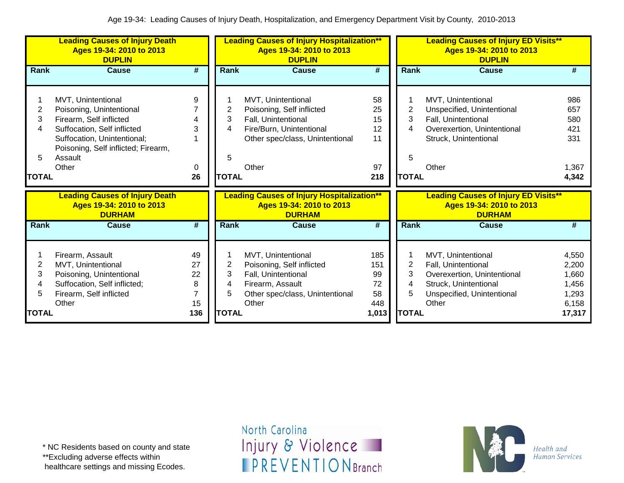|                                  | <b>Leading Causes of Injury Death</b><br>Ages 19-34: 2010 to 2013<br><b>DUPLIN</b>                                                                                                                 |                                |                                  | <b>Leading Causes of Injury Hospitalization**</b><br>Ages 19-34: 2010 to 2013<br><b>DUPLIN</b>                                                 |                                         |                                  | <b>Leading Causes of Injury ED Visits**</b><br>Ages 19-34: 2010 to 2013<br><b>DUPLIN</b>                                                 |                                                              |
|----------------------------------|----------------------------------------------------------------------------------------------------------------------------------------------------------------------------------------------------|--------------------------------|----------------------------------|------------------------------------------------------------------------------------------------------------------------------------------------|-----------------------------------------|----------------------------------|------------------------------------------------------------------------------------------------------------------------------------------|--------------------------------------------------------------|
| Rank                             | <b>Cause</b>                                                                                                                                                                                       | $\overline{\boldsymbol{t}}$    | Rank                             | <b>Cause</b>                                                                                                                                   | #                                       | Rank                             | <b>Cause</b>                                                                                                                             | #                                                            |
| 2<br>3<br>4<br>5<br><b>TOTAL</b> | MVT, Unintentional<br>Poisoning, Unintentional<br>Firearm, Self inflicted<br>Suffocation, Self inflicted<br>Suffocation, Unintentional;<br>Poisoning, Self inflicted; Firearm,<br>Assault<br>Other | 9<br>3<br>0<br>26              | 2<br>3<br>4<br>5<br><b>TOTAL</b> | MVT, Unintentional<br>Poisoning, Self inflicted<br>Fall, Unintentional<br>Fire/Burn, Unintentional<br>Other spec/class, Unintentional<br>Other | 58<br>25<br>15<br>12<br>11<br>97<br>218 | 2<br>3<br>4<br>5<br><b>TOTAL</b> | MVT, Unintentional<br>Unspecified, Unintentional<br>Fall, Unintentional<br>Overexertion, Unintentional<br>Struck, Unintentional<br>Other | 986<br>657<br>580<br>421<br>331<br>1,367<br>4,342            |
|                                  | <b>Leading Causes of Injury Death</b><br>Ages 19-34: 2010 to 2013<br><b>DURHAM</b>                                                                                                                 |                                |                                  | <b>Leading Causes of Injury Hospitalization**</b><br>Ages 19-34: 2010 to 2013<br><b>DURHAM</b>                                                 |                                         |                                  | <b>Leading Causes of Injury ED Visits**</b><br>Ages 19-34: 2010 to 2013<br><b>DURHAM</b>                                                 |                                                              |
| Rank                             | <b>Cause</b>                                                                                                                                                                                       | $\overline{\boldsymbol{H}}$    | Rank                             | <b>Cause</b>                                                                                                                                   | #                                       | <b>Rank</b>                      | <b>Cause</b>                                                                                                                             | #                                                            |
| 2<br>3<br>4<br>5                 | Firearm, Assault<br>MVT, Unintentional<br>Poisoning, Unintentional<br>Suffocation, Self inflicted;<br>Firearm, Self inflicted<br>Other                                                             | 49<br>27<br>22<br>8<br>7<br>15 | 2<br>3<br>4<br>5                 | MVT, Unintentional<br>Poisoning, Self inflicted<br>Fall, Unintentional<br>Firearm, Assault<br>Other spec/class, Unintentional<br>Other         | 185<br>151<br>99<br>72<br>58<br>448     | $\overline{2}$<br>3<br>4<br>5    | MVT, Unintentional<br>Fall, Unintentional<br>Overexertion, Unintentional<br>Struck, Unintentional<br>Unspecified, Unintentional<br>Other | 4,550<br>2,200<br>1,660<br>1,456<br>1,293<br>6,158<br>17,317 |
| TOTAL                            |                                                                                                                                                                                                    | 136                            | <b>TOTAL</b>                     |                                                                                                                                                | 1,013                                   | <b>TOTAL</b>                     |                                                                                                                                          |                                                              |

\* NC Residents based on county and state

\*\*Excluding adverse effects within

healthcare settings and missing Ecodes.

North Carolina Injury & Violence **IPREVENTIONBranch** 

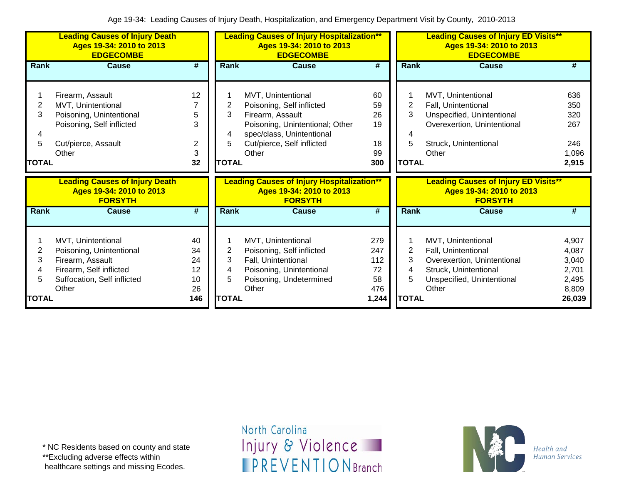|                        | <b>Leading Causes of Injury Death</b><br>Ages 19-34: 2010 to 2013<br><b>EDGECOMBE</b>                                                 |                                  |                        | <b>Leading Causes of Injury Hospitalization**</b><br>Ages 19-34: 2010 to 2013<br><b>EDGECOMBE</b>                                                                          |                                         |                                          | <b>Leading Causes of Injury ED Visits**</b><br>Ages 19-34: 2010 to 2013<br><b>EDGECOMBE</b>                                              |                                                    |
|------------------------|---------------------------------------------------------------------------------------------------------------------------------------|----------------------------------|------------------------|----------------------------------------------------------------------------------------------------------------------------------------------------------------------------|-----------------------------------------|------------------------------------------|------------------------------------------------------------------------------------------------------------------------------------------|----------------------------------------------------|
| Rank                   | Cause                                                                                                                                 | #                                | Rank                   | <b>Cause</b>                                                                                                                                                               | #                                       | Rank                                     | Cause                                                                                                                                    | #                                                  |
| 2<br>3<br><b>TOTAL</b> | Firearm, Assault<br>MVT, Unintentional<br>Poisoning, Unintentional<br>Poisoning, Self inflicted<br>Cut/pierce, Assault<br>Other       | 12<br>5<br>3<br>2<br>3<br>32     | 2<br>3<br><b>TOTAL</b> | MVT, Unintentional<br>Poisoning, Self inflicted<br>Firearm, Assault<br>Poisoning, Unintentional; Other<br>spec/class, Unintentional<br>Cut/pierce, Self inflicted<br>Other | 60<br>59<br>26<br>19<br>18<br>99<br>300 | $\overline{c}$<br>3<br>5<br><b>TOTAL</b> | MVT, Unintentional<br>Fall, Unintentional<br>Unspecified, Unintentional<br>Overexertion, Unintentional<br>Struck, Unintentional<br>Other | 636<br>350<br>320<br>267<br>246<br>1,096<br>2,915  |
|                        | <b>Leading Causes of Injury Death</b><br>Ages 19-34: 2010 to 2013                                                                     |                                  |                        | <b>Leading Causes of Injury Hospitalization**</b>                                                                                                                          |                                         |                                          | <b>Leading Causes of Injury ED Visits**</b>                                                                                              |                                                    |
|                        | <b>FORSYTH</b>                                                                                                                        |                                  |                        | Ages 19-34: 2010 to 2013<br><b>FORSYTH</b>                                                                                                                                 |                                         |                                          | Ages 19-34: 2010 to 2013<br><b>FORSYTH</b>                                                                                               |                                                    |
| Rank                   | Cause                                                                                                                                 | #                                | <b>Rank</b>            | <b>Cause</b>                                                                                                                                                               | #                                       | Rank                                     | <b>Cause</b>                                                                                                                             | #                                                  |
| 2<br>3                 | MVT, Unintentional<br>Poisoning, Unintentional<br>Firearm, Assault<br>Firearm, Self inflicted<br>Suffocation, Self inflicted<br>Other | 40<br>34<br>24<br>12<br>10<br>26 | 2<br>3<br>4<br>5       | MVT, Unintentional<br>Poisoning, Self inflicted<br>Fall, Unintentional<br>Poisoning, Unintentional<br>Poisoning, Undetermined<br>Other                                     | 279<br>247<br>112<br>72<br>58<br>476    | 2<br>3<br>4                              | MVT, Unintentional<br>Fall, Unintentional<br>Overexertion, Unintentional<br>Struck, Unintentional<br>Unspecified, Unintentional<br>Other | 4,907<br>4,087<br>3,040<br>2,701<br>2,495<br>8,809 |

\*\*Excluding adverse effects within

healthcare settings and missing Ecodes.

North Carolina Injury & Violence **IPREVENTIONBranch** 

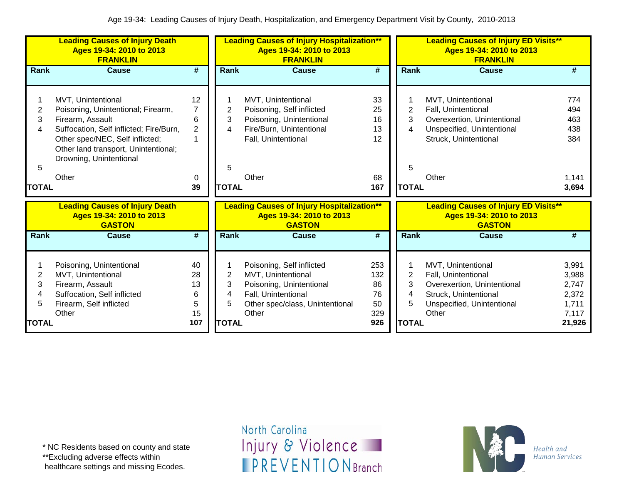|                               | <b>Leading Causes of Injury Death</b><br>Ages 19-34: 2010 to 2013<br><b>FRANKLIN</b>                                                                                                                                                   |                                     |                  | <b>Leading Causes of Injury Hospitalization**</b><br>Ages 19-34: 2010 to 2013<br><b>FRANKLIN</b>                                               |                                     |                               | <b>Leading Causes of Injury ED Visits**</b><br>Ages 19-34: 2010 to 2013<br><b>FRANKLIN</b>                                               |                                                    |
|-------------------------------|----------------------------------------------------------------------------------------------------------------------------------------------------------------------------------------------------------------------------------------|-------------------------------------|------------------|------------------------------------------------------------------------------------------------------------------------------------------------|-------------------------------------|-------------------------------|------------------------------------------------------------------------------------------------------------------------------------------|----------------------------------------------------|
| Rank                          | <b>Cause</b>                                                                                                                                                                                                                           | $\overline{\boldsymbol{t}}$         | Rank             | <b>Cause</b>                                                                                                                                   | $\overline{\boldsymbol{t}}$         | Rank                          | <b>Cause</b>                                                                                                                             | #                                                  |
| 2<br>3<br>4<br>5              | MVT, Unintentional<br>Poisoning, Unintentional; Firearm,<br>Firearm, Assault<br>Suffocation, Self inflicted; Fire/Burn,<br>Other spec/NEC, Self inflicted;<br>Other land transport, Unintentional;<br>Drowning, Unintentional<br>Other | 12<br>7<br>6<br>$\overline{c}$<br>0 | 2<br>3<br>4<br>5 | MVT, Unintentional<br>Poisoning, Self inflicted<br>Poisoning, Unintentional<br>Fire/Burn, Unintentional<br>Fall, Unintentional<br>Other        | 33<br>25<br>16<br>13<br>12<br>68    | 2<br>3<br>4<br>5              | MVT, Unintentional<br>Fall, Unintentional<br>Overexertion, Unintentional<br>Unspecified, Unintentional<br>Struck, Unintentional<br>Other | 774<br>494<br>463<br>438<br>384<br>1,141           |
| <b>TOTAL</b>                  |                                                                                                                                                                                                                                        | 39                                  | <b>TOTAL</b>     |                                                                                                                                                | 167                                 | <b>TOTAL</b>                  |                                                                                                                                          | 3,694                                              |
|                               | <b>Leading Causes of Injury Death</b><br>Ages 19-34: 2010 to 2013<br><b>GASTON</b>                                                                                                                                                     |                                     |                  | <b>Leading Causes of Injury Hospitalization**</b><br>Ages 19-34: 2010 to 2013<br><b>GASTON</b>                                                 |                                     |                               | <b>Leading Causes of Injury ED Visits**</b><br>Ages 19-34: 2010 to 2013<br><b>GASTON</b>                                                 |                                                    |
| Rank                          | <b>Cause</b>                                                                                                                                                                                                                           | #                                   | Rank             | <b>Cause</b>                                                                                                                                   | #                                   | Rank                          | <b>Cause</b>                                                                                                                             | #                                                  |
| $\overline{2}$<br>3<br>4<br>5 | Poisoning, Unintentional<br>MVT, Unintentional<br>Firearm, Assault<br>Suffocation, Self inflicted<br>Firearm, Self inflicted<br>Other                                                                                                  | 40<br>28<br>13<br>6<br>5<br>15      | 2<br>3<br>4<br>5 | Poisoning, Self inflicted<br>MVT, Unintentional<br>Poisoning, Unintentional<br>Fall, Unintentional<br>Other spec/class, Unintentional<br>Other | 253<br>132<br>86<br>76<br>50<br>329 | $\overline{2}$<br>3<br>4<br>5 | MVT, Unintentional<br>Fall, Unintentional<br>Overexertion, Unintentional<br>Struck, Unintentional<br>Unspecified, Unintentional<br>Other | 3,991<br>3,988<br>2,747<br>2,372<br>1,711<br>7,117 |
| <b>TOTAL</b>                  |                                                                                                                                                                                                                                        | 107                                 | <b>TOTAL</b>     |                                                                                                                                                | 926                                 | <b>TOTAL</b>                  |                                                                                                                                          | 21,926                                             |

\*\*Excluding adverse effects within

healthcare settings and missing Ecodes.

North Carolina Injury & Violence **IPREVENTIONBranch** 

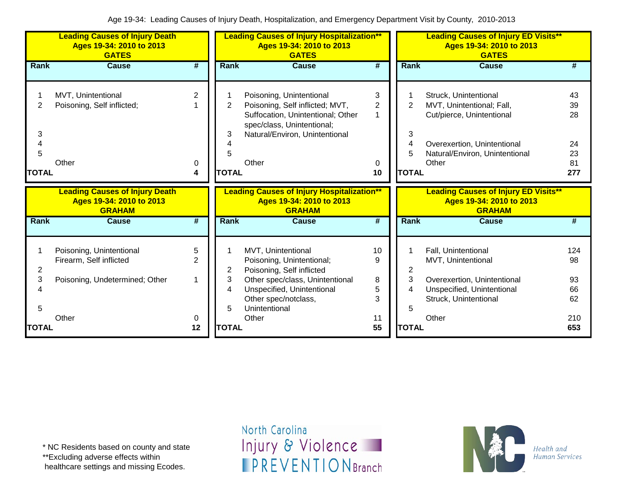|                                                        | <b>Leading Causes of Injury Death</b><br>Ages 19-34: 2010 to 2013<br><b>GATES</b>              |                                     |                                  | <b>Leading Causes of Injury Hospitalization**</b><br>Ages 19-34: 2010 to 2013<br><b>GATES</b>                                                                                                   |                                     |                             | <b>Leading Causes of Injury ED Visits**</b><br>Ages 19-34: 2010 to 2013<br><b>GATES</b>                                                                   |                                           |
|--------------------------------------------------------|------------------------------------------------------------------------------------------------|-------------------------------------|----------------------------------|-------------------------------------------------------------------------------------------------------------------------------------------------------------------------------------------------|-------------------------------------|-----------------------------|-----------------------------------------------------------------------------------------------------------------------------------------------------------|-------------------------------------------|
| Rank                                                   | <b>Cause</b>                                                                                   | $\overline{\#}$                     | <b>Rank</b>                      | <b>Cause</b>                                                                                                                                                                                    | $\overline{\boldsymbol{H}}$         | Rank                        | <b>Cause</b>                                                                                                                                              | #                                         |
| 2<br>3<br>4<br>5<br>TOTAL                              | MVT, Unintentional<br>Poisoning, Self inflicted;<br>Other                                      | 2<br>0<br>4                         | 2<br>3<br>5<br><b>TOTAL</b>      | Poisoning, Unintentional<br>Poisoning, Self inflicted; MVT,<br>Suffocation, Unintentional; Other<br>spec/class, Unintentional;<br>Natural/Environ, Unintentional<br>Other                       | 3<br>$\overline{2}$<br>1<br>0<br>10 | 2<br>3<br><b>TOTAL</b>      | Struck, Unintentional<br>MVT, Unintentional; Fall,<br>Cut/pierce, Unintentional<br>Overexertion, Unintentional<br>Natural/Environ, Unintentional<br>Other | 43<br>39<br>28<br>24<br>23<br>81<br>277   |
|                                                        |                                                                                                |                                     |                                  |                                                                                                                                                                                                 |                                     |                             |                                                                                                                                                           |                                           |
|                                                        | <b>Leading Causes of Injury Death</b><br>Ages 19-34: 2010 to 2013<br><b>GRAHAM</b>             |                                     |                                  | <b>Leading Causes of Injury Hospitalization**</b><br>Ages 19-34: 2010 to 2013<br><b>GRAHAM</b>                                                                                                  |                                     |                             | <b>Leading Causes of Injury ED Visits**</b><br>Ages 19-34: 2010 to 2013<br><b>GRAHAM</b>                                                                  |                                           |
| Rank                                                   | <b>Cause</b>                                                                                   | #                                   | <b>Rank</b>                      | <b>Cause</b>                                                                                                                                                                                    | #                                   | <b>Rank</b>                 | <b>Cause</b>                                                                                                                                              | #                                         |
| $\overline{\mathbf{c}}$<br>3<br>4<br>5<br><b>TOTAL</b> | Poisoning, Unintentional<br>Firearm, Self inflicted<br>Poisoning, Undetermined; Other<br>Other | 5<br>$\overline{2}$<br>1<br>0<br>12 | 2<br>3<br>4<br>5<br><b>TOTAL</b> | MVT, Unintentional<br>Poisoning, Unintentional;<br>Poisoning, Self inflicted<br>Other spec/class, Unintentional<br>Unspecified, Unintentional<br>Other spec/notclass,<br>Unintentional<br>Other | 10<br>9<br>8<br>5<br>3<br>11<br>55  | 2<br>3<br>5<br><b>TOTAL</b> | Fall, Unintentional<br>MVT, Unintentional<br>Overexertion, Unintentional<br>Unspecified, Unintentional<br>Struck, Unintentional<br>Other                  | 124<br>98<br>93<br>66<br>62<br>210<br>653 |

\*\*Excluding adverse effects within

healthcare settings and missing Ecodes.

North Carolina Injury & Violence **IPREVENTIONBranch** 

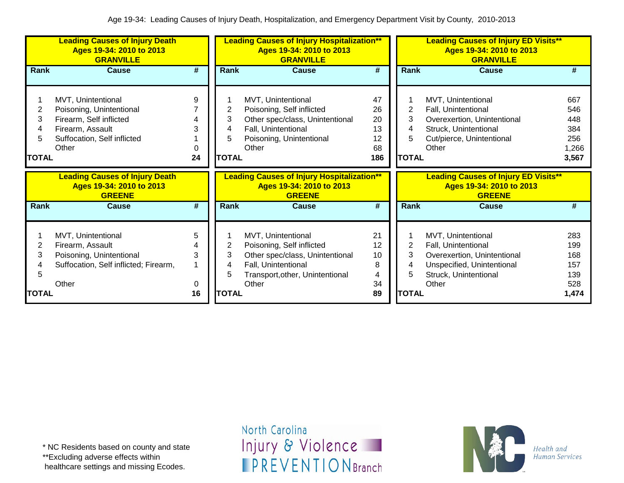|                                  | <b>Leading Causes of Injury Death</b><br>Ages 19-34: 2010 to 2013<br><b>GRANVILLE</b>                                                 |                   |                                  | <b>Leading Causes of Injury Hospitalization**</b><br>Ages 19-34: 2010 to 2013<br><b>GRANVILLE</b>                                                     |                                         | <b>Leading Causes of Injury ED Visits**</b><br>Ages 19-34: 2010 to 2013<br><b>GRANVILLE</b> |                                                                                                                                          |                                                   |
|----------------------------------|---------------------------------------------------------------------------------------------------------------------------------------|-------------------|----------------------------------|-------------------------------------------------------------------------------------------------------------------------------------------------------|-----------------------------------------|---------------------------------------------------------------------------------------------|------------------------------------------------------------------------------------------------------------------------------------------|---------------------------------------------------|
| <b>Rank</b>                      | <b>Cause</b>                                                                                                                          | #                 | Rank                             | Cause                                                                                                                                                 | #                                       | Rank                                                                                        | Cause                                                                                                                                    | #                                                 |
| 2<br>3<br>4<br>5<br>TOTAL        | MVT, Unintentional<br>Poisoning, Unintentional<br>Firearm, Self inflicted<br>Firearm, Assault<br>Suffocation, Self inflicted<br>Other | 9<br>0<br>24      | 2<br>3<br>4<br>5<br><b>TOTAL</b> | MVT, Unintentional<br>Poisoning, Self inflicted<br>Other spec/class, Unintentional<br>Fall, Unintentional<br>Poisoning, Unintentional<br>Other        | 47<br>26<br>20<br>13<br>12<br>68<br>186 | 2<br>3<br>4<br><b>TOTAL</b>                                                                 | MVT, Unintentional<br>Fall, Unintentional<br>Overexertion, Unintentional<br>Struck, Unintentional<br>Cut/pierce, Unintentional<br>Other  | 667<br>546<br>448<br>384<br>256<br>1,266<br>3,567 |
|                                  | <b>Leading Causes of Injury Death</b><br>Ages 19-34: 2010 to 2013<br><b>GREENE</b>                                                    |                   |                                  | <b>Leading Causes of Injury Hospitalization**</b><br>Ages 19-34: 2010 to 2013<br><b>GREENE</b>                                                        |                                         |                                                                                             | <b>Leading Causes of Injury ED Visits**</b><br>Ages 19-34: 2010 to 2013<br><b>GREENE</b>                                                 |                                                   |
| Rank                             | <b>Cause</b>                                                                                                                          | #                 | Rank                             | <b>Cause</b>                                                                                                                                          | #                                       | <b>Rank</b>                                                                                 | <b>Cause</b>                                                                                                                             | #                                                 |
| 2<br>3<br>4<br>5<br><b>TOTAL</b> | MVT, Unintentional<br>Firearm, Assault<br>Poisoning, Unintentional<br>Suffocation, Self inflicted; Firearm,<br>Other                  | 5<br>3<br>0<br>16 | 2<br>3<br>4<br>5<br><b>TOTAL</b> | MVT, Unintentional<br>Poisoning, Self inflicted<br>Other spec/class, Unintentional<br>Fall, Unintentional<br>Transport, other, Unintentional<br>Other | 21<br>12<br>10<br>8<br>4<br>34<br>89    | 2<br>3<br>4<br>5<br><b>TOTAL</b>                                                            | MVT, Unintentional<br>Fall, Unintentional<br>Overexertion, Unintentional<br>Unspecified, Unintentional<br>Struck, Unintentional<br>Other | 283<br>199<br>168<br>157<br>139<br>528<br>1,474   |

\*\*Excluding adverse effects within

healthcare settings and missing Ecodes.

North Carolina Injury & Violence **IPREVENTIONBranch** 

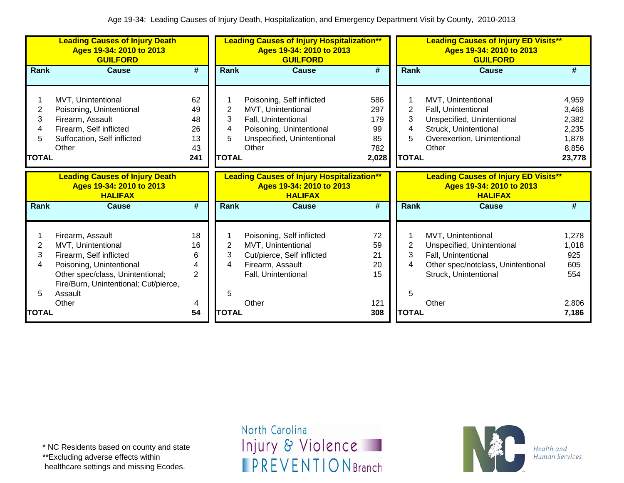|                                               | <b>Leading Causes of Injury Death</b><br>Ages 19-34: 2010 to 2013<br><b>GUILFORD</b>                                                                                                  |                                         |                                  | <b>Leading Causes of Injury Hospitalization**</b><br>Ages 19-34: 2010 to 2013<br><b>GUILFORD</b>                                          |                                               | <b>Leading Causes of Injury ED Visits**</b><br>Ages 19-34: 2010 to 2013<br><b>GUILFORD</b> |                                                                                                                                          |                                                              |
|-----------------------------------------------|---------------------------------------------------------------------------------------------------------------------------------------------------------------------------------------|-----------------------------------------|----------------------------------|-------------------------------------------------------------------------------------------------------------------------------------------|-----------------------------------------------|--------------------------------------------------------------------------------------------|------------------------------------------------------------------------------------------------------------------------------------------|--------------------------------------------------------------|
| Rank                                          | <b>Cause</b>                                                                                                                                                                          | #                                       | Rank                             | <b>Cause</b>                                                                                                                              | $\overline{\boldsymbol{r}}$                   | <b>Rank</b>                                                                                | <b>Cause</b>                                                                                                                             | #                                                            |
| $\overline{2}$<br>3<br>4<br>5<br><b>TOTAL</b> | MVT, Unintentional<br>Poisoning, Unintentional<br>Firearm, Assault<br>Firearm, Self inflicted<br>Suffocation, Self inflicted<br>Other                                                 | 62<br>49<br>48<br>26<br>13<br>43<br>241 | 2<br>3<br>4<br>5<br><b>TOTAL</b> | Poisoning, Self inflicted<br>MVT, Unintentional<br>Fall, Unintentional<br>Poisoning, Unintentional<br>Unspecified, Unintentional<br>Other | 586<br>297<br>179<br>99<br>85<br>782<br>2,028 | $\overline{2}$<br>3<br>5<br><b>TOTAL</b>                                                   | MVT, Unintentional<br>Fall, Unintentional<br>Unspecified, Unintentional<br>Struck, Unintentional<br>Overexertion, Unintentional<br>Other | 4,959<br>3,468<br>2,382<br>2,235<br>1,878<br>8,856<br>23,778 |
|                                               | <b>Leading Causes of Injury Death</b><br>Ages 19-34: 2010 to 2013<br><b>HALIFAX</b>                                                                                                   |                                         |                                  | <b>Leading Causes of Injury Hospitalization**</b><br>Ages 19-34: 2010 to 2013<br><b>HALIFAX</b>                                           |                                               |                                                                                            | <b>Leading Causes of Injury ED Visits**</b><br>Ages 19-34: 2010 to 2013<br><b>HALIFAX</b>                                                |                                                              |
| Rank                                          | <b>Cause</b>                                                                                                                                                                          | $\overline{\boldsymbol{t}}$             | Rank                             | <b>Cause</b>                                                                                                                              | #                                             | <b>Rank</b>                                                                                | <b>Cause</b>                                                                                                                             | #                                                            |
| 2<br>3<br>4<br>5                              | Firearm, Assault<br>MVT, Unintentional<br>Firearm, Self inflicted<br>Poisoning, Unintentional<br>Other spec/class, Unintentional;<br>Fire/Burn, Unintentional; Cut/pierce,<br>Assault | 18<br>16<br>6<br>4<br>$\overline{2}$    | 2<br>3<br>4<br>5                 | Poisoning, Self inflicted<br>MVT, Unintentional<br>Cut/pierce, Self inflicted<br>Firearm, Assault<br>Fall, Unintentional                  | 72<br>59<br>21<br>20<br>15                    | 2<br>3<br>4<br>5                                                                           | MVT, Unintentional<br>Unspecified, Unintentional<br>Fall, Unintentional<br>Other spec/notclass, Unintentional<br>Struck, Unintentional   | 1,278<br>1,018<br>925<br>605<br>554                          |
| TOTAL                                         | Other                                                                                                                                                                                 | 4<br>54                                 | <b>TOTAL</b>                     | Other                                                                                                                                     | 121<br>308                                    | <b>TOTAL</b>                                                                               | Other                                                                                                                                    | 2,806<br>7,186                                               |

\*\*Excluding adverse effects within

healthcare settings and missing Ecodes.

North Carolina Injury & Violence **IPREVENTIONBranch** 

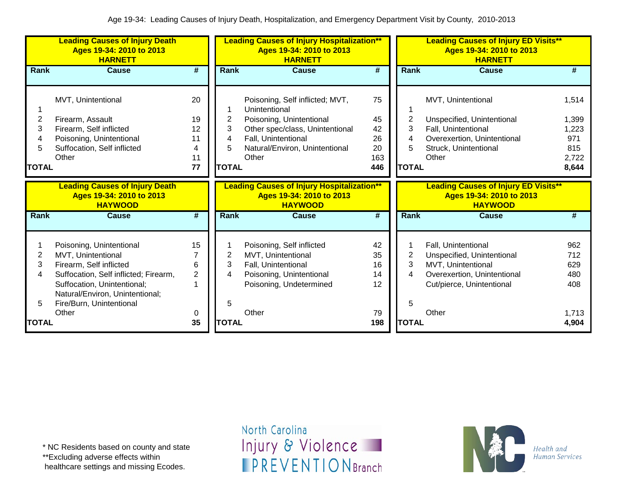|                                  | <b>Leading Causes of Injury Death</b><br>Ages 19-34: 2010 to 2013<br><b>HARNETT</b>                                                                                                                                       |                                       |                                  | <b>Leading Causes of Injury Hospitalization**</b><br>Ages 19-34: 2010 to 2013<br><b>HARNETT</b>                                                                                   |                                          |                                  | <b>Leading Causes of Injury ED Visits**</b><br>Ages 19-34: 2010 to 2013<br><b>HARNETT</b>                                                    |                                                         |
|----------------------------------|---------------------------------------------------------------------------------------------------------------------------------------------------------------------------------------------------------------------------|---------------------------------------|----------------------------------|-----------------------------------------------------------------------------------------------------------------------------------------------------------------------------------|------------------------------------------|----------------------------------|----------------------------------------------------------------------------------------------------------------------------------------------|---------------------------------------------------------|
| Rank                             | <b>Cause</b>                                                                                                                                                                                                              | $\overline{\boldsymbol{H}}$           | Rank                             | <b>Cause</b>                                                                                                                                                                      | $\overline{\boldsymbol{t}}$              | Rank                             | <b>Cause</b>                                                                                                                                 | #                                                       |
| 2<br>3<br>4<br>5<br><b>TOTAL</b> | MVT, Unintentional<br>Firearm, Assault<br>Firearm, Self inflicted<br>Poisoning, Unintentional<br>Suffocation, Self inflicted<br>Other                                                                                     | 20<br>19<br>12<br>11<br>4<br>11<br>77 | 2<br>3<br>4<br>5<br><b>TOTAL</b> | Poisoning, Self inflicted; MVT,<br>Unintentional<br>Poisoning, Unintentional<br>Other spec/class, Unintentional<br>Fall, Unintentional<br>Natural/Environ, Unintentional<br>Other | 75<br>45<br>42<br>26<br>20<br>163<br>446 | 2<br>3<br>4<br>5<br><b>TOTAL</b> | MVT, Unintentional<br>Unspecified, Unintentional<br>Fall, Unintentional<br>Overexertion, Unintentional<br>Struck, Unintentional<br>Other     | 1,514<br>1,399<br>1,223<br>971<br>815<br>2,722<br>8,644 |
|                                  | <b>Leading Causes of Injury Death</b><br>Ages 19-34: 2010 to 2013<br><b>HAYWOOD</b>                                                                                                                                       |                                       |                                  | <b>Leading Causes of Injury Hospitalization**</b><br>Ages 19-34: 2010 to 2013<br><b>HAYWOOD</b>                                                                                   |                                          |                                  | <b>Leading Causes of Injury ED Visits**</b><br>Ages 19-34: 2010 to 2013<br><b>HAYWOOD</b>                                                    |                                                         |
| Rank                             | <b>Cause</b>                                                                                                                                                                                                              | $\overline{\boldsymbol{t}}$           | Rank                             | <b>Cause</b>                                                                                                                                                                      | $\overline{\boldsymbol{t}}$              | Rank                             | <b>Cause</b>                                                                                                                                 | #                                                       |
| 2<br>3<br>4<br>5                 | Poisoning, Unintentional<br>MVT, Unintentional<br>Firearm, Self inflicted<br>Suffocation, Self inflicted; Firearm,<br>Suffocation, Unintentional;<br>Natural/Environ, Unintentional;<br>Fire/Burn, Unintentional<br>Other | 15<br>6<br>$\overline{2}$<br>0        | 2<br>3<br>4<br>5                 | Poisoning, Self inflicted<br>MVT, Unintentional<br>Fall, Unintentional<br>Poisoning, Unintentional<br>Poisoning, Undetermined<br>Other                                            | 42<br>35<br>16<br>14<br>12<br>79         | 2<br>3<br>4<br>5                 | Fall, Unintentional<br>Unspecified, Unintentional<br>MVT, Unintentional<br>Overexertion, Unintentional<br>Cut/pierce, Unintentional<br>Other | 962<br>712<br>629<br>480<br>408<br>1,713                |
| <b>TOTAL</b>                     |                                                                                                                                                                                                                           | 35                                    | <b>TOTAL</b>                     |                                                                                                                                                                                   | 198                                      | <b>TOTAL</b>                     |                                                                                                                                              | 4,904                                                   |

\*\*Excluding adverse effects within

healthcare settings and missing Ecodes.

North Carolina Injury & Violence **IPREVENTIONBranch** 

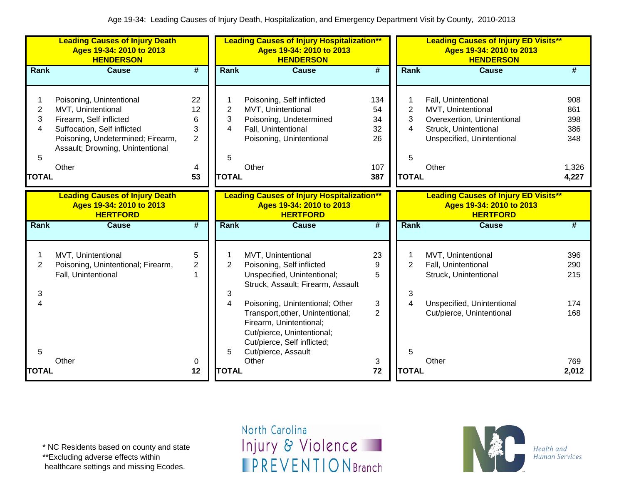|                                  | <b>Leading Causes of Injury Death</b><br>Ages 19-34: 2010 to 2013<br><b>HENDERSON</b>                                                                                                      |                                                 |                                             | <b>Leading Causes of Injury Hospitalization**</b><br>Ages 19-34: 2010 to 2013<br><b>HENDERSON</b>                                                                                                                                                                                  |                                           |                                  | <b>Leading Causes of Injury ED Visits**</b><br>Ages 19-34: 2010 to 2013<br><b>HENDERSON</b>                                              |                                                   |
|----------------------------------|--------------------------------------------------------------------------------------------------------------------------------------------------------------------------------------------|-------------------------------------------------|---------------------------------------------|------------------------------------------------------------------------------------------------------------------------------------------------------------------------------------------------------------------------------------------------------------------------------------|-------------------------------------------|----------------------------------|------------------------------------------------------------------------------------------------------------------------------------------|---------------------------------------------------|
| Rank                             | <b>Cause</b>                                                                                                                                                                               | $\overline{\boldsymbol{H}}$                     | Rank                                        | <b>Cause</b>                                                                                                                                                                                                                                                                       | $\overline{\boldsymbol{H}}$               | Rank                             | <b>Cause</b>                                                                                                                             | #                                                 |
| 2<br>3<br>4<br>5<br><b>TOTAL</b> | Poisoning, Unintentional<br>MVT, Unintentional<br>Firearm, Self inflicted<br>Suffocation, Self inflicted<br>Poisoning, Undetermined; Firearm,<br>Assault; Drowning, Unintentional<br>Other | 22<br>12<br>6<br>3<br>$\overline{2}$<br>4<br>53 | $\mathbf{2}$<br>3<br>4<br>5<br><b>TOTAL</b> | Poisoning, Self inflicted<br>MVT, Unintentional<br>Poisoning, Undetermined<br>Fall, Unintentional<br>Poisoning, Unintentional<br>Other                                                                                                                                             | 134<br>54<br>34<br>32<br>26<br>107<br>387 | 2<br>3<br>4<br>5<br><b>TOTAL</b> | Fall, Unintentional<br>MVT, Unintentional<br>Overexertion, Unintentional<br>Struck, Unintentional<br>Unspecified, Unintentional<br>Other | 908<br>861<br>398<br>386<br>348<br>1,326<br>4,227 |
|                                  | <b>Leading Causes of Injury Death</b><br>Ages 19-34: 2010 to 2013<br><b>HERTFORD</b>                                                                                                       |                                                 |                                             | <b>Leading Causes of Injury Hospitalization**</b><br>Ages 19-34: 2010 to 2013<br><b>HERTFORD</b>                                                                                                                                                                                   |                                           |                                  | <b>Leading Causes of Injury ED Visits**</b><br>Ages 19-34: 2010 to 2013<br><b>HERTFORD</b>                                               |                                                   |
| Rank                             | <b>Cause</b>                                                                                                                                                                               | $\overline{\boldsymbol{t}}$                     | Rank                                        | <b>Cause</b>                                                                                                                                                                                                                                                                       | $\overline{\boldsymbol{t}}$               | Rank                             | <b>Cause</b>                                                                                                                             | $\overline{\textbf{t}}$                           |
| $\overline{2}$<br>3<br>Δ         | MVT, Unintentional<br>Poisoning, Unintentional; Firearm,<br>Fall, Unintentional                                                                                                            | 5<br>$\overline{2}$<br>1                        | $\overline{2}$<br>3<br>4                    | MVT, Unintentional<br>Poisoning, Self inflicted<br>Unspecified, Unintentional;<br>Struck, Assault; Firearm, Assault<br>Poisoning, Unintentional; Other<br>Transport, other, Unintentional;<br>Firearm, Unintentional;<br>Cut/pierce, Unintentional;<br>Cut/pierce, Self inflicted; | 23<br>9<br>5<br>3<br>$\overline{2}$       | $\overline{2}$<br>3<br>4         | MVT, Unintentional<br>Fall, Unintentional<br>Struck, Unintentional<br>Unspecified, Unintentional<br>Cut/pierce, Unintentional            | 396<br>290<br>215<br>174<br>168                   |
| 5<br><b>TOTAL</b>                | Other                                                                                                                                                                                      | 0<br>12                                         | 5<br><b>TOTAL</b>                           | Cut/pierce, Assault<br>Other                                                                                                                                                                                                                                                       | 3<br>72                                   | 5<br><b>TOTAL</b>                | Other                                                                                                                                    | 769<br>2,012                                      |

\*\*Excluding adverse effects within

healthcare settings and missing Ecodes.

North Carolina Injury & Violence **IPREVENTIONBranch** 

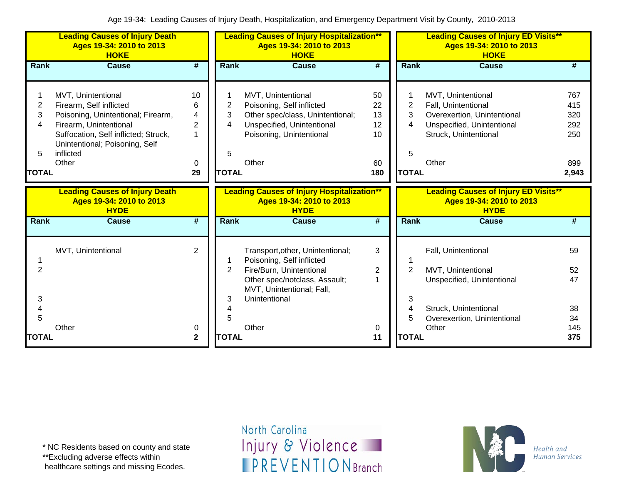|                                  | <b>Leading Causes of Injury Death</b><br>Ages 19-34: 2010 to 2013<br><b>HOKE</b>                                                                                                                              |                                                |                                  | <b>Leading Causes of Injury Hospitalization**</b><br>Ages 19-34: 2010 to 2013<br><b>HOKE</b>                                                           |                                         |                                  | <b>Leading Causes of Injury ED Visits**</b><br>Ages 19-34: 2010 to 2013<br><b>HOKE</b>                                                   |                                                 |
|----------------------------------|---------------------------------------------------------------------------------------------------------------------------------------------------------------------------------------------------------------|------------------------------------------------|----------------------------------|--------------------------------------------------------------------------------------------------------------------------------------------------------|-----------------------------------------|----------------------------------|------------------------------------------------------------------------------------------------------------------------------------------|-------------------------------------------------|
| Rank                             | <b>Cause</b>                                                                                                                                                                                                  | $\overline{\boldsymbol{t}}$                    | Rank                             | <b>Cause</b>                                                                                                                                           | $\overline{\boldsymbol{H}}$             | Rank                             | <b>Cause</b>                                                                                                                             | #                                               |
| 2<br>3<br>4<br>5<br><b>TOTAL</b> | MVT, Unintentional<br>Firearm, Self inflicted<br>Poisoning, Unintentional; Firearm,<br>Firearm, Unintentional<br>Suffocation, Self inflicted; Struck,<br>Unintentional; Poisoning, Self<br>inflicted<br>Other | 10<br>6<br>4<br>$\overline{2}$<br>1<br>0<br>29 | 2<br>3<br>4<br>5<br><b>TOTAL</b> | MVT, Unintentional<br>Poisoning, Self inflicted<br>Other spec/class, Unintentional;<br>Unspecified, Unintentional<br>Poisoning, Unintentional<br>Other | 50<br>22<br>13<br>12<br>10<br>60<br>180 | 2<br>3<br>4<br>5<br><b>TOTAL</b> | MVT, Unintentional<br>Fall, Unintentional<br>Overexertion, Unintentional<br>Unspecified, Unintentional<br>Struck, Unintentional<br>Other | 767<br>415<br>320<br>292<br>250<br>899<br>2,943 |
|                                  | <b>Leading Causes of Injury Death</b><br>Ages 19-34: 2010 to 2013<br><b>HYDE</b>                                                                                                                              |                                                |                                  | <b>Leading Causes of Injury Hospitalization**</b><br>Ages 19-34: 2010 to 2013<br><b>HYDE</b>                                                           |                                         |                                  | <b>Leading Causes of Injury ED Visits**</b><br>Ages 19-34: 2010 to 2013<br><b>HYDE</b>                                                   |                                                 |
| Rank                             | <b>Cause</b>                                                                                                                                                                                                  | $\overline{\#}$                                | Rank                             | <b>Cause</b>                                                                                                                                           | #                                       | <b>Rank</b>                      | <b>Cause</b>                                                                                                                             | #                                               |
| 2                                | MVT, Unintentional                                                                                                                                                                                            | $\overline{2}$                                 | 2                                | Transport, other, Unintentional;<br>Poisoning, Self inflicted<br>Fire/Burn, Unintentional                                                              | 3<br>2                                  | $\overline{2}$                   | Fall, Unintentional<br>MVT, Unintentional                                                                                                | 59<br>52                                        |
| 3<br>4                           |                                                                                                                                                                                                               |                                                | 3                                | Other spec/notclass, Assault;<br>MVT, Unintentional; Fall,<br>Unintentional                                                                            |                                         | 3<br>4                           | Unspecified, Unintentional                                                                                                               | 47                                              |
| 5                                | Other                                                                                                                                                                                                         | 0                                              | 5                                | Other                                                                                                                                                  | 0                                       | 5                                | Struck, Unintentional<br>Overexertion, Unintentional<br>Other                                                                            | 38<br>34<br>145                                 |
| <b>TOTAL</b>                     |                                                                                                                                                                                                               | $\mathbf{2}$                                   | <b>TOTAL</b>                     |                                                                                                                                                        | 11                                      | <b>TOTAL</b>                     |                                                                                                                                          | 375                                             |

\*\*Excluding adverse effects within

healthcare settings and missing Ecodes.

North Carolina Injury & Violence **IPREVENTIONBranch** 

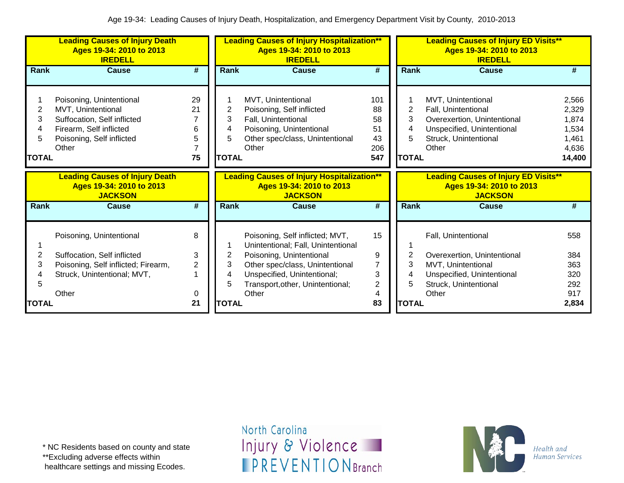|                           | <b>Leading Causes of Injury Death</b><br>Ages 19-34: 2010 to 2013<br><b>IREDELL</b>                                                            |                             |                                  | <b>Leading Causes of Injury Hospitalization**</b><br>Ages 19-34: 2010 to 2013<br><b>IREDELL</b>                                                |                                           |                             | <b>Leading Causes of Injury ED Visits**</b><br>Ages 19-34: 2010 to 2013<br><b>IREDELL</b>                                                |                                                              |
|---------------------------|------------------------------------------------------------------------------------------------------------------------------------------------|-----------------------------|----------------------------------|------------------------------------------------------------------------------------------------------------------------------------------------|-------------------------------------------|-----------------------------|------------------------------------------------------------------------------------------------------------------------------------------|--------------------------------------------------------------|
| Rank                      | <b>Cause</b>                                                                                                                                   | #                           | Rank                             | <b>Cause</b>                                                                                                                                   | #                                         | Rank                        | <b>Cause</b>                                                                                                                             | #                                                            |
| 2<br>3<br>4<br>5<br>TOTAL | Poisoning, Unintentional<br>MVT, Unintentional<br>Suffocation, Self inflicted<br>Firearm, Self inflicted<br>Poisoning, Self inflicted<br>Other | 29<br>21<br>6<br>5<br>75    | 2<br>3<br>4<br>5<br><b>TOTAL</b> | MVT, Unintentional<br>Poisoning, Self inflicted<br>Fall, Unintentional<br>Poisoning, Unintentional<br>Other spec/class, Unintentional<br>Other | 101<br>88<br>58<br>51<br>43<br>206<br>547 | 2<br>3<br>5<br><b>TOTAL</b> | MVT, Unintentional<br>Fall, Unintentional<br>Overexertion, Unintentional<br>Unspecified, Unintentional<br>Struck, Unintentional<br>Other | 2,566<br>2,329<br>1,874<br>1,534<br>1,461<br>4,636<br>14,400 |
|                           | <b>Leading Causes of Injury Death</b><br>Ages 19-34: 2010 to 2013<br><b>JACKSON</b>                                                            |                             |                                  | <b>Leading Causes of Injury Hospitalization**</b><br>Ages 19-34: 2010 to 2013<br><b>JACKSON</b>                                                |                                           |                             | <b>Leading Causes of Injury ED Visits**</b><br>Ages 19-34: 2010 to 2013<br><b>JACKSON</b>                                                |                                                              |
| Rank                      | <b>Cause</b>                                                                                                                                   | $\overline{\boldsymbol{r}}$ | Rank                             | <b>Cause</b>                                                                                                                                   | #                                         | Rank                        | <b>Cause</b>                                                                                                                             | #                                                            |
|                           | Poisoning, Unintentional                                                                                                                       | 8                           |                                  | Poisoning, Self inflicted; MVT,<br>Unintentional; Fall, Unintentional                                                                          | 15                                        |                             | Fall, Unintentional                                                                                                                      | 558                                                          |
| 2                         | Suffocation, Self inflicted                                                                                                                    | 3<br>$\overline{2}$         | 2<br>3                           | Poisoning, Unintentional                                                                                                                       | 9<br>$\overline{7}$                       | 2<br>3                      | Overexertion, Unintentional                                                                                                              | 384<br>363                                                   |
| 3<br>h                    | Poisoning, Self inflicted; Firearm,<br>Struck, Unintentional; MVT,                                                                             |                             | 4<br>5                           | Other spec/class, Unintentional<br>Unspecified, Unintentional;<br>Transport, other, Unintentional;                                             | 3<br>$\overline{2}$                       | 5                           | MVT, Unintentional<br>Unspecified, Unintentional<br>Struck, Unintentional                                                                | 320<br>292                                                   |
| <b>TOTAL</b>              | Other                                                                                                                                          | 0<br>21                     | <b>TOTAL</b>                     | Other                                                                                                                                          | 4<br>83                                   | <b>TOTAL</b>                | Other                                                                                                                                    | 917<br>2,834                                                 |

\* NC Residents based on county and state

\*\*Excluding adverse effects within

healthcare settings and missing Ecodes.

North Carolina Injury & Violence **IPREVENTIONBranch** 

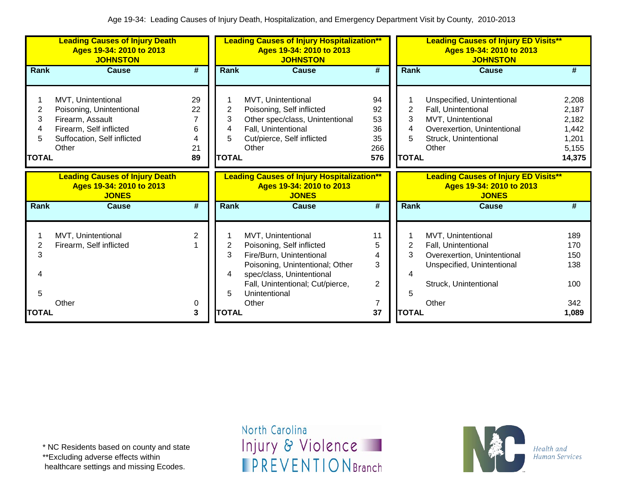|                                  | <b>Leading Causes of Injury Death</b><br>Ages 19-34: 2010 to 2013<br><b>JOHNSTON</b>                                                  |                                |                                  | <b>Leading Causes of Injury Hospitalization**</b><br>Ages 19-34: 2010 to 2013<br><b>JOHNSTON</b>                                                                                                 |                                          | <b>Leading Causes of Injury ED Visits**</b><br>Ages 19-34: 2010 to 2013<br><b>JOHNSTON</b><br>Rank<br><b>Cause</b> |                                                                                                                                          |                                                              |  |
|----------------------------------|---------------------------------------------------------------------------------------------------------------------------------------|--------------------------------|----------------------------------|--------------------------------------------------------------------------------------------------------------------------------------------------------------------------------------------------|------------------------------------------|--------------------------------------------------------------------------------------------------------------------|------------------------------------------------------------------------------------------------------------------------------------------|--------------------------------------------------------------|--|
| Rank                             | <b>Cause</b>                                                                                                                          | $\overline{\boldsymbol{r}}$    | Rank                             | <b>Cause</b>                                                                                                                                                                                     | #                                        |                                                                                                                    |                                                                                                                                          | #                                                            |  |
| 2<br>3<br>4<br>5<br><b>TOTAL</b> | MVT, Unintentional<br>Poisoning, Unintentional<br>Firearm, Assault<br>Firearm, Self inflicted<br>Suffocation, Self inflicted<br>Other | 29<br>22<br>6<br>4<br>21<br>89 | 2<br>3<br>4<br>5<br><b>TOTAL</b> | MVT, Unintentional<br>Poisoning, Self inflicted<br>Other spec/class, Unintentional<br>Fall, Unintentional<br>Cut/pierce, Self inflicted<br>Other                                                 | 94<br>92<br>53<br>36<br>35<br>266<br>576 | 2<br>3<br>5<br><b>TOTAL</b>                                                                                        | Unspecified, Unintentional<br>Fall, Unintentional<br>MVT, Unintentional<br>Overexertion, Unintentional<br>Struck, Unintentional<br>Other | 2,208<br>2,187<br>2,182<br>1,442<br>1,201<br>5,155<br>14,375 |  |
|                                  | <b>Leading Causes of Injury Death</b><br>Ages 19-34: 2010 to 2013<br><b>JONES</b>                                                     |                                |                                  | <b>Leading Causes of Injury Hospitalization**</b><br>Ages 19-34: 2010 to 2013<br><b>JONES</b>                                                                                                    |                                          |                                                                                                                    | <b>Leading Causes of Injury ED Visits**</b><br>Ages 19-34: 2010 to 2013<br><b>JONES</b>                                                  |                                                              |  |
| <b>Rank</b>                      | <b>Cause</b>                                                                                                                          | #                              | Rank                             | <b>Cause</b>                                                                                                                                                                                     | #                                        | Rank                                                                                                               | Cause                                                                                                                                    | #                                                            |  |
| 3<br>5                           | MVT, Unintentional<br>Firearm, Self inflicted                                                                                         | 2                              | 2<br>3<br>4                      | MVT, Unintentional<br>Poisoning, Self inflicted<br>Fire/Burn, Unintentional<br>Poisoning, Unintentional; Other<br>spec/class, Unintentional<br>Fall, Unintentional; Cut/pierce,<br>Unintentional | 11<br>5<br>4<br>3<br>$\overline{2}$      | 2<br>3<br>5                                                                                                        | MVT, Unintentional<br>Fall, Unintentional<br>Overexertion, Unintentional<br>Unspecified, Unintentional<br>Struck, Unintentional          | 189<br>170<br>150<br>138<br>100                              |  |
|                                  | Other                                                                                                                                 | 0                              |                                  | Other                                                                                                                                                                                            |                                          |                                                                                                                    | Other                                                                                                                                    | 342                                                          |  |

\*\*Excluding adverse effects within

healthcare settings and missing Ecodes.

North Carolina Injury & Violence **IPREVENTIONBranch** 

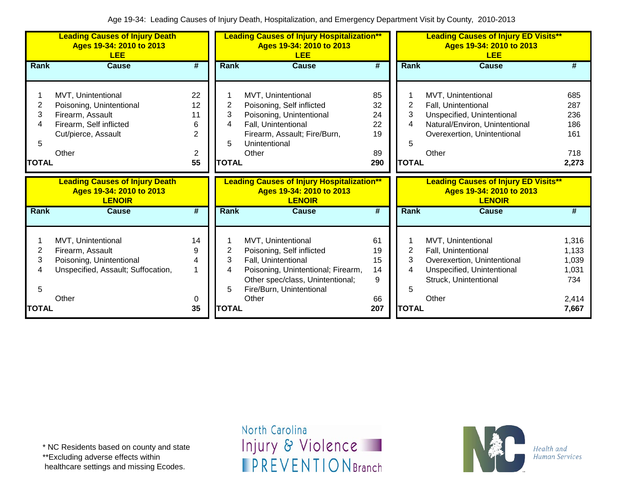|                             | <b>Leading Causes of Injury Death</b><br>Ages 19-34: 2010 to 2013<br><b>LEE</b>                                               |                                                  |                                  | <b>Leading Causes of Injury Hospitalization**</b><br>Ages 19-34: 2010 to 2013<br><b>LEE</b>                                                                                           |                                         |                                          | <b>Leading Causes of Injury ED Visits**</b><br>Ages 19-34: 2010 to 2013<br><b>LEE</b>                                                             |                                                  |
|-----------------------------|-------------------------------------------------------------------------------------------------------------------------------|--------------------------------------------------|----------------------------------|---------------------------------------------------------------------------------------------------------------------------------------------------------------------------------------|-----------------------------------------|------------------------------------------|---------------------------------------------------------------------------------------------------------------------------------------------------|--------------------------------------------------|
| Rank                        | <b>Cause</b>                                                                                                                  | #                                                | Rank                             | <b>Cause</b>                                                                                                                                                                          | #                                       | Rank                                     | <b>Cause</b>                                                                                                                                      | #                                                |
| 2<br>3<br>5<br><b>TOTAL</b> | MVT, Unintentional<br>Poisoning, Unintentional<br>Firearm, Assault<br>Firearm, Self inflicted<br>Cut/pierce, Assault<br>Other | 22<br>12<br>11<br>6<br>$\overline{2}$<br>2<br>55 | 2<br>3<br>4<br>5<br><b>TOTAL</b> | MVT, Unintentional<br>Poisoning, Self inflicted<br>Poisoning, Unintentional<br>Fall, Unintentional<br>Firearm, Assault; Fire/Burn,<br>Unintentional<br>Other                          | 85<br>32<br>24<br>22<br>19<br>89<br>290 | $\overline{2}$<br>3<br>5<br><b>TOTAL</b> | MVT, Unintentional<br>Fall, Unintentional<br>Unspecified, Unintentional<br>Natural/Environ, Unintentional<br>Overexertion, Unintentional<br>Other | 685<br>287<br>236<br>186<br>161<br>718<br>2,273  |
|                             |                                                                                                                               |                                                  |                                  |                                                                                                                                                                                       |                                         |                                          |                                                                                                                                                   |                                                  |
|                             | <b>Leading Causes of Injury Death</b><br>Ages 19-34: 2010 to 2013<br><b>LENOIR</b>                                            |                                                  |                                  | <b>Leading Causes of Injury Hospitalization**</b><br>Ages 19-34: 2010 to 2013<br><b>LENOIR</b>                                                                                        |                                         |                                          | <b>Leading Causes of Injury ED Visits**</b><br>Ages 19-34: 2010 to 2013<br><b>LENOIR</b>                                                          |                                                  |
| Rank                        | Cause                                                                                                                         | #                                                | Rank                             | <b>Cause</b>                                                                                                                                                                          | $\overline{\boldsymbol{t}}$             | Rank                                     | <b>Cause</b>                                                                                                                                      | #                                                |
| 2<br>3                      | MVT, Unintentional<br>Firearm, Assault<br>Poisoning, Unintentional<br>Unspecified, Assault; Suffocation,<br>Other             | 14<br>9<br>4<br>1<br>0                           | 2<br>3<br>4<br>5                 | MVT, Unintentional<br>Poisoning, Self inflicted<br>Fall, Unintentional<br>Poisoning, Unintentional; Firearm,<br>Other spec/class, Unintentional;<br>Fire/Burn, Unintentional<br>Other | 61<br>19<br>15<br>14<br>9<br>66         | 2<br>3<br>4<br>5                         | MVT, Unintentional<br>Fall, Unintentional<br>Overexertion, Unintentional<br>Unspecified, Unintentional<br>Struck, Unintentional<br>Other          | 1,316<br>1,133<br>1,039<br>1,031<br>734<br>2,414 |

\*\*Excluding adverse effects within

healthcare settings and missing Ecodes.

North Carolina Injury & Violence **IPREVENTIONBranch** 

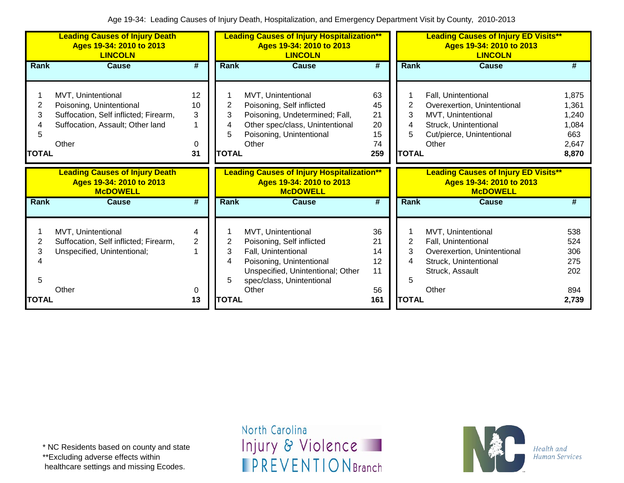|                             | <b>Leading Causes of Injury Death</b><br>Ages 19-34: 2010 to 2013<br><b>LINCOLN</b>                                                  |                               |                                  | <b>Leading Causes of Injury Hospitalization**</b><br>Ages 19-34: 2010 to 2013<br><b>LINCOLN</b>                                                                      |                                         |                                  | <b>Leading Causes of Injury ED Visits**</b><br>Ages 19-34: 2010 to 2013<br><b>LINCOLN</b>                                               |                                                           |
|-----------------------------|--------------------------------------------------------------------------------------------------------------------------------------|-------------------------------|----------------------------------|----------------------------------------------------------------------------------------------------------------------------------------------------------------------|-----------------------------------------|----------------------------------|-----------------------------------------------------------------------------------------------------------------------------------------|-----------------------------------------------------------|
| Rank                        | <b>Cause</b>                                                                                                                         | #                             | Rank                             | <b>Cause</b>                                                                                                                                                         | #                                       | Rank                             | <b>Cause</b>                                                                                                                            | #                                                         |
| 2<br>3<br>5<br><b>TOTAL</b> | MVT, Unintentional<br>Poisoning, Unintentional<br>Suffocation, Self inflicted; Firearm,<br>Suffocation, Assault; Other land<br>Other | 12<br>10<br>3<br>1<br>0<br>31 | 2<br>3<br>4<br>5<br><b>TOTAL</b> | MVT, Unintentional<br>Poisoning, Self inflicted<br>Poisoning, Undetermined; Fall,<br>Other spec/class, Unintentional<br>Poisoning, Unintentional<br>Other            | 63<br>45<br>21<br>20<br>15<br>74<br>259 | 2<br>3<br>4<br>5<br><b>TOTAL</b> | Fall, Unintentional<br>Overexertion, Unintentional<br>MVT, Unintentional<br>Struck, Unintentional<br>Cut/pierce, Unintentional<br>Other | 1,875<br>1,361<br>1,240<br>1,084<br>663<br>2,647<br>8,870 |
|                             | <b>Leading Causes of Injury Death</b><br>Ages 19-34: 2010 to 2013<br><b>McDOWELL</b>                                                 |                               |                                  | <b>Leading Causes of Injury Hospitalization**</b><br>Ages 19-34: 2010 to 2013<br><b>McDOWELL</b>                                                                     |                                         |                                  | <b>Leading Causes of Injury ED Visits**</b><br>Ages 19-34: 2010 to 2013<br><b>McDOWELL</b>                                              |                                                           |
| <b>Rank</b>                 | <b>Cause</b>                                                                                                                         | $\overline{\boldsymbol{t}}$   | Rank                             | <b>Cause</b>                                                                                                                                                         | $\overline{\boldsymbol{t}}$             | Rank                             | <b>Cause</b>                                                                                                                            | #                                                         |
| 2<br>3<br>5                 | MVT, Unintentional<br>Suffocation, Self inflicted; Firearm,<br>Unspecified, Unintentional;                                           | 4<br>$\overline{2}$           | 2<br>3<br>4<br>5                 | MVT, Unintentional<br>Poisoning, Self inflicted<br>Fall, Unintentional<br>Poisoning, Unintentional<br>Unspecified, Unintentional; Other<br>spec/class, Unintentional | 36<br>21<br>14<br>12<br>11              | 2<br>3<br>4<br>5                 | MVT, Unintentional<br>Fall, Unintentional<br>Overexertion, Unintentional<br>Struck, Unintentional<br>Struck, Assault                    | 538<br>524<br>306<br>275<br>202                           |
| TOTAL                       | Other                                                                                                                                | 0<br>13                       | <b>TOTAL</b>                     | Other                                                                                                                                                                | 56<br>161                               | <b>TOTAL</b>                     | Other                                                                                                                                   | 894<br>2,739                                              |

\*\*Excluding adverse effects within

healthcare settings and missing Ecodes.

North Carolina Injury & Violence **IPREVENTIONBranch** 

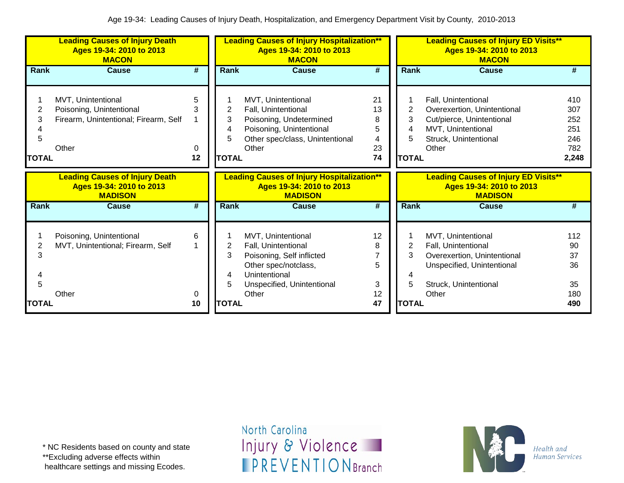|                             | <b>Leading Causes of Injury Death</b><br>Ages 19-34: 2010 to 2013<br><b>MACON</b>                |                   |                                  | <b>Leading Causes of Injury Hospitalization**</b><br>Ages 19-34: 2010 to 2013<br><b>MACON</b>                                                          |                                     |                                  | <b>Leading Causes of Injury ED Visits**</b><br>Ages 19-34: 2010 to 2013<br><b>MACON</b>                                                  |                                                 |
|-----------------------------|--------------------------------------------------------------------------------------------------|-------------------|----------------------------------|--------------------------------------------------------------------------------------------------------------------------------------------------------|-------------------------------------|----------------------------------|------------------------------------------------------------------------------------------------------------------------------------------|-------------------------------------------------|
| Rank                        | <b>Cause</b>                                                                                     | #                 | <b>Rank</b>                      | <b>Cause</b>                                                                                                                                           | #                                   | <b>Rank</b>                      | Cause                                                                                                                                    | #                                               |
| 2<br>3<br>5<br><b>TOTAL</b> | MVT, Unintentional<br>Poisoning, Unintentional<br>Firearm, Unintentional; Firearm, Self<br>Other | 5<br>3<br>0<br>12 | 2<br>3<br>4<br>5<br><b>TOTAL</b> | MVT, Unintentional<br>Fall, Unintentional<br>Poisoning, Undetermined<br>Poisoning, Unintentional<br>Other spec/class, Unintentional<br>Other           | 21<br>13<br>8<br>5<br>4<br>23<br>74 | 2<br>3<br>4<br>5<br><b>TOTAL</b> | Fall, Unintentional<br>Overexertion, Unintentional<br>Cut/pierce, Unintentional<br>MVT, Unintentional<br>Struck, Unintentional<br>Other  | 410<br>307<br>252<br>251<br>246<br>782<br>2,248 |
|                             | <b>Leading Causes of Injury Death</b><br>Ages 19-34: 2010 to 2013<br><b>MADISON</b>              |                   |                                  | <b>Leading Causes of Injury Hospitalization**</b><br>Ages 19-34: 2010 to 2013<br><b>MADISON</b>                                                        |                                     |                                  | <b>Leading Causes of Injury ED Visits**</b><br>Ages 19-34: 2010 to 2013<br><b>MADISON</b>                                                |                                                 |
| <b>Rank</b>                 | <b>Cause</b>                                                                                     | #                 | <b>Rank</b>                      | <b>Cause</b>                                                                                                                                           | #                                   | <b>Rank</b>                      | <b>Cause</b>                                                                                                                             | #                                               |
| 2<br>3<br>5<br><b>TOTAL</b> | Poisoning, Unintentional<br>MVT, Unintentional; Firearm, Self<br>Other                           | 6<br>0<br>10      | 2<br>3<br>4<br>5<br><b>TOTAL</b> | MVT, Unintentional<br>Fall, Unintentional<br>Poisoning, Self inflicted<br>Other spec/notclass,<br>Unintentional<br>Unspecified, Unintentional<br>Other | 12<br>8<br>5<br>3<br>12<br>47       | 2<br>3<br>5<br><b>TOTAL</b>      | MVT, Unintentional<br>Fall, Unintentional<br>Overexertion, Unintentional<br>Unspecified, Unintentional<br>Struck, Unintentional<br>Other | 112<br>90<br>37<br>36<br>35<br>180<br>490       |

\* NC Residents based on county and state

\*\*Excluding adverse effects within

healthcare settings and missing Ecodes.

North Carolina Injury & Violence **IPREVENTIONBranch** 

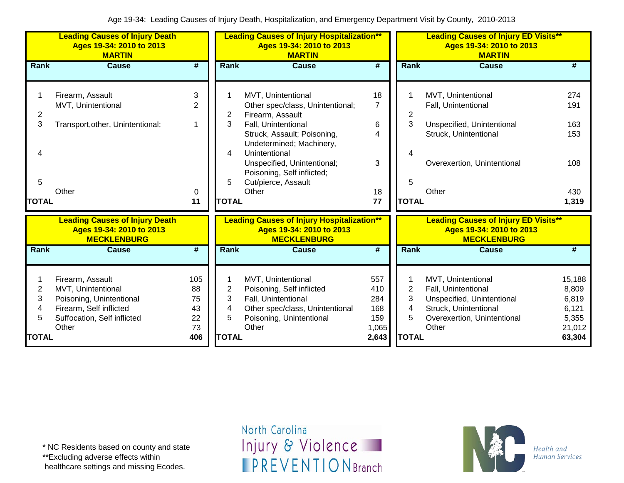|                                               | <b>Leading Causes of Injury Death</b><br>Ages 19-34: 2010 to 2013<br><b>MARTIN</b>                                                    |                                          |                                               | <b>Leading Causes of Injury Hospitalization**</b><br>Ages 19-34: 2010 to 2013<br><b>MARTIN</b>                                                                                                                                                                             |                                                   |                                               | <b>Leading Causes of Injury ED Visits**</b><br>Ages 19-34: 2010 to 2013<br><b>MARTIN</b>                                                 |                                                                |  |
|-----------------------------------------------|---------------------------------------------------------------------------------------------------------------------------------------|------------------------------------------|-----------------------------------------------|----------------------------------------------------------------------------------------------------------------------------------------------------------------------------------------------------------------------------------------------------------------------------|---------------------------------------------------|-----------------------------------------------|------------------------------------------------------------------------------------------------------------------------------------------|----------------------------------------------------------------|--|
| Rank                                          | <b>Cause</b>                                                                                                                          | $\overline{\#}$                          | Rank                                          | <b>Cause</b>                                                                                                                                                                                                                                                               | $\overline{\boldsymbol{H}}$                       | Rank                                          | <b>Cause</b>                                                                                                                             | #                                                              |  |
| $\overline{2}$<br>3<br>Δ<br>5<br><b>TOTAL</b> | Firearm, Assault<br>MVT, Unintentional<br>Transport, other, Unintentional;<br>Other                                                   | 3<br>$\overline{2}$<br>1<br>0<br>11      | $\overline{2}$<br>3<br>4<br>5<br><b>TOTAL</b> | MVT, Unintentional<br>Other spec/class, Unintentional;<br>Firearm, Assault<br>Fall, Unintentional<br>Struck, Assault; Poisoning,<br>Undetermined; Machinery,<br>Unintentional<br>Unspecified, Unintentional;<br>Poisoning, Self inflicted;<br>Cut/pierce, Assault<br>Other | 18<br>$\overline{7}$<br>6<br>4<br>3<br>18<br>77   | 2<br>3<br>5<br><b>TOTAL</b>                   | MVT, Unintentional<br>Fall, Unintentional<br>Unspecified, Unintentional<br>Struck, Unintentional<br>Overexertion, Unintentional<br>Other | 274<br>191<br>163<br>153<br>108<br>430<br>1,319                |  |
|                                               | <b>Leading Causes of Injury Death</b><br>Ages 19-34: 2010 to 2013<br><b>MECKLENBURG</b>                                               |                                          |                                               | <b>Leading Causes of Injury Hospitalization**</b><br>Ages 19-34: 2010 to 2013<br><b>MECKLENBURG</b>                                                                                                                                                                        |                                                   |                                               | <b>Leading Causes of Injury ED Visits**</b><br>Ages 19-34: 2010 to 2013<br><b>MECKLENBURG</b>                                            |                                                                |  |
| Rank                                          | <b>Cause</b>                                                                                                                          | #                                        | <b>Rank</b>                                   | <b>Cause</b>                                                                                                                                                                                                                                                               | #                                                 | Rank                                          | <b>Cause</b>                                                                                                                             | #                                                              |  |
| $\overline{2}$<br>3<br>4<br>5<br><b>TOTAL</b> | Firearm, Assault<br>MVT, Unintentional<br>Poisoning, Unintentional<br>Firearm, Self inflicted<br>Suffocation, Self inflicted<br>Other | 105<br>88<br>75<br>43<br>22<br>73<br>406 | $\overline{2}$<br>3<br>4<br>5<br><b>TOTAL</b> | MVT, Unintentional<br>Poisoning, Self inflicted<br>Fall, Unintentional<br>Other spec/class, Unintentional<br>Poisoning, Unintentional<br>Other                                                                                                                             | 557<br>410<br>284<br>168<br>159<br>1,065<br>2,643 | $\overline{2}$<br>3<br>4<br>5<br><b>TOTAL</b> | MVT, Unintentional<br>Fall, Unintentional<br>Unspecified, Unintentional<br>Struck, Unintentional<br>Overexertion, Unintentional<br>Other | 15,188<br>8,809<br>6,819<br>6,121<br>5,355<br>21,012<br>63,304 |  |

\*\*Excluding adverse effects within

healthcare settings and missing Ecodes.

North Carolina Injury & Violence **IPREVENTIONBranch** 

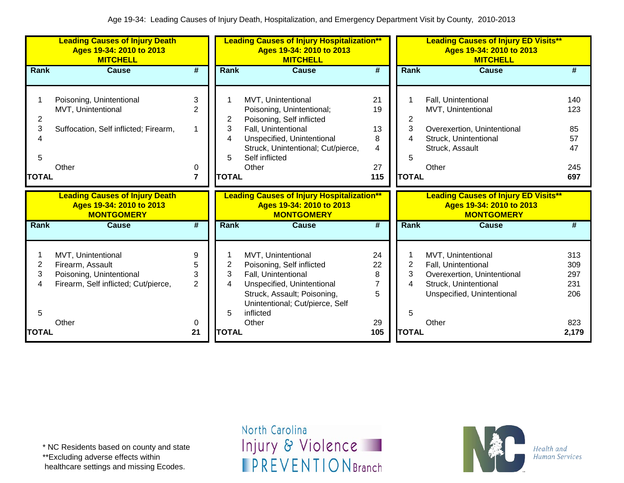|              | <b>Leading Causes of Injury Death</b><br>Ages 19-34: 2010 to 2013<br><b>MITCHELL</b> |                         |              | <b>Leading Causes of Injury Hospitalization**</b><br>Ages 19-34: 2010 to 2013<br><b>MITCHELL</b> |                             |                | <b>Leading Causes of Injury ED Visits**</b><br>Ages 19-34: 2010 to 2013<br><b>MITCHELL</b> |     |
|--------------|--------------------------------------------------------------------------------------|-------------------------|--------------|--------------------------------------------------------------------------------------------------|-----------------------------|----------------|--------------------------------------------------------------------------------------------|-----|
| Rank         | <b>Cause</b>                                                                         | #                       | Rank         | <b>Cause</b>                                                                                     | $\overline{\boldsymbol{t}}$ | <b>Rank</b>    | Cause                                                                                      | #   |
|              |                                                                                      |                         |              |                                                                                                  |                             |                |                                                                                            |     |
|              | Poisoning, Unintentional                                                             | 3                       |              | MVT, Unintentional                                                                               | 21                          |                | Fall, Unintentional                                                                        | 140 |
|              | MVT, Unintentional                                                                   | $\overline{2}$          |              | Poisoning, Unintentional;                                                                        | 19                          |                | MVT, Unintentional                                                                         | 123 |
| 2            |                                                                                      |                         | 2            | Poisoning, Self inflicted                                                                        |                             | 2              |                                                                                            |     |
| 3            | Suffocation, Self inflicted; Firearm,                                                | 1                       | 3            | Fall, Unintentional                                                                              | 13                          | 3              | Overexertion, Unintentional                                                                | 85  |
| Δ            |                                                                                      |                         | 4            | Unspecified, Unintentional                                                                       | 8                           |                | Struck, Unintentional                                                                      | 57  |
|              |                                                                                      |                         |              | Struck, Unintentional; Cut/pierce,                                                               | 4                           |                | Struck, Assault                                                                            | 47  |
| 5            |                                                                                      |                         | 5            | Self inflicted                                                                                   |                             | 5              |                                                                                            |     |
|              | Other                                                                                | 0                       |              | Other                                                                                            | 27                          |                | Other                                                                                      | 245 |
| <b>TOTAL</b> |                                                                                      | $\overline{\mathbf{r}}$ | <b>TOTAL</b> |                                                                                                  | 115                         | <b>TOTAL</b>   |                                                                                            | 697 |
|              | <b>Leading Causes of Injury Death</b>                                                |                         |              | <b>Leading Causes of Injury Hospitalization**</b>                                                |                             |                | <b>Leading Causes of Injury ED Visits**</b>                                                |     |
|              |                                                                                      |                         |              |                                                                                                  |                             |                |                                                                                            |     |
|              | Ages 19-34: 2010 to 2013<br><b>MONTGOMERY</b>                                        |                         |              | Ages 19-34: 2010 to 2013<br><b>MONTGOMERY</b>                                                    |                             |                | Ages 19-34: 2010 to 2013<br><b>MONTGOMERY</b>                                              |     |
| Rank         | Cause                                                                                | #                       | <b>Rank</b>  | <b>Cause</b>                                                                                     | #                           | Rank           | <b>Cause</b>                                                                               | #   |
|              |                                                                                      |                         |              |                                                                                                  |                             |                |                                                                                            |     |
|              |                                                                                      | 9                       |              |                                                                                                  | 24                          |                |                                                                                            | 313 |
| 2            | MVT, Unintentional<br>Firearm, Assault                                               | 5                       |              | MVT, Unintentional                                                                               | 22                          | $\overline{c}$ | MVT, Unintentional<br>Fall, Unintentional                                                  | 309 |
| 3            |                                                                                      | 3                       | 2<br>3       | Poisoning, Self inflicted                                                                        | 8                           | 3              |                                                                                            | 297 |
| 4            | Poisoning, Unintentional                                                             | $\overline{2}$          | 4            | Fall, Unintentional                                                                              |                             | 4              | Overexertion, Unintentional<br>Struck, Unintentional                                       | 231 |
|              | Firearm, Self inflicted; Cut/pierce,                                                 |                         |              | Unspecified, Unintentional<br>Struck, Assault; Poisoning,                                        | 5                           |                | Unspecified, Unintentional                                                                 | 206 |
|              |                                                                                      |                         |              | Unintentional; Cut/pierce, Self                                                                  |                             |                |                                                                                            |     |
| 5            |                                                                                      |                         | 5            | inflicted                                                                                        |                             | 5              |                                                                                            |     |
|              | Other                                                                                | 0                       |              | Other                                                                                            | 29                          |                | Other                                                                                      | 823 |

\* NC Residents based on county and state

\*\*Excluding adverse effects within

healthcare settings and missing Ecodes.

North Carolina Injury & Violence **IPREVENTIONBranch** 

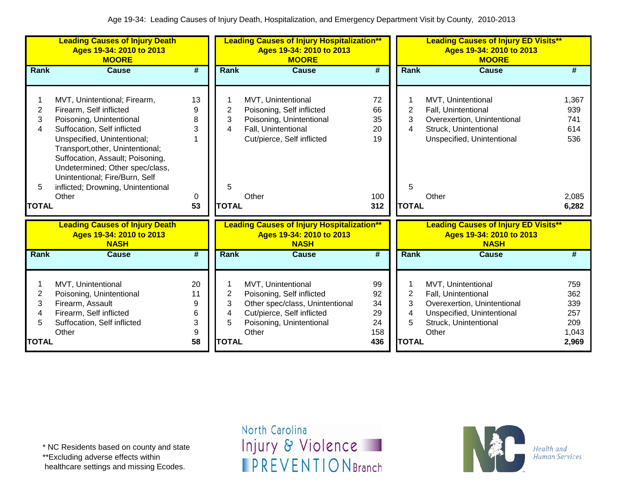|                                             | <b>Leading Causes of Injury Death</b><br>Ages 19-34: 2010 to 2013<br><b>MOORE</b>                                                                                                                                                                                                                                                             |                                    |                                               | <b>Leading Causes of Injury Hospitalization**</b><br>Ages 19-34: 2010 to 2013<br><b>MOORE</b>                                                         |                                          |                                               | <b>Leading Causes of Injury ED Visits**</b><br>Ages 19-34: 2010 to 2013<br><b>MOORE</b>                                                  |                                                     |
|---------------------------------------------|-----------------------------------------------------------------------------------------------------------------------------------------------------------------------------------------------------------------------------------------------------------------------------------------------------------------------------------------------|------------------------------------|-----------------------------------------------|-------------------------------------------------------------------------------------------------------------------------------------------------------|------------------------------------------|-----------------------------------------------|------------------------------------------------------------------------------------------------------------------------------------------|-----------------------------------------------------|
| Rank                                        | <b>Cause</b>                                                                                                                                                                                                                                                                                                                                  | #                                  | Rank                                          | <b>Cause</b>                                                                                                                                          | $\overline{\boldsymbol{H}}$              | Rank                                          | <b>Cause</b>                                                                                                                             | #                                                   |
| 2<br>3<br>4<br>5<br><b>TOTAL</b>            | MVT, Unintentional; Firearm,<br>Firearm, Self inflicted<br>Poisoning, Unintentional<br>Suffocation, Self inflicted<br>Unspecified, Unintentional;<br>Transport, other, Unintentional;<br>Suffocation, Assault; Poisoning,<br>Undetermined; Other spec/class,<br>Unintentional; Fire/Burn, Self<br>inflicted; Drowning, Unintentional<br>Other | 13<br>9<br>8<br>3<br>0<br>53       | 2<br>3<br>4<br>5<br><b>TOTAL</b>              | MVT, Unintentional<br>Poisoning, Self inflicted<br>Poisoning, Unintentional<br>Fall, Unintentional<br>Cut/pierce, Self inflicted<br>Other             | 72<br>66<br>35<br>20<br>19<br>100<br>312 | 2<br>3<br>4<br>5<br><b>TOTAL</b>              | MVT, Unintentional<br>Fall, Unintentional<br>Overexertion, Unintentional<br>Struck, Unintentional<br>Unspecified, Unintentional<br>Other | 1,367<br>939<br>741<br>614<br>536<br>2,085<br>6,282 |
|                                             | <b>Leading Causes of Injury Death</b><br>Ages 19-34: 2010 to 2013<br><b>NASH</b>                                                                                                                                                                                                                                                              |                                    |                                               | <b>Leading Causes of Injury Hospitalization**</b><br>Ages 19-34: 2010 to 2013<br><b>NASH</b>                                                          |                                          |                                               | <b>Leading Causes of Injury ED Visits**</b><br>Ages 19-34: 2010 to 2013<br><b>NASH</b>                                                   |                                                     |
| Rank                                        | <b>Cause</b>                                                                                                                                                                                                                                                                                                                                  | $\overline{\boldsymbol{t}}$        | Rank                                          | <b>Cause</b>                                                                                                                                          | $\overline{\boldsymbol{t}}$              | Rank                                          | <b>Cause</b>                                                                                                                             | #                                                   |
| 1<br>$\overline{2}$<br>3<br>4<br>5<br>TOTAL | MVT, Unintentional<br>Poisoning, Unintentional<br>Firearm, Assault<br>Firearm, Self inflicted<br>Suffocation, Self inflicted<br>Other                                                                                                                                                                                                         | 20<br>11<br>9<br>6<br>3<br>9<br>58 | $\overline{2}$<br>3<br>4<br>5<br><b>TOTAL</b> | MVT, Unintentional<br>Poisoning, Self inflicted<br>Other spec/class, Unintentional<br>Cut/pierce, Self inflicted<br>Poisoning, Unintentional<br>Other | 99<br>92<br>34<br>29<br>24<br>158<br>436 | $\overline{2}$<br>3<br>4<br>5<br><b>TOTAL</b> | MVT, Unintentional<br>Fall, Unintentional<br>Overexertion, Unintentional<br>Unspecified, Unintentional<br>Struck, Unintentional<br>Other | 759<br>362<br>339<br>257<br>209<br>1,043<br>2,969   |

\*\*Excluding adverse effects within

healthcare settings and missing Ecodes.

North Carolina Injury & Violence **IPREVENTIONBranch** 

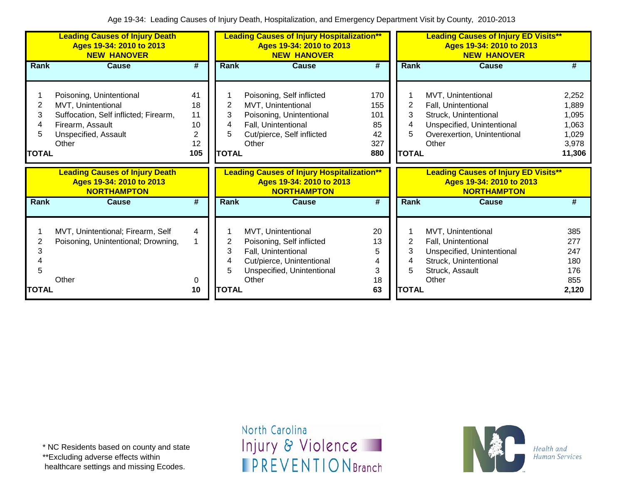|                             | <b>Leading Causes of Injury Death</b><br>Ages 19-34: 2010 to 2013<br><b>NEW HANOVER</b>                                                      |                                        |                                  | <b>Leading Causes of Injury Hospitalization**</b><br>Ages 19-34: 2010 to 2013<br><b>NEW HANOVER</b>                                        |                                             |                             | <b>Leading Causes of Injury ED Visits**</b><br>Ages 19-34: 2010 to 2013<br><b>NEW HANOVER</b>                                            |                                                              |
|-----------------------------|----------------------------------------------------------------------------------------------------------------------------------------------|----------------------------------------|----------------------------------|--------------------------------------------------------------------------------------------------------------------------------------------|---------------------------------------------|-----------------------------|------------------------------------------------------------------------------------------------------------------------------------------|--------------------------------------------------------------|
| Rank                        | <b>Cause</b>                                                                                                                                 | #                                      | Rank                             | <b>Cause</b>                                                                                                                               | #                                           | <b>Rank</b>                 | <b>Cause</b>                                                                                                                             | #                                                            |
| 2<br>3<br>5<br><b>TOTAL</b> | Poisoning, Unintentional<br>MVT, Unintentional<br>Suffocation, Self inflicted; Firearm,<br>Firearm, Assault<br>Unspecified, Assault<br>Other | 41<br>18<br>11<br>10<br>2<br>12<br>105 | 2<br>3<br>4<br>5<br><b>TOTAL</b> | Poisoning, Self inflicted<br>MVT, Unintentional<br>Poisoning, Unintentional<br>Fall, Unintentional<br>Cut/pierce, Self inflicted<br>Other  | 170<br>155<br>101<br>85<br>42<br>327<br>880 | 2<br>3<br>5<br><b>TOTAL</b> | MVT, Unintentional<br>Fall, Unintentional<br>Struck, Unintentional<br>Unspecified, Unintentional<br>Overexertion, Unintentional<br>Other | 2,252<br>1,889<br>1,095<br>1,063<br>1,029<br>3,978<br>11,306 |
|                             |                                                                                                                                              |                                        |                                  |                                                                                                                                            |                                             |                             |                                                                                                                                          |                                                              |
|                             | <b>Leading Causes of Injury Death</b><br>Ages 19-34: 2010 to 2013<br><b>NORTHAMPTON</b>                                                      |                                        |                                  | <b>Leading Causes of Injury Hospitalization**</b><br>Ages 19-34: 2010 to 2013<br><b>NORTHAMPTON</b>                                        |                                             |                             | <b>Leading Causes of Injury ED Visits**</b><br>Ages 19-34: 2010 to 2013<br><b>NORTHAMPTON</b>                                            |                                                              |
| <b>Rank</b>                 | <b>Cause</b>                                                                                                                                 | #                                      | <b>Rank</b>                      | <b>Cause</b>                                                                                                                               | #                                           | <b>Rank</b>                 | <b>Cause</b>                                                                                                                             | #                                                            |
| 2<br>3                      | MVT, Unintentional; Firearm, Self<br>Poisoning, Unintentional; Drowning,<br>Other                                                            | 4<br>1<br>0                            | 2<br>3<br>4                      | MVT, Unintentional<br>Poisoning, Self inflicted<br>Fall, Unintentional<br>Cut/pierce, Unintentional<br>Unspecified, Unintentional<br>Other | 20<br>13<br>5<br>4<br>3<br>18               | 2                           | MVT, Unintentional<br>Fall, Unintentional<br>Unspecified, Unintentional<br>Struck, Unintentional<br>Struck, Assault<br>Other             | 385<br>277<br>247<br>180<br>176<br>855                       |

\*\*Excluding adverse effects within

healthcare settings and missing Ecodes.

North Carolina Injury & Violence **IPREVENTIONBranch** 

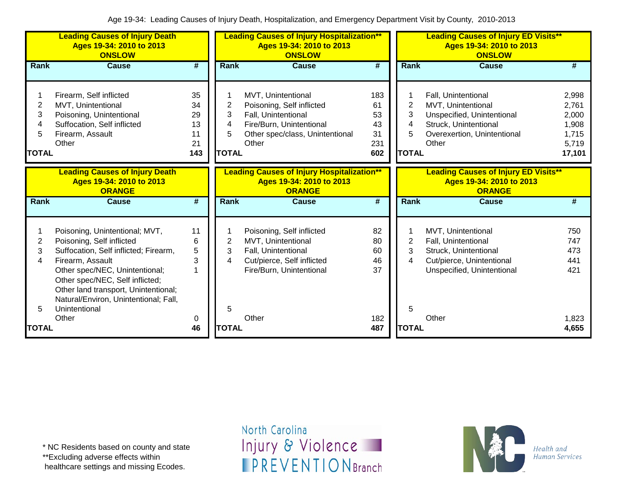|                                               | <b>Leading Causes of Injury Death</b><br>Ages 19-34: 2010 to 2013<br><b>ONSLOW</b>                                                                                                                                                                                                              |                                         |                                  | <b>Leading Causes of Injury Hospitalization**</b><br>Ages 19-34: 2010 to 2013<br><b>ONSLOW</b>                                                 |                                           |                                               | <b>Leading Causes of Injury ED Visits**</b><br>Ages 19-34: 2010 to 2013<br><b>ONSLOW</b>                                                 |                                                              |
|-----------------------------------------------|-------------------------------------------------------------------------------------------------------------------------------------------------------------------------------------------------------------------------------------------------------------------------------------------------|-----------------------------------------|----------------------------------|------------------------------------------------------------------------------------------------------------------------------------------------|-------------------------------------------|-----------------------------------------------|------------------------------------------------------------------------------------------------------------------------------------------|--------------------------------------------------------------|
| Rank                                          | <b>Cause</b>                                                                                                                                                                                                                                                                                    | $\overline{\boldsymbol{t}}$             | Rank                             | <b>Cause</b>                                                                                                                                   | $\overline{\boldsymbol{H}}$               | Rank                                          | <b>Cause</b>                                                                                                                             | #                                                            |
| $\overline{2}$<br>3<br>4<br>5<br><b>TOTAL</b> | Firearm, Self inflicted<br>MVT, Unintentional<br>Poisoning, Unintentional<br>Suffocation, Self inflicted<br>Firearm, Assault<br>Other                                                                                                                                                           | 35<br>34<br>29<br>13<br>11<br>21<br>143 | 2<br>3<br>4<br>5<br><b>TOTAL</b> | MVT, Unintentional<br>Poisoning, Self inflicted<br>Fall, Unintentional<br>Fire/Burn, Unintentional<br>Other spec/class, Unintentional<br>Other | 183<br>61<br>53<br>43<br>31<br>231<br>602 | $\overline{2}$<br>3<br>4<br>5<br><b>TOTAL</b> | Fall, Unintentional<br>MVT, Unintentional<br>Unspecified, Unintentional<br>Struck, Unintentional<br>Overexertion, Unintentional<br>Other | 2,998<br>2,761<br>2,000<br>1,908<br>1,715<br>5,719<br>17,101 |
|                                               | <b>Leading Causes of Injury Death</b><br>Ages 19-34: 2010 to 2013<br><b>ORANGE</b>                                                                                                                                                                                                              |                                         |                                  | <b>Leading Causes of Injury Hospitalization**</b><br>Ages 19-34: 2010 to 2013<br><b>ORANGE</b>                                                 |                                           |                                               | <b>Leading Causes of Injury ED Visits**</b><br>Ages 19-34: 2010 to 2013<br><b>ORANGE</b>                                                 |                                                              |
| Rank                                          | <b>Cause</b>                                                                                                                                                                                                                                                                                    | $\overline{\boldsymbol{t}}$             | Rank                             | <b>Cause</b>                                                                                                                                   | $\overline{\#}$                           | Rank                                          | <b>Cause</b>                                                                                                                             | #                                                            |
| 2<br>3<br>4<br>5                              | Poisoning, Unintentional; MVT,<br>Poisoning, Self inflicted<br>Suffocation, Self inflicted; Firearm,<br>Firearm, Assault<br>Other spec/NEC, Unintentional;<br>Other spec/NEC, Self inflicted;<br>Other land transport, Unintentional;<br>Natural/Environ, Unintentional; Fall,<br>Unintentional | 11<br>6<br>5<br>3<br>1                  | 2<br>3<br>4<br>5                 | Poisoning, Self inflicted<br>MVT, Unintentional<br>Fall, Unintentional<br>Cut/pierce, Self inflicted<br>Fire/Burn, Unintentional               | 82<br>80<br>60<br>46<br>37                | 2<br>3<br>4<br>5                              | MVT, Unintentional<br>Fall, Unintentional<br>Struck, Unintentional<br>Cut/pierce, Unintentional<br>Unspecified, Unintentional            | 750<br>747<br>473<br>441<br>421                              |
| <b>TOTAL</b>                                  | Other                                                                                                                                                                                                                                                                                           | 0<br>46                                 | <b>TOTAL</b>                     | Other                                                                                                                                          | 182<br>487                                | <b>TOTAL</b>                                  | Other                                                                                                                                    | 1,823<br>4,655                                               |

\*\*Excluding adverse effects within

healthcare settings and missing Ecodes.

North Carolina Injury & Violence **IPREVENTIONBranch** 

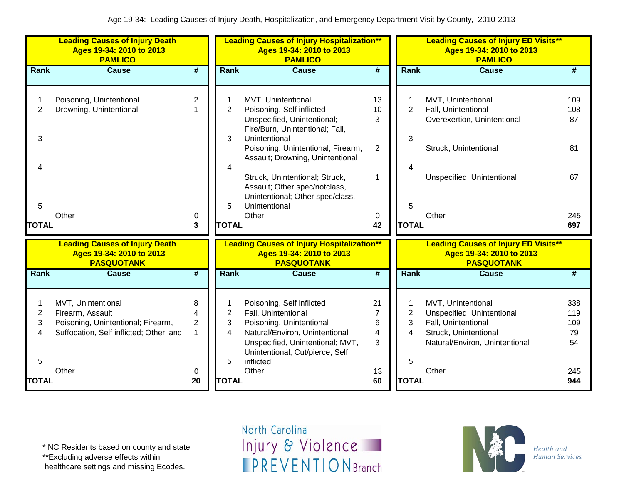|                                                  | <b>Leading Causes of Injury Death</b><br>Ages 19-34: 2010 to 2013<br><b>PAMLICO</b>                                              |                                          |                                               | <b>Leading Causes of Injury Hospitalization**</b><br>Ages 19-34: 2010 to 2013<br><b>PAMLICO</b>                                                                                                                                                                                                                                               |                                                              |                                               | <b>Leading Causes of Injury ED Visits**</b><br>Ages 19-34: 2010 to 2013<br><b>PAMLICO</b>                                                   |                                             |
|--------------------------------------------------|----------------------------------------------------------------------------------------------------------------------------------|------------------------------------------|-----------------------------------------------|-----------------------------------------------------------------------------------------------------------------------------------------------------------------------------------------------------------------------------------------------------------------------------------------------------------------------------------------------|--------------------------------------------------------------|-----------------------------------------------|---------------------------------------------------------------------------------------------------------------------------------------------|---------------------------------------------|
| Rank                                             | <b>Cause</b>                                                                                                                     | #                                        | Rank                                          | <b>Cause</b>                                                                                                                                                                                                                                                                                                                                  | $\overline{\boldsymbol{r}}$                                  | Rank                                          | <b>Cause</b>                                                                                                                                | #                                           |
| $\overline{2}$<br>3<br>4<br>5<br><b>TOTAL</b>    | Poisoning, Unintentional<br>Drowning, Unintentional<br>Other                                                                     | $\overline{2}$<br>1<br>0<br>3            | $\overline{2}$<br>3<br>4<br>5<br><b>TOTAL</b> | MVT, Unintentional<br>Poisoning, Self inflicted<br>Unspecified, Unintentional;<br>Fire/Burn, Unintentional; Fall,<br>Unintentional<br>Poisoning, Unintentional; Firearm,<br>Assault; Drowning, Unintentional<br>Struck, Unintentional; Struck,<br>Assault; Other spec/notclass,<br>Unintentional; Other spec/class,<br>Unintentional<br>Other | 13<br>10 <sup>1</sup><br>3<br>$\overline{2}$<br>1<br>0<br>42 | 2<br>3<br>5<br><b>TOTAL</b>                   | MVT, Unintentional<br>Fall, Unintentional<br>Overexertion, Unintentional<br>Struck, Unintentional<br>Unspecified, Unintentional<br>Other    | 109<br>108<br>87<br>81<br>67<br>245<br>697  |
|                                                  | <b>Leading Causes of Injury Death</b><br>Ages 19-34: 2010 to 2013<br><b>PASQUOTANK</b>                                           |                                          |                                               | <b>Leading Causes of Injury Hospitalization**</b><br>Ages 19-34: 2010 to 2013<br><b>PASQUOTANK</b>                                                                                                                                                                                                                                            |                                                              |                                               | <b>Leading Causes of Injury ED Visits**</b><br>Ages 19-34: 2010 to 2013<br><b>PASQUOTANK</b>                                                |                                             |
| <b>Rank</b>                                      | <b>Cause</b>                                                                                                                     | $\overline{\boldsymbol{t}}$              | <b>Rank</b>                                   | <b>Cause</b>                                                                                                                                                                                                                                                                                                                                  | $\overline{\boldsymbol{r}}$                                  | Rank                                          | <b>Cause</b>                                                                                                                                | #                                           |
| 1<br>$\mathbf{2}$<br>3<br>4<br>5<br><b>TOTAL</b> | MVT, Unintentional<br>Firearm, Assault<br>Poisoning, Unintentional; Firearm,<br>Suffocation, Self inflicted; Other land<br>Other | 8<br>4<br>$\overline{2}$<br>1<br>0<br>20 | 2<br>3<br>4<br>5<br><b>TOTAL</b>              | Poisoning, Self inflicted<br>Fall, Unintentional<br>Poisoning, Unintentional<br>Natural/Environ, Unintentional<br>Unspecified, Unintentional; MVT,<br>Unintentional; Cut/pierce, Self<br>inflicted<br>Other                                                                                                                                   | 21<br>$\overline{7}$<br>6<br>4<br>3<br>13<br>60              | $\overline{2}$<br>3<br>4<br>5<br><b>TOTAL</b> | MVT, Unintentional<br>Unspecified, Unintentional<br>Fall, Unintentional<br>Struck, Unintentional<br>Natural/Environ, Unintentional<br>Other | 338<br>119<br>109<br>79<br>54<br>245<br>944 |

\* NC Residents based on county and state

\*\*Excluding adverse effects within

healthcare settings and missing Ecodes.

North Carolina Injury & Violence **IPREVENTIONBranch** 

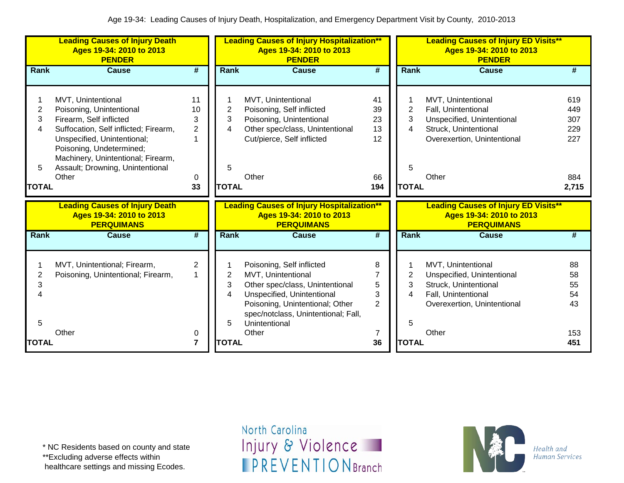|              | <b>Leading Causes of Injury Death</b><br>Ages 19-34: 2010 to 2013<br><b>PENDER</b>     |                |              | <b>Leading Causes of Injury Hospitalization**</b><br>Ages 19-34: 2010 to 2013<br><b>PENDER</b>     |                             |              | <b>Leading Causes of Injury ED Visits**</b><br>Ages 19-34: 2010 to 2013<br><b>PENDER</b>     |       |
|--------------|----------------------------------------------------------------------------------------|----------------|--------------|----------------------------------------------------------------------------------------------------|-----------------------------|--------------|----------------------------------------------------------------------------------------------|-------|
| Rank         | <b>Cause</b>                                                                           | #              | Rank         | <b>Cause</b>                                                                                       | #                           | Rank         | <b>Cause</b>                                                                                 | #     |
|              | MVT, Unintentional                                                                     | 11             |              | MVT, Unintentional                                                                                 | 41                          |              | MVT, Unintentional                                                                           | 619   |
| 2            | Poisoning, Unintentional                                                               | 10             | 2            | Poisoning, Self inflicted                                                                          | 39                          | 2            | Fall, Unintentional                                                                          | 449   |
| 3            | Firearm, Self inflicted                                                                | 3              | 3            | Poisoning, Unintentional                                                                           | 23                          | 3            | Unspecified, Unintentional                                                                   | 307   |
| 4            | Suffocation, Self inflicted; Firearm,                                                  | $\overline{2}$ | 4            | Other spec/class, Unintentional                                                                    | 13                          | 4            | Struck, Unintentional                                                                        | 229   |
|              | Unspecified, Unintentional;                                                            |                |              | Cut/pierce, Self inflicted                                                                         | 12                          |              | Overexertion, Unintentional                                                                  | 227   |
|              | Poisoning, Undetermined;                                                               |                |              |                                                                                                    |                             |              |                                                                                              |       |
|              | Machinery, Unintentional; Firearm,                                                     |                |              |                                                                                                    |                             |              |                                                                                              |       |
| 5            | Assault; Drowning, Unintentional                                                       |                | 5            |                                                                                                    |                             | 5            |                                                                                              |       |
|              | Other                                                                                  | 0              |              | Other                                                                                              | 66                          |              | Other                                                                                        | 884   |
| <b>TOTAL</b> |                                                                                        | 33             | <b>TOTAL</b> |                                                                                                    | 194                         | <b>TOTAL</b> |                                                                                              | 2,715 |
|              |                                                                                        |                |              |                                                                                                    |                             |              |                                                                                              |       |
|              | <b>Leading Causes of Injury Death</b><br>Ages 19-34: 2010 to 2013<br><b>PERQUIMANS</b> |                |              | <b>Leading Causes of Injury Hospitalization**</b><br>Ages 19-34: 2010 to 2013<br><b>PERQUIMANS</b> |                             |              | <b>Leading Causes of Injury ED Visits**</b><br>Ages 19-34: 2010 to 2013<br><b>PERQUIMANS</b> |       |
| Rank         | <b>Cause</b>                                                                           | #              | Rank         | <b>Cause</b>                                                                                       | $\overline{\boldsymbol{t}}$ | <b>Rank</b>  | <b>Cause</b>                                                                                 | #     |
|              |                                                                                        |                |              |                                                                                                    |                             |              |                                                                                              |       |
|              | MVT, Unintentional; Firearm,                                                           | 2              |              | Poisoning, Self inflicted                                                                          | 8                           |              | MVT, Unintentional                                                                           | 88    |
| 2            | Poisoning, Unintentional; Firearm,                                                     |                | 2            | MVT, Unintentional                                                                                 | $\overline{7}$              | 2            | Unspecified, Unintentional                                                                   | 58    |
| 3            |                                                                                        |                | 3            | Other spec/class, Unintentional                                                                    | 5                           | 3            | Struck, Unintentional                                                                        | 55    |
|              |                                                                                        |                | 4            | Unspecified, Unintentional                                                                         | 3                           | 4            | Fall, Unintentional                                                                          | 54    |
|              |                                                                                        |                |              | Poisoning, Unintentional; Other                                                                    | $\overline{2}$              |              | Overexertion, Unintentional                                                                  | 43    |
| 5            |                                                                                        |                | 5            | spec/notclass, Unintentional; Fall,<br>Unintentional                                               |                             | 5            |                                                                                              |       |
|              | Other                                                                                  | 0              |              | Other                                                                                              | 7                           |              | Other                                                                                        | 153   |

\* NC Residents based on county and state

\*\*Excluding adverse effects within

healthcare settings and missing Ecodes.

North Carolina Injury & Violence **IPREVENTIONBranch** 

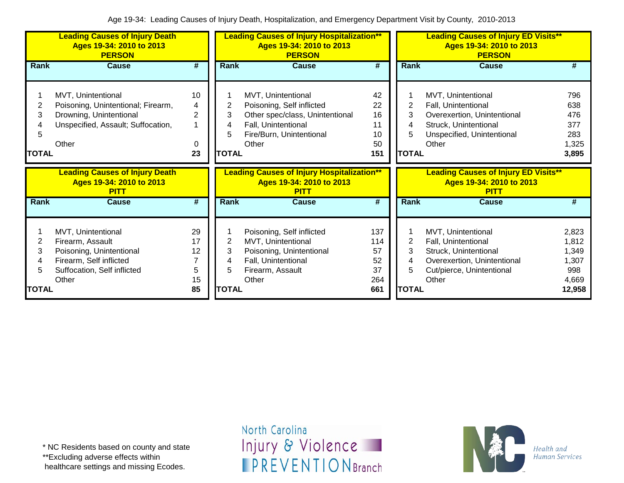|                             | <b>Leading Causes of Injury Death</b><br>Ages 19-34: 2010 to 2013<br><b>PERSON</b>                                                    |                                           | <b>Leading Causes of Injury Hospitalization**</b><br>Ages 19-34: 2010 to 2013<br><b>PERSON</b> |                                                                                                                                                |                                            | <b>Leading Causes of Injury ED Visits**</b><br>Ages 19-34: 2010 to 2013<br><b>PERSON</b> |                                                                                                                                          |                                                            |  |
|-----------------------------|---------------------------------------------------------------------------------------------------------------------------------------|-------------------------------------------|------------------------------------------------------------------------------------------------|------------------------------------------------------------------------------------------------------------------------------------------------|--------------------------------------------|------------------------------------------------------------------------------------------|------------------------------------------------------------------------------------------------------------------------------------------|------------------------------------------------------------|--|
| Rank                        | <b>Cause</b>                                                                                                                          | #                                         | <b>Rank</b>                                                                                    | <b>Cause</b>                                                                                                                                   | #                                          | <b>Rank</b>                                                                              | <b>Cause</b>                                                                                                                             | #                                                          |  |
| 2<br>3<br>5<br><b>TOTAL</b> | MVT, Unintentional<br>Poisoning, Unintentional; Firearm,<br>Drowning, Unintentional<br>Unspecified, Assault; Suffocation,<br>Other    | 10<br>4<br>$\overline{2}$<br>1<br>0<br>23 | 2<br>3<br>5<br><b>TOTAL</b>                                                                    | MVT, Unintentional<br>Poisoning, Self inflicted<br>Other spec/class, Unintentional<br>Fall, Unintentional<br>Fire/Burn, Unintentional<br>Other | 42<br>22<br>16<br>11<br>10<br>50<br>151    | 2<br>3<br>4<br>5<br><b>TOTAL</b>                                                         | MVT, Unintentional<br>Fall, Unintentional<br>Overexertion, Unintentional<br>Struck, Unintentional<br>Unspecified, Unintentional<br>Other | 796<br>638<br>476<br>377<br>283<br>1,325<br>3,895          |  |
|                             |                                                                                                                                       |                                           |                                                                                                |                                                                                                                                                |                                            |                                                                                          |                                                                                                                                          |                                                            |  |
|                             | <b>Leading Causes of Injury Death</b><br>Ages 19-34: 2010 to 2013<br><b>PITT</b>                                                      |                                           |                                                                                                | <b>Leading Causes of Injury Hospitalization**</b><br>Ages 19-34: 2010 to 2013<br><b>PITT</b>                                                   |                                            |                                                                                          | <b>Leading Causes of Injury ED Visits**</b><br>Ages 19-34: 2010 to 2013<br><b>PITT</b>                                                   |                                                            |  |
| <b>Rank</b>                 | <b>Cause</b>                                                                                                                          | #                                         | <b>Rank</b>                                                                                    | <b>Cause</b>                                                                                                                                   | $\overline{\boldsymbol{t}}$                | Rank                                                                                     | Cause                                                                                                                                    | #                                                          |  |
| 2<br>3<br>4<br>TOTAL        | MVT, Unintentional<br>Firearm, Assault<br>Poisoning, Unintentional<br>Firearm, Self inflicted<br>Suffocation, Self inflicted<br>Other | 29<br>17<br>12<br>7<br>5<br>15<br>85      | 2<br>3<br>5<br><b>TOTAL</b>                                                                    | Poisoning, Self inflicted<br>MVT, Unintentional<br>Poisoning, Unintentional<br>Fall, Unintentional<br>Firearm, Assault<br>Other                | 137<br>114<br>57<br>52<br>37<br>264<br>661 | 2<br>3<br>4<br>5<br><b>TOTAL</b>                                                         | MVT, Unintentional<br>Fall, Unintentional<br>Struck, Unintentional<br>Overexertion, Unintentional<br>Cut/pierce, Unintentional<br>Other  | 2,823<br>1,812<br>1,349<br>1,307<br>998<br>4,669<br>12,958 |  |

\*\*Excluding adverse effects within

healthcare settings and missing Ecodes.

North Carolina Injury & Violence **IPREVENTIONBranch** 

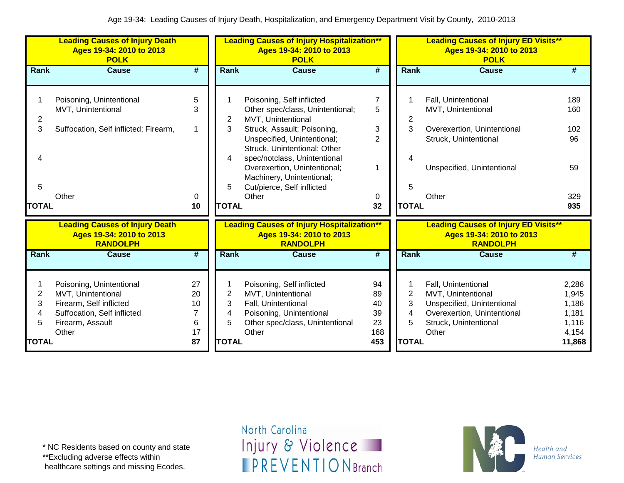|                       | <b>Leading Causes of Injury Death</b><br>Ages 19-34: 2010 to 2013<br><b>POLK</b><br><b>Cause</b>                                      |                                |                               | <b>Leading Causes of Injury Hospitalization**</b><br>Ages 19-34: 2010 to 2013<br><b>POLK</b>                                                                                                                      |                                            |                   | <b>Leading Causes of Injury ED Visits**</b><br>Ages 19-34: 2010 to 2013<br><b>POLK</b>                                                   |                                                    |  |  |
|-----------------------|---------------------------------------------------------------------------------------------------------------------------------------|--------------------------------|-------------------------------|-------------------------------------------------------------------------------------------------------------------------------------------------------------------------------------------------------------------|--------------------------------------------|-------------------|------------------------------------------------------------------------------------------------------------------------------------------|----------------------------------------------------|--|--|
| <b>Rank</b>           |                                                                                                                                       | #                              | Rank                          | <b>Cause</b>                                                                                                                                                                                                      | $\overline{\boldsymbol{r}}$                | Rank              | <b>Cause</b>                                                                                                                             | #                                                  |  |  |
| 2<br>3                | Poisoning, Unintentional<br>MVT, Unintentional<br>Suffocation, Self inflicted; Firearm,                                               | 5<br>3<br>1                    | 2<br>3<br>4                   | Poisoning, Self inflicted<br>Other spec/class, Unintentional;<br>MVT, Unintentional<br>Struck, Assault; Poisoning,<br>Unspecified, Unintentional;<br>Struck, Unintentional; Other<br>spec/notclass, Unintentional | $\overline{7}$<br>5<br>3<br>$\overline{2}$ | 2<br>3            | Fall, Unintentional<br>MVT, Unintentional<br>Overexertion, Unintentional<br>Struck, Unintentional                                        | 189<br>160<br>102<br>96                            |  |  |
| 5<br><b>TOTAL</b>     | Other                                                                                                                                 | 0<br>10                        | 5<br><b>TOTAL</b>             | Overexertion, Unintentional;<br>Machinery, Unintentional;<br>Cut/pierce, Self inflicted<br>Other                                                                                                                  | 1<br>0<br>32                               | 5<br><b>TOTAL</b> | Unspecified, Unintentional<br>Other                                                                                                      | 59<br>329<br>935                                   |  |  |
|                       | <b>Leading Causes of Injury Death</b><br>Ages 19-34: 2010 to 2013<br><b>RANDOLPH</b>                                                  |                                |                               | <b>Leading Causes of Injury Hospitalization**</b><br>Ages 19-34: 2010 to 2013<br><b>RANDOLPH</b>                                                                                                                  |                                            |                   | <b>Leading Causes of Injury ED Visits**</b><br>Ages 19-34: 2010 to 2013<br><b>RANDOLPH</b>                                               |                                                    |  |  |
| <b>Rank</b>           | <b>Cause</b>                                                                                                                          | #                              | <b>Rank</b>                   | <b>Cause</b>                                                                                                                                                                                                      | $\overline{\#}$                            | <b>Rank</b>       | <b>Cause</b>                                                                                                                             | #                                                  |  |  |
| 1<br>2<br>3<br>4<br>5 | Poisoning, Unintentional<br>MVT, Unintentional<br>Firearm, Self inflicted<br>Suffocation, Self inflicted<br>Firearm, Assault<br>Other | 27<br>20<br>10<br>7<br>6<br>17 | $\overline{2}$<br>3<br>4<br>5 | Poisoning, Self inflicted<br>MVT, Unintentional<br>Fall, Unintentional<br>Poisoning, Unintentional<br>Other spec/class, Unintentional<br>Other                                                                    | 94<br>89<br>40<br>39<br>23<br>168          | 2<br>3<br>4<br>5  | Fall, Unintentional<br>MVT, Unintentional<br>Unspecified, Unintentional<br>Overexertion, Unintentional<br>Struck, Unintentional<br>Other | 2,286<br>1,945<br>1,186<br>1,181<br>1,116<br>4,154 |  |  |
| <b>TOTAL</b>          |                                                                                                                                       | 87                             | <b>TOTAL</b>                  |                                                                                                                                                                                                                   | 453                                        | <b>TOTAL</b>      |                                                                                                                                          | 11,868                                             |  |  |

\* NC Residents based on county and state

\*\*Excluding adverse effects within

healthcare settings and missing Ecodes.

North Carolina Injury & Violence **IPREVENTIONBranch** 

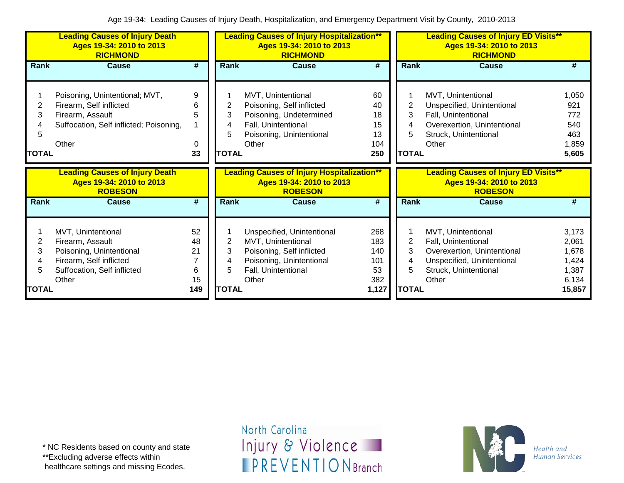|                             | <b>Leading Causes of Injury Death</b><br>Ages 19-34: 2010 to 2013<br><b>RICHMOND</b>                                                  |                                       | <b>Leading Causes of Injury Hospitalization**</b><br>Ages 19-34: 2010 to 2013<br><b>RICHMOND</b> |                                                                                                                                           |                                                |                                     | <b>Leading Causes of Injury ED Visits**</b><br>Ages 19-34: 2010 to 2013<br><b>RICHMOND</b>                                               |                                                              |  |  |
|-----------------------------|---------------------------------------------------------------------------------------------------------------------------------------|---------------------------------------|--------------------------------------------------------------------------------------------------|-------------------------------------------------------------------------------------------------------------------------------------------|------------------------------------------------|-------------------------------------|------------------------------------------------------------------------------------------------------------------------------------------|--------------------------------------------------------------|--|--|
| <b>Rank</b>                 | <b>Cause</b>                                                                                                                          | #                                     | <b>Rank</b>                                                                                      | <b>Cause</b>                                                                                                                              | #                                              | <b>Rank</b>                         | <b>Cause</b>                                                                                                                             | #                                                            |  |  |
| 2<br>3<br>5<br><b>TOTAL</b> | Poisoning, Unintentional; MVT,<br>Firearm, Self inflicted<br>Firearm, Assault<br>Suffocation, Self inflicted; Poisoning,<br>Other     | 9<br>6<br>5<br>0<br>33                | 2<br>3<br>5<br><b>TOTAL</b>                                                                      | MVT, Unintentional<br>Poisoning, Self inflicted<br>Poisoning, Undetermined<br>Fall, Unintentional<br>Poisoning, Unintentional<br>Other    | 60<br>40<br>18<br>15<br>13<br>104<br>250       | 2<br>3<br>5<br><b>TOTAL</b>         | MVT, Unintentional<br>Unspecified, Unintentional<br>Fall, Unintentional<br>Overexertion, Unintentional<br>Struck, Unintentional<br>Other | 1,050<br>921<br>772<br>540<br>463<br>1,859<br>5,605          |  |  |
|                             |                                                                                                                                       |                                       |                                                                                                  |                                                                                                                                           |                                                |                                     |                                                                                                                                          |                                                              |  |  |
|                             | <b>Leading Causes of Injury Death</b><br>Ages 19-34: 2010 to 2013<br><b>ROBESON</b>                                                   |                                       |                                                                                                  | <b>Leading Causes of Injury Hospitalization**</b><br>Ages 19-34: 2010 to 2013<br><b>ROBESON</b>                                           |                                                |                                     | <b>Leading Causes of Injury ED Visits**</b><br>Ages 19-34: 2010 to 2013<br><b>ROBESON</b>                                                |                                                              |  |  |
| <b>Rank</b>                 | <b>Cause</b>                                                                                                                          | $\overline{\boldsymbol{t}}$           | Rank                                                                                             | <b>Cause</b>                                                                                                                              | $\overline{\boldsymbol{H}}$                    | Rank                                | <b>Cause</b>                                                                                                                             | #                                                            |  |  |
| 2<br>3<br>TOTAL             | MVT, Unintentional<br>Firearm, Assault<br>Poisoning, Unintentional<br>Firearm, Self inflicted<br>Suffocation, Self inflicted<br>Other | 52<br>48<br>21<br>7<br>6<br>15<br>149 | $\overline{2}$<br>3<br>5<br><b>TOTAL</b>                                                         | Unspecified, Unintentional<br>MVT, Unintentional<br>Poisoning, Self inflicted<br>Poisoning, Unintentional<br>Fall, Unintentional<br>Other | 268<br>183<br>140<br>101<br>53<br>382<br>1,127 | $\overline{2}$<br>3<br><b>TOTAL</b> | MVT, Unintentional<br>Fall, Unintentional<br>Overexertion, Unintentional<br>Unspecified, Unintentional<br>Struck, Unintentional<br>Other | 3,173<br>2,061<br>1,678<br>1,424<br>1,387<br>6,134<br>15,857 |  |  |

\*\*Excluding adverse effects within

healthcare settings and missing Ecodes.

North Carolina Injury & Violence **IPREVENTIONBranch** 

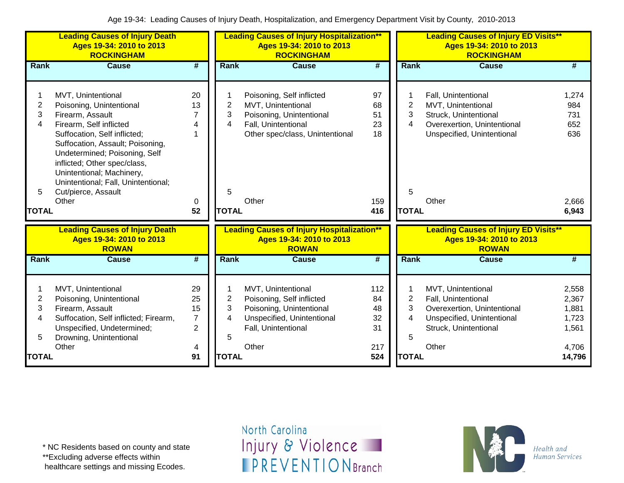|                                             | <b>Leading Causes of Injury Death</b><br>Ages 19-34: 2010 to 2013<br><b>ROCKINGHAM</b>                                                                                                                                                                                                                                                 |                                                         | <b>Leading Causes of Injury Hospitalization**</b><br>Ages 19-34: 2010 to 2013<br><b>ROCKINGHAM</b> |                                                                                                                                                |                                          | <b>Leading Causes of Injury ED Visits**</b><br>Ages 19-34: 2010 to 2013<br><b>ROCKINGHAM</b> |                                                                                                                                          |                                                     |
|---------------------------------------------|----------------------------------------------------------------------------------------------------------------------------------------------------------------------------------------------------------------------------------------------------------------------------------------------------------------------------------------|---------------------------------------------------------|----------------------------------------------------------------------------------------------------|------------------------------------------------------------------------------------------------------------------------------------------------|------------------------------------------|----------------------------------------------------------------------------------------------|------------------------------------------------------------------------------------------------------------------------------------------|-----------------------------------------------------|
| <b>Rank</b>                                 | <b>Cause</b>                                                                                                                                                                                                                                                                                                                           | $\overline{\boldsymbol{t}}$                             | Rank                                                                                               | <b>Cause</b>                                                                                                                                   | #                                        | Rank                                                                                         | <b>Cause</b>                                                                                                                             | #                                                   |
| $\mathbf{2}$<br>3<br>4<br>5<br><b>TOTAL</b> | MVT, Unintentional<br>Poisoning, Unintentional<br>Firearm, Assault<br>Firearm, Self inflicted<br>Suffocation, Self inflicted;<br>Suffocation, Assault; Poisoning,<br>Undetermined; Poisoning, Self<br>inflicted; Other spec/class,<br>Unintentional; Machinery,<br>Unintentional; Fall, Unintentional;<br>Cut/pierce, Assault<br>Other | 20<br>13<br>7<br>4<br>0<br>52                           | 2<br>3<br>4<br>5<br><b>TOTAL</b>                                                                   | Poisoning, Self inflicted<br>MVT, Unintentional<br>Poisoning, Unintentional<br>Fall, Unintentional<br>Other spec/class, Unintentional<br>Other | 97<br>68<br>51<br>23<br>18<br>159<br>416 | $\overline{c}$<br>3<br>4<br>5<br><b>TOTAL</b>                                                | Fall, Unintentional<br>MVT, Unintentional<br>Struck, Unintentional<br>Overexertion, Unintentional<br>Unspecified, Unintentional<br>Other | 1,274<br>984<br>731<br>652<br>636<br>2,666<br>6,943 |
|                                             | <b>Leading Causes of Injury Death</b><br>Ages 19-34: 2010 to 2013<br><b>ROWAN</b>                                                                                                                                                                                                                                                      |                                                         |                                                                                                    | <b>Leading Causes of Injury Hospitalization**</b><br>Ages 19-34: 2010 to 2013<br><b>ROWAN</b>                                                  |                                          |                                                                                              | <b>Leading Causes of Injury ED Visits**</b><br>Ages 19-34: 2010 to 2013<br><b>ROWAN</b>                                                  |                                                     |
| <b>Rank</b>                                 | <b>Cause</b>                                                                                                                                                                                                                                                                                                                           | $\overline{\#}$                                         | Rank                                                                                               | <b>Cause</b>                                                                                                                                   | #                                        | Rank                                                                                         | <b>Cause</b>                                                                                                                             | #                                                   |
| $\overline{2}$<br>3<br>4<br>5               | MVT, Unintentional<br>Poisoning, Unintentional<br>Firearm, Assault<br>Suffocation, Self inflicted; Firearm,<br>Unspecified, Undetermined;<br>Drowning, Unintentional<br>Other                                                                                                                                                          | 29<br>25<br>15<br>$\overline{7}$<br>$\overline{2}$<br>4 | $\overline{2}$<br>3<br>4<br>5                                                                      | MVT, Unintentional<br>Poisoning, Self inflicted<br>Poisoning, Unintentional<br>Unspecified, Unintentional<br>Fall, Unintentional<br>Other      | 112<br>84<br>48<br>32<br>31<br>217       | $\overline{2}$<br>3<br>4<br>5                                                                | MVT, Unintentional<br>Fall, Unintentional<br>Overexertion, Unintentional<br>Unspecified, Unintentional<br>Struck, Unintentional<br>Other | 2,558<br>2,367<br>1,881<br>1,723<br>1,561<br>4,706  |
| <b>TOTAL</b>                                |                                                                                                                                                                                                                                                                                                                                        | 91                                                      | <b>TOTAL</b>                                                                                       |                                                                                                                                                | 524                                      | <b>TOTAL</b>                                                                                 |                                                                                                                                          | 14,796                                              |

\*\*Excluding adverse effects within

healthcare settings and missing Ecodes.

North Carolina Injury & Violence **IPREVENTIONBranch** 

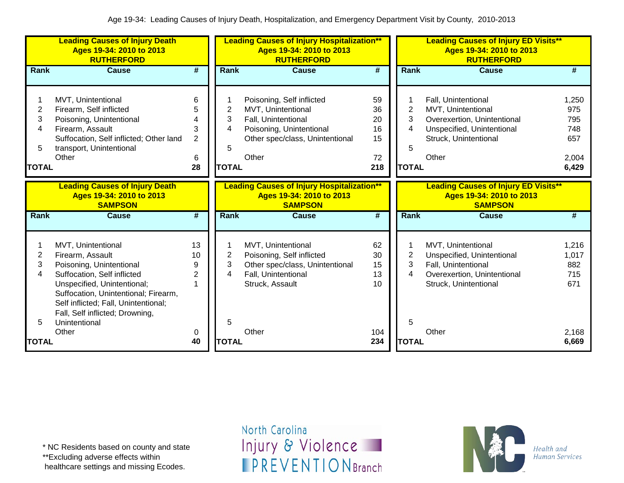|                                               | <b>Leading Causes of Injury Death</b><br>Ages 19-34: 2010 to 2013<br><b>RUTHERFORD</b>                                                                                                                                                                                        |                                               | <b>Leading Causes of Injury Hospitalization**</b><br>Ages 19-34: 2010 to 2013<br><b>RUTHERFORD</b> |                                                                                                                                                |                                         | <b>Leading Causes of Injury ED Visits**</b><br>Ages 19-34: 2010 to 2013<br><b>RUTHERFORD</b> |                                                                                                                                          |                                                     |  |
|-----------------------------------------------|-------------------------------------------------------------------------------------------------------------------------------------------------------------------------------------------------------------------------------------------------------------------------------|-----------------------------------------------|----------------------------------------------------------------------------------------------------|------------------------------------------------------------------------------------------------------------------------------------------------|-----------------------------------------|----------------------------------------------------------------------------------------------|------------------------------------------------------------------------------------------------------------------------------------------|-----------------------------------------------------|--|
| Rank                                          | <b>Cause</b>                                                                                                                                                                                                                                                                  | #                                             | Rank                                                                                               | <b>Cause</b>                                                                                                                                   | #                                       | <b>Rank</b>                                                                                  | <b>Cause</b>                                                                                                                             | #                                                   |  |
| $\overline{2}$<br>3<br>4<br>5<br><b>TOTAL</b> | MVT, Unintentional<br>Firearm, Self inflicted<br>Poisoning, Unintentional<br>Firearm, Assault<br>Suffocation, Self inflicted; Other land<br>transport, Unintentional<br>Other                                                                                                 | 6<br>5<br>4<br>3<br>$\overline{2}$<br>6<br>28 | 2<br>3<br>4<br>5<br><b>TOTAL</b>                                                                   | Poisoning, Self inflicted<br>MVT, Unintentional<br>Fall, Unintentional<br>Poisoning, Unintentional<br>Other spec/class, Unintentional<br>Other | 59<br>36<br>20<br>16<br>15<br>72<br>218 | $\overline{2}$<br>3<br>4<br>5<br><b>TOTAL</b>                                                | Fall, Unintentional<br>MVT, Unintentional<br>Overexertion, Unintentional<br>Unspecified, Unintentional<br>Struck, Unintentional<br>Other | 1,250<br>975<br>795<br>748<br>657<br>2,004<br>6,429 |  |
|                                               | <b>Leading Causes of Injury Death</b><br>Ages 19-34: 2010 to 2013<br><b>SAMPSON</b>                                                                                                                                                                                           |                                               |                                                                                                    | <b>Leading Causes of Injury Hospitalization**</b><br>Ages 19-34: 2010 to 2013<br><b>SAMPSON</b>                                                |                                         |                                                                                              | <b>Leading Causes of Injury ED Visits**</b><br>Ages 19-34: 2010 to 2013<br><b>SAMPSON</b>                                                |                                                     |  |
| Rank                                          | <b>Cause</b>                                                                                                                                                                                                                                                                  | #                                             | Rank                                                                                               | <b>Cause</b>                                                                                                                                   | #                                       | Rank                                                                                         | Cause                                                                                                                                    | #                                                   |  |
| 2<br>3<br>4<br>5                              | MVT, Unintentional<br>Firearm, Assault<br>Poisoning, Unintentional<br>Suffocation, Self inflicted<br>Unspecified, Unintentional;<br>Suffocation, Unintentional; Firearm,<br>Self inflicted; Fall, Unintentional;<br>Fall, Self inflicted; Drowning,<br>Unintentional<br>Other | 13<br>10<br>9<br>$\overline{2}$               | 2<br>3<br>4<br>5                                                                                   | MVT, Unintentional<br>Poisoning, Self inflicted<br>Other spec/class, Unintentional<br>Fall, Unintentional<br>Struck, Assault<br>Other          | 62<br>30<br>15<br>13<br>10<br>104       | 2<br>3<br>4<br>5                                                                             | MVT, Unintentional<br>Unspecified, Unintentional<br>Fall, Unintentional<br>Overexertion, Unintentional<br>Struck, Unintentional<br>Other | 1,216<br>1,017<br>882<br>715<br>671<br>2,168        |  |
|                                               |                                                                                                                                                                                                                                                                               | 0                                             |                                                                                                    |                                                                                                                                                |                                         |                                                                                              |                                                                                                                                          |                                                     |  |

\*\*Excluding adverse effects within

healthcare settings and missing Ecodes.

North Carolina Injury & Violence **IPREVENTIONBranch** 

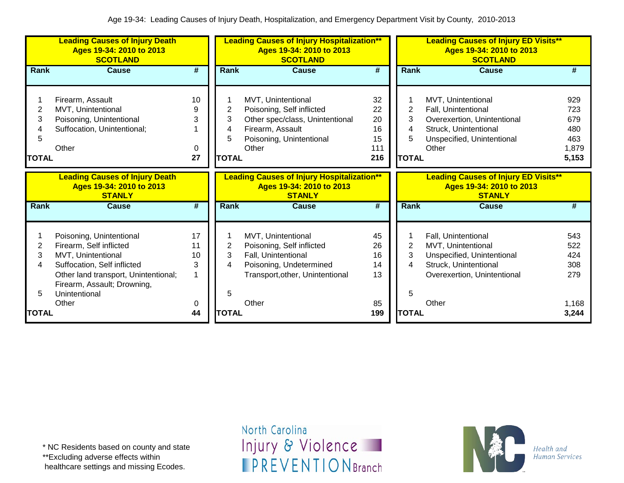|                             | <b>Leading Causes of Injury Death</b><br>Ages 19-34: 2010 to 2013<br><b>SCOTLAND</b>                                                                                                                      |                               | <b>Leading Causes of Injury Hospitalization**</b><br>Ages 19-34: 2010 to 2013<br><b>SCOTLAND</b> |                                                                                                                                               |                                          |                                  | <b>Leading Causes of Injury ED Visits**</b><br>Ages 19-34: 2010 to 2013<br><b>SCOTLAND</b>                                               |                                                   |
|-----------------------------|-----------------------------------------------------------------------------------------------------------------------------------------------------------------------------------------------------------|-------------------------------|--------------------------------------------------------------------------------------------------|-----------------------------------------------------------------------------------------------------------------------------------------------|------------------------------------------|----------------------------------|------------------------------------------------------------------------------------------------------------------------------------------|---------------------------------------------------|
| Rank                        | <b>Cause</b>                                                                                                                                                                                              | $\overline{\boldsymbol{t}}$   | Rank                                                                                             | <b>Cause</b>                                                                                                                                  | $\overline{\boldsymbol{t}}$              | Rank                             | <b>Cause</b>                                                                                                                             | #                                                 |
| 2<br>3<br>5<br><b>TOTAL</b> | Firearm, Assault<br>MVT, Unintentional<br>Poisoning, Unintentional<br>Suffocation, Unintentional;<br>Other                                                                                                | 10<br>9<br>3<br>0<br>27       | 2<br>3<br>4<br>5<br><b>TOTAL</b>                                                                 | MVT, Unintentional<br>Poisoning, Self inflicted<br>Other spec/class, Unintentional<br>Firearm, Assault<br>Poisoning, Unintentional<br>Other   | 32<br>22<br>20<br>16<br>15<br>111<br>216 | 2<br>3<br>4<br>5<br><b>TOTAL</b> | MVT, Unintentional<br>Fall, Unintentional<br>Overexertion, Unintentional<br>Struck, Unintentional<br>Unspecified, Unintentional<br>Other | 929<br>723<br>679<br>480<br>463<br>1,879<br>5,153 |
|                             | <b>Leading Causes of Injury Death</b><br>Ages 19-34: 2010 to 2013<br><b>STANLY</b>                                                                                                                        |                               |                                                                                                  | <b>Leading Causes of Injury Hospitalization**</b><br>Ages 19-34: 2010 to 2013<br><b>STANLY</b>                                                |                                          |                                  | <b>Leading Causes of Injury ED Visits**</b><br>Ages 19-34: 2010 to 2013<br><b>STANLY</b>                                                 |                                                   |
| Rank                        | <b>Cause</b>                                                                                                                                                                                              | #                             | <b>Rank</b>                                                                                      | <b>Cause</b>                                                                                                                                  | #                                        | <b>Rank</b>                      | <b>Cause</b>                                                                                                                             | #                                                 |
| 2<br>3<br>4<br>5            | Poisoning, Unintentional<br>Firearm, Self inflicted<br>MVT, Unintentional<br>Suffocation, Self inflicted<br>Other land transport, Unintentional;<br>Firearm, Assault; Drowning,<br>Unintentional<br>Other | 17<br>11<br>10<br>3<br>1<br>0 | 2<br>3<br>4<br>5                                                                                 | MVT, Unintentional<br>Poisoning, Self inflicted<br>Fall, Unintentional<br>Poisoning, Undetermined<br>Transport, other, Unintentional<br>Other | 45<br>26<br>16<br>14<br>13<br>85         | 2<br>3<br>5                      | Fall, Unintentional<br>MVT, Unintentional<br>Unspecified, Unintentional<br>Struck, Unintentional<br>Overexertion, Unintentional<br>Other | 543<br>522<br>424<br>308<br>279<br>1,168          |
| <b>TOTAL</b>                |                                                                                                                                                                                                           | 44                            | <b>TOTAL</b>                                                                                     |                                                                                                                                               | 199                                      | <b>TOTAL</b>                     |                                                                                                                                          | 3,244                                             |

\*\*Excluding adverse effects within

healthcare settings and missing Ecodes.

North Carolina Injury & Violence **IPREVENTIONBranch** 

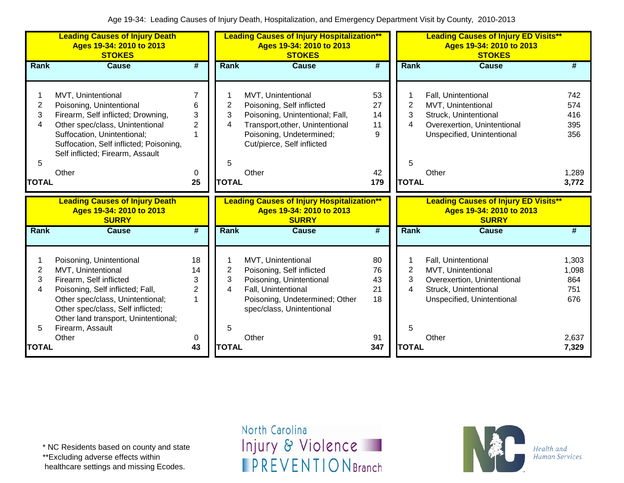|                  | <b>Leading Causes of Injury Death</b><br>Ages 19-34: 2010 to 2013<br><b>STOKES</b>                                                                                                                                                    |                                            |                               | <b>Leading Causes of Injury Hospitalization**</b><br>Ages 19-34: 2010 to 2013<br><b>STOKES</b>                                                                                  |                             |                               | <b>Leading Causes of Injury ED Visits**</b><br>Ages 19-34: 2010 to 2013<br><b>STOKES</b>                                        |                                     |
|------------------|---------------------------------------------------------------------------------------------------------------------------------------------------------------------------------------------------------------------------------------|--------------------------------------------|-------------------------------|---------------------------------------------------------------------------------------------------------------------------------------------------------------------------------|-----------------------------|-------------------------------|---------------------------------------------------------------------------------------------------------------------------------|-------------------------------------|
| Rank             | <b>Cause</b>                                                                                                                                                                                                                          | #                                          | Rank                          | <b>Cause</b>                                                                                                                                                                    | $\overline{\boldsymbol{t}}$ | <b>Rank</b>                   | <b>Cause</b>                                                                                                                    | #                                   |
| 2<br>3<br>4<br>5 | MVT, Unintentional<br>Poisoning, Unintentional<br>Firearm, Self inflicted; Drowning,<br>Other spec/class, Unintentional<br>Suffocation, Unintentional;<br>Suffocation, Self inflicted; Poisoning,<br>Self inflicted; Firearm, Assault | 6<br>3<br>$\overline{2}$<br>$\overline{1}$ | $\overline{2}$<br>3<br>4<br>5 | MVT, Unintentional<br>Poisoning, Self inflicted<br>Poisoning, Unintentional; Fall,<br>Transport, other, Unintentional<br>Poisoning, Undetermined;<br>Cut/pierce, Self inflicted | 53<br>27<br>14<br>11<br>9   | $\overline{2}$<br>3<br>4<br>5 | Fall, Unintentional<br>MVT, Unintentional<br>Struck, Unintentional<br>Overexertion, Unintentional<br>Unspecified, Unintentional | 742<br>574<br>416<br>395<br>356     |
|                  | Other                                                                                                                                                                                                                                 | 0                                          | <b>TOTAL</b>                  | Other                                                                                                                                                                           | 42                          | <b>TOTAL</b>                  | Other                                                                                                                           | 1,289                               |
| <b>TOTAL</b>     |                                                                                                                                                                                                                                       | 25                                         |                               |                                                                                                                                                                                 | 179                         |                               |                                                                                                                                 | 3,772                               |
|                  | <b>Leading Causes of Injury Death</b><br>Ages 19-34: 2010 to 2013<br><b>SURRY</b>                                                                                                                                                     |                                            |                               | <b>Leading Causes of Injury Hospitalization**</b><br>Ages 19-34: 2010 to 2013<br><b>SURRY</b>                                                                                   |                             |                               | <b>Leading Causes of Injury ED Visits**</b><br>Ages 19-34: 2010 to 2013<br><b>SURRY</b>                                         |                                     |
| Rank             | <b>Cause</b>                                                                                                                                                                                                                          | #                                          | Rank                          | <b>Cause</b>                                                                                                                                                                    | #                           | <b>Rank</b>                   | Cause                                                                                                                           | #                                   |
| 1<br>2<br>3<br>4 | Poisoning, Unintentional<br>MVT, Unintentional<br>Firearm, Self inflicted<br>Poisoning, Self inflicted; Fall,<br>Other spec/class, Unintentional;<br>Other spec/class, Self inflicted;<br>Other land transport, Unintentional;        | 18<br>14<br>3<br>$\overline{2}$<br>1       | 2<br>3<br>4                   | MVT, Unintentional<br>Poisoning, Self inflicted<br>Poisoning, Unintentional<br>Fall, Unintentional<br>Poisoning, Undetermined; Other<br>spec/class, Unintentional               | 80<br>76<br>43<br>21<br>18  | $\overline{c}$<br>3<br>4      | Fall, Unintentional<br>MVT, Unintentional<br>Overexertion, Unintentional<br>Struck, Unintentional<br>Unspecified, Unintentional | 1,303<br>1,098<br>864<br>751<br>676 |
| 5                | Firearm, Assault                                                                                                                                                                                                                      |                                            | 5                             |                                                                                                                                                                                 |                             | 5                             |                                                                                                                                 |                                     |

\* NC Residents based on county and state

\*\*Excluding adverse effects within

healthcare settings and missing Ecodes.

North Carolina Injury & Violence **IPREVENTIONBranch** 

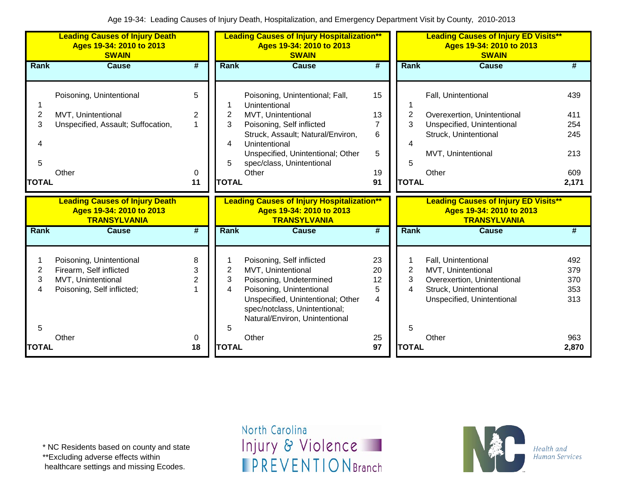|                                               | <b>Leading Causes of Injury Death</b><br>Ages 19-34: 2010 to 2013<br><b>SWAIN</b>                                |                                     |                                               | <b>Leading Causes of Injury Hospitalization**</b><br>Ages 19-34: 2010 to 2013<br><b>SWAIN</b>                                                                                                                                        | <b>Leading Causes of Injury ED Visits**</b><br>Ages 19-34: 2010 to 2013<br><b>SWAIN</b> |                                               |                                                                                                                                          |                                                 |
|-----------------------------------------------|------------------------------------------------------------------------------------------------------------------|-------------------------------------|-----------------------------------------------|--------------------------------------------------------------------------------------------------------------------------------------------------------------------------------------------------------------------------------------|-----------------------------------------------------------------------------------------|-----------------------------------------------|------------------------------------------------------------------------------------------------------------------------------------------|-------------------------------------------------|
| Rank                                          | <b>Cause</b>                                                                                                     | $\overline{\#}$                     | Rank                                          | <b>Cause</b>                                                                                                                                                                                                                         | #                                                                                       | Rank                                          | <b>Cause</b>                                                                                                                             | #                                               |
| 1<br>$\overline{2}$<br>3<br>5<br><b>TOTAL</b> | Poisoning, Unintentional<br>MVT, Unintentional<br>Unspecified, Assault; Suffocation,<br>Other                    | 5<br>2<br>$\overline{1}$<br>0<br>11 | $\overline{2}$<br>3<br>4<br>5<br><b>TOTAL</b> | Poisoning, Unintentional; Fall,<br>Unintentional<br>MVT, Unintentional<br>Poisoning, Self inflicted<br>Struck, Assault; Natural/Environ,<br>Unintentional<br>Unspecified, Unintentional; Other<br>spec/class, Unintentional<br>Other | 15<br>13<br>$\overline{7}$<br>6<br>5<br>19<br>91                                        | $\overline{2}$<br>3<br>4<br>5<br><b>TOTAL</b> | Fall, Unintentional<br>Overexertion, Unintentional<br>Unspecified, Unintentional<br>Struck, Unintentional<br>MVT, Unintentional<br>Other | 439<br>411<br>254<br>245<br>213<br>609<br>2,171 |
|                                               |                                                                                                                  |                                     |                                               |                                                                                                                                                                                                                                      |                                                                                         |                                               |                                                                                                                                          |                                                 |
|                                               | <b>Leading Causes of Injury Death</b><br>Ages 19-34: 2010 to 2013<br><b>TRANSYLVANIA</b>                         |                                     |                                               | <b>Leading Causes of Injury Hospitalization**</b><br>Ages 19-34: 2010 to 2013<br><b>TRANSYLVANIA</b>                                                                                                                                 |                                                                                         |                                               | <b>Leading Causes of Injury ED Visits**</b><br>Ages 19-34: 2010 to 2013<br><b>TRANSYLVANIA</b>                                           |                                                 |
| Rank                                          | <b>Cause</b>                                                                                                     | $\overline{\boldsymbol{t}}$         | Rank                                          | <b>Cause</b>                                                                                                                                                                                                                         | $\overline{\#}$                                                                         | <b>Rank</b>                                   | <b>Cause</b>                                                                                                                             | #                                               |
| 1<br>2<br>3<br>4<br>5<br><b>TOTAL</b>         | Poisoning, Unintentional<br>Firearm, Self inflicted<br>MVT, Unintentional<br>Poisoning, Self inflicted;<br>Other | 8<br>3<br>$\overline{2}$<br>0<br>18 | $\overline{c}$<br>3<br>4<br>5<br><b>TOTAL</b> | Poisoning, Self inflicted<br>MVT, Unintentional<br>Poisoning, Undetermined<br>Poisoning, Unintentional<br>Unspecified, Unintentional; Other<br>spec/notclass, Unintentional;<br>Natural/Environ, Unintentional<br>Other              | 23<br>20<br>12<br>5<br>4<br>25<br>97                                                    | $\overline{2}$<br>3<br>4<br>5<br><b>TOTAL</b> | Fall, Unintentional<br>MVT, Unintentional<br>Overexertion, Unintentional<br>Struck, Unintentional<br>Unspecified, Unintentional<br>Other | 492<br>379<br>370<br>353<br>313<br>963<br>2,870 |

\*\*Excluding adverse effects within

healthcare settings and missing Ecodes.

North Carolina Injury & Violence **IPREVENTIONBranch** 

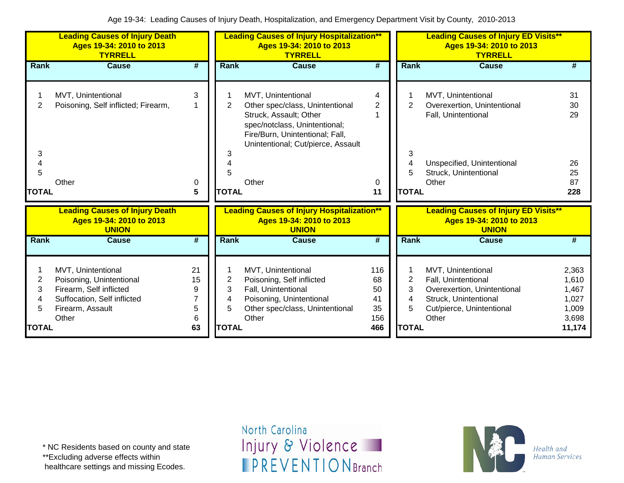|                                  | <b>Leading Causes of Injury Death</b><br>Ages 19-34: 2010 to 2013<br><b>TYRRELL</b>                                                   |                                    |                                          | <b>Leading Causes of Injury Hospitalization**</b><br>Ages 19-34: 2010 to 2013<br><b>TYRRELL</b>                                                                                                    |                                           |                                          | <b>Leading Causes of Injury ED Visits**</b><br>Ages 19-34: 2010 to 2013<br><b>TYRRELL</b>                                                |                                                              |  |  |
|----------------------------------|---------------------------------------------------------------------------------------------------------------------------------------|------------------------------------|------------------------------------------|----------------------------------------------------------------------------------------------------------------------------------------------------------------------------------------------------|-------------------------------------------|------------------------------------------|------------------------------------------------------------------------------------------------------------------------------------------|--------------------------------------------------------------|--|--|
| <b>Rank</b>                      | Cause                                                                                                                                 | #                                  | <b>Rank</b>                              | Cause                                                                                                                                                                                              | #                                         | <b>Rank</b>                              | Cause                                                                                                                                    | #                                                            |  |  |
| 2<br>3<br>4<br>5<br><b>TOTAL</b> | MVT, Unintentional<br>Poisoning, Self inflicted; Firearm,<br>Other                                                                    | 3<br>1<br>0<br>5                   | $\overline{2}$<br>3<br>5<br><b>TOTAL</b> | MVT, Unintentional<br>Other spec/class, Unintentional<br>Struck, Assault; Other<br>spec/notclass, Unintentional;<br>Fire/Burn, Unintentional; Fall,<br>Unintentional; Cut/pierce, Assault<br>Other | 4<br>2<br>0<br>11                         | $\overline{2}$<br>3<br>4<br><b>TOTAL</b> | MVT, Unintentional<br>Overexertion, Unintentional<br>Fall, Unintentional<br>Unspecified, Unintentional<br>Struck, Unintentional<br>Other | 31<br>30<br>29<br>26<br>25<br>87<br>228                      |  |  |
|                                  | <b>Leading Causes of Injury Death</b><br>Ages 19-34: 2010 to 2013<br><b>UNION</b>                                                     |                                    |                                          | <b>Leading Causes of Injury Hospitalization**</b><br>Ages 19-34: 2010 to 2013<br><b>UNION</b>                                                                                                      |                                           |                                          | <b>Leading Causes of Injury ED Visits**</b><br>Ages 19-34: 2010 to 2013<br><b>UNION</b>                                                  |                                                              |  |  |
| Rank                             | <b>Cause</b>                                                                                                                          | $\overline{\boldsymbol{t}}$        | Rank                                     | <b>Cause</b>                                                                                                                                                                                       | $\overline{\boldsymbol{t}}$               | Rank                                     | <b>Cause</b>                                                                                                                             | #                                                            |  |  |
| 2<br>3<br>4<br>5<br><b>TOTAL</b> | MVT, Unintentional<br>Poisoning, Unintentional<br>Firearm, Self inflicted<br>Suffocation, Self inflicted<br>Firearm, Assault<br>Other | 21<br>15<br>9<br>7<br>5<br>6<br>63 | 2<br>3<br>4<br>5<br><b>TOTAL</b>         | MVT, Unintentional<br>Poisoning, Self inflicted<br>Fall, Unintentional<br>Poisoning, Unintentional<br>Other spec/class, Unintentional<br>Other                                                     | 116<br>68<br>50<br>41<br>35<br>156<br>466 | 2<br>3<br>4<br>5<br><b>TOTAL</b>         | MVT, Unintentional<br>Fall, Unintentional<br>Overexertion, Unintentional<br>Struck, Unintentional<br>Cut/pierce, Unintentional<br>Other  | 2,363<br>1,610<br>1,467<br>1,027<br>1,009<br>3,698<br>11,174 |  |  |

\*\*Excluding adverse effects within

healthcare settings and missing Ecodes.

North Carolina Injury & Violence **IPREVENTIONBranch** 

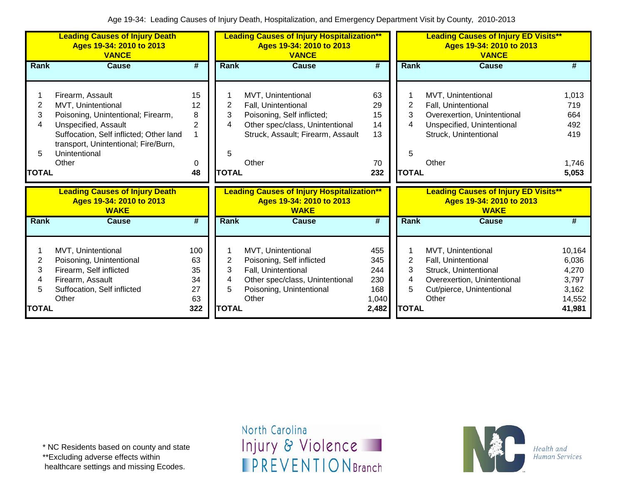|                                  | <b>Leading Causes of Injury Death</b><br>Ages 19-34: 2010 to 2013<br><b>VANCE</b>                                                                                                                                 |                                          | <b>Leading Causes of Injury Hospitalization**</b><br>Ages 19-34: 2010 to 2013<br><b>VANCE</b> |                                                                                                                                                          |                                                   | <b>Leading Causes of Injury ED Visits**</b><br>Ages 19-34: 2010 to 2013<br><b>VANCE</b> |                                                                                                                                          |                                                                |  |
|----------------------------------|-------------------------------------------------------------------------------------------------------------------------------------------------------------------------------------------------------------------|------------------------------------------|-----------------------------------------------------------------------------------------------|----------------------------------------------------------------------------------------------------------------------------------------------------------|---------------------------------------------------|-----------------------------------------------------------------------------------------|------------------------------------------------------------------------------------------------------------------------------------------|----------------------------------------------------------------|--|
| <b>Rank</b>                      | <b>Cause</b>                                                                                                                                                                                                      | #                                        | Rank                                                                                          | <b>Cause</b>                                                                                                                                             | #                                                 | Rank                                                                                    | Cause                                                                                                                                    | #                                                              |  |
| 2<br>3<br>4<br>5<br><b>TOTAL</b> | Firearm, Assault<br>MVT, Unintentional<br>Poisoning, Unintentional; Firearm,<br>Unspecified, Assault<br>Suffocation, Self inflicted; Other land<br>transport, Unintentional; Fire/Burn,<br>Unintentional<br>Other | 15<br>12<br>8<br>2<br>0<br>48            | 2<br>3<br>4<br>5<br><b>TOTAL</b>                                                              | MVT, Unintentional<br>Fall, Unintentional<br>Poisoning, Self inflicted;<br>Other spec/class, Unintentional<br>Struck, Assault; Firearm, Assault<br>Other | 63<br>29<br>15<br>14<br>13<br>70<br>232           | 2<br>3<br>4<br>5<br><b>TOTAL</b>                                                        | MVT, Unintentional<br>Fall, Unintentional<br>Overexertion, Unintentional<br>Unspecified, Unintentional<br>Struck, Unintentional<br>Other | 1,013<br>719<br>664<br>492<br>419<br>1,746<br>5,053            |  |
|                                  | <b>Leading Causes of Injury Death</b><br>Ages 19-34: 2010 to 2013<br><b>WAKE</b>                                                                                                                                  |                                          |                                                                                               | <b>Leading Causes of Injury Hospitalization**</b><br>Ages 19-34: 2010 to 2013<br><b>WAKE</b>                                                             |                                                   |                                                                                         | <b>Leading Causes of Injury ED Visits**</b><br>Ages 19-34: 2010 to 2013<br><b>WAKE</b>                                                   |                                                                |  |
| <b>Rank</b>                      | <b>Cause</b>                                                                                                                                                                                                      | #                                        | Rank                                                                                          | <b>Cause</b>                                                                                                                                             | #                                                 | Rank                                                                                    | <b>Cause</b>                                                                                                                             | #                                                              |  |
| 2<br>3<br>4<br>5<br><b>TOTAL</b> | MVT, Unintentional<br>Poisoning, Unintentional<br>Firearm, Self inflicted<br>Firearm, Assault<br>Suffocation, Self inflicted<br>Other                                                                             | 100<br>63<br>35<br>34<br>27<br>63<br>322 | 2<br>3<br>4<br>5<br><b>TOTAL</b>                                                              | MVT, Unintentional<br>Poisoning, Self inflicted<br>Fall, Unintentional<br>Other spec/class, Unintentional<br>Poisoning, Unintentional<br>Other           | 455<br>345<br>244<br>230<br>168<br>1,040<br>2,482 | $\overline{2}$<br>3<br>4<br>5<br><b>TOTAL</b>                                           | MVT, Unintentional<br>Fall, Unintentional<br>Struck, Unintentional<br>Overexertion, Unintentional<br>Cut/pierce, Unintentional<br>Other  | 10,164<br>6,036<br>4,270<br>3,797<br>3,162<br>14,552<br>41,981 |  |

\* NC Residents based on county and state

\*\*Excluding adverse effects within

healthcare settings and missing Ecodes.

North Carolina Injury & Violence **IPREVENTIONBranch** 

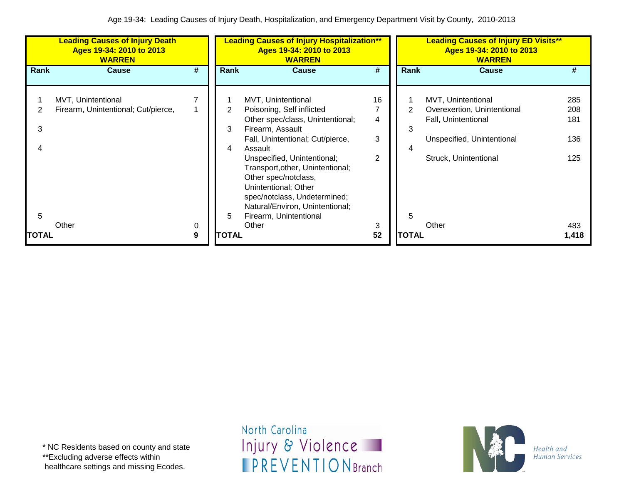|       | <b>Leading Causes of Injury Death</b><br>Ages 19-34: 2010 to 2013<br><b>WARREN</b> |        | <b>Leading Causes of Injury Hospitalization**</b><br>Ages 19-34: 2010 to 2013<br><b>WARREN</b> |                                                                                                                                                                                                              |                |              | <b>Leading Causes of Injury ED Visits**</b><br>Ages 19-34: 2010 to 2013<br><b>WARREN</b> |                   |  |
|-------|------------------------------------------------------------------------------------|--------|------------------------------------------------------------------------------------------------|--------------------------------------------------------------------------------------------------------------------------------------------------------------------------------------------------------------|----------------|--------------|------------------------------------------------------------------------------------------|-------------------|--|
| Rank  | <b>Cause</b>                                                                       | #      | Rank                                                                                           | <b>Cause</b>                                                                                                                                                                                                 | #              | <b>Rank</b>  | <b>Cause</b>                                                                             | #                 |  |
|       | MVT, Unintentional<br>Firearm, Unintentional; Cut/pierce,                          |        | 2<br>3                                                                                         | MVT, Unintentional<br>Poisoning, Self inflicted<br>Other spec/class, Unintentional;                                                                                                                          | 16<br>4        |              | MVT, Unintentional<br>Overexertion, Unintentional<br>Fall, Unintentional                 | 285<br>208<br>181 |  |
| 3     |                                                                                    |        | 4                                                                                              | Firearm, Assault<br>Fall, Unintentional; Cut/pierce,<br>Assault                                                                                                                                              | 3              | 3            | Unspecified, Unintentional                                                               | 136               |  |
| 5     |                                                                                    |        | 5                                                                                              | Unspecified, Unintentional;<br>Transport, other, Unintentional;<br>Other spec/notclass,<br>Unintentional; Other<br>spec/notclass, Undetermined;<br>Natural/Environ, Unintentional;<br>Firearm, Unintentional | $\mathfrak{p}$ | 5            | Struck, Unintentional                                                                    | 125               |  |
| TOTAL | Other                                                                              | 0<br>9 | <b>TOTAL</b>                                                                                   | Other                                                                                                                                                                                                        | 3<br>52        | <b>TOTAL</b> | Other                                                                                    | 483<br>1,418      |  |

\* NC Residents based on county and state \*\*Excluding adverse effects within healthcare settings and missing Ecodes.

North Carolina Injury & Violence **IPREVENTIONBranch** 

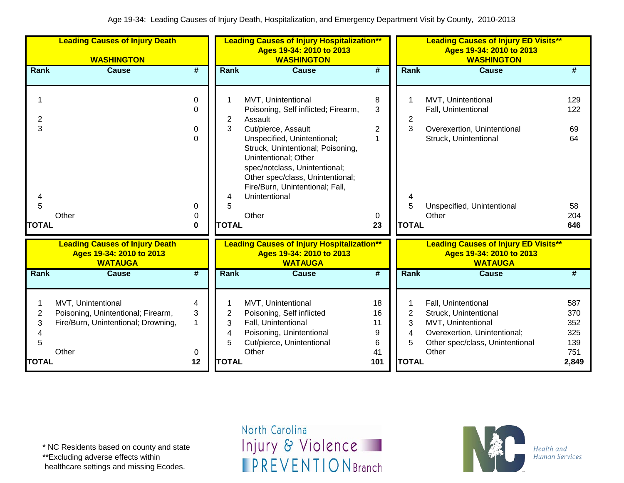|                  | <b>Leading Causes of Injury Death</b><br><b>WASHINGTON</b>                                      |             | <b>Leading Causes of Injury Hospitalization**</b><br>Ages 19-34: 2010 to 2013<br><b>WASHINGTON</b><br><b>WASHINGTON</b> |                                                                                                                                                                                                  |                          |                  | <b>Leading Causes of Injury ED Visits**</b><br>Ages 19-34: 2010 to 2013                                                               |                                 |
|------------------|-------------------------------------------------------------------------------------------------|-------------|-------------------------------------------------------------------------------------------------------------------------|--------------------------------------------------------------------------------------------------------------------------------------------------------------------------------------------------|--------------------------|------------------|---------------------------------------------------------------------------------------------------------------------------------------|---------------------------------|
| Rank             | <b>Cause</b>                                                                                    | #           | <b>Rank</b>                                                                                                             | <b>Cause</b>                                                                                                                                                                                     | #                        | Rank             | <b>Cause</b>                                                                                                                          | #                               |
|                  |                                                                                                 | 0           | 1                                                                                                                       | MVT, Unintentional                                                                                                                                                                               | 8                        |                  | MVT, Unintentional                                                                                                                    | 129                             |
| 2                |                                                                                                 | $\Omega$    | 2                                                                                                                       | Poisoning, Self inflicted; Firearm,<br>Assault                                                                                                                                                   | 3                        | 2                | Fall, Unintentional                                                                                                                   | 122                             |
| 3                |                                                                                                 | 0           | 3                                                                                                                       | Cut/pierce, Assault                                                                                                                                                                              | 2                        | 3                | Overexertion, Unintentional                                                                                                           | 69                              |
|                  |                                                                                                 | $\Omega$    |                                                                                                                         | Unspecified, Unintentional;<br>Struck, Unintentional; Poisoning,<br>Unintentional; Other<br>spec/notclass, Unintentional;<br>Other spec/class, Unintentional;<br>Fire/Burn, Unintentional; Fall, | 1                        |                  | Struck, Unintentional                                                                                                                 | 64                              |
| 4<br>5           |                                                                                                 | 0           | 4<br>5                                                                                                                  | Unintentional                                                                                                                                                                                    |                          | 5                | Unspecified, Unintentional                                                                                                            | 58                              |
|                  | Other                                                                                           | 0           |                                                                                                                         | Other                                                                                                                                                                                            | 0                        |                  | Other                                                                                                                                 | 204                             |
| <b>TOTAL</b>     |                                                                                                 | 0           | <b>TOTAL</b>                                                                                                            |                                                                                                                                                                                                  | 23                       | <b>TOTAL</b>     |                                                                                                                                       | 646                             |
|                  | <b>Leading Causes of Injury Death</b><br>Ages 19-34: 2010 to 2013<br><b>WATAUGA</b>             |             |                                                                                                                         | <b>Leading Causes of Injury Hospitalization**</b><br>Ages 19-34: 2010 to 2013<br><b>WATAUGA</b>                                                                                                  |                          |                  | <b>Leading Causes of Injury ED Visits**</b><br>Ages 19-34: 2010 to 2013<br><b>WATAUGA</b>                                             |                                 |
| <b>Rank</b>      | <b>Cause</b>                                                                                    | #           | Rank                                                                                                                    | <b>Cause</b>                                                                                                                                                                                     | #                        | Rank             | <b>Cause</b>                                                                                                                          | #                               |
| 2<br>3<br>4<br>5 | MVT, Unintentional<br>Poisoning, Unintentional; Firearm,<br>Fire/Burn, Unintentional; Drowning, | 4<br>3<br>1 | 2<br>3<br>4<br>5                                                                                                        | MVT, Unintentional<br>Poisoning, Self inflicted<br>Fall, Unintentional<br>Poisoning, Unintentional<br>Cut/pierce, Unintentional                                                                  | 18<br>16<br>11<br>9<br>6 | 2<br>3<br>4<br>5 | Fall, Unintentional<br>Struck, Unintentional<br>MVT, Unintentional<br>Overexertion, Unintentional;<br>Other spec/class, Unintentional | 587<br>370<br>352<br>325<br>139 |
|                  | Other                                                                                           | 0           |                                                                                                                         | Other                                                                                                                                                                                            | 41                       |                  | Other                                                                                                                                 | 751                             |
| <b>TOTAL</b>     |                                                                                                 | 12          | <b>TOTAL</b>                                                                                                            |                                                                                                                                                                                                  | 101                      | <b>TOTAL</b>     |                                                                                                                                       | 2,849                           |

\* NC Residents based on county and state

\*\*Excluding adverse effects within

healthcare settings and missing Ecodes.

North Carolina Injury & Violence **IPREVENTIONBranch** 

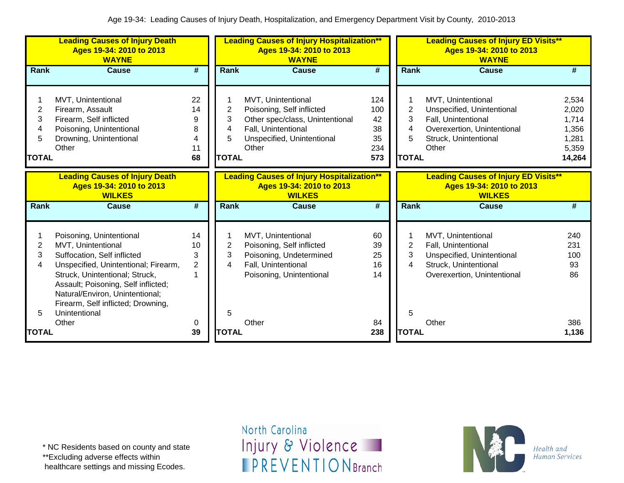| <b>Leading Causes of Injury Death</b><br>Ages 19-34: 2010 to 2013<br><b>WAYNE</b> |                                                                                                                                                                                                                                                                                          |                                      |                                  | <b>Leading Causes of Injury Hospitalization**</b><br>Ages 19-34: 2010 to 2013<br><b>WAYNE</b>                                                    |                                            |                                               | <b>Leading Causes of Injury ED Visits**</b><br>Ages 19-34: 2010 to 2013<br><b>WAYNE</b>                                                  |                                                              |  |  |
|-----------------------------------------------------------------------------------|------------------------------------------------------------------------------------------------------------------------------------------------------------------------------------------------------------------------------------------------------------------------------------------|--------------------------------------|----------------------------------|--------------------------------------------------------------------------------------------------------------------------------------------------|--------------------------------------------|-----------------------------------------------|------------------------------------------------------------------------------------------------------------------------------------------|--------------------------------------------------------------|--|--|
| Rank                                                                              | <b>Cause</b>                                                                                                                                                                                                                                                                             | #                                    | Rank                             | <b>Cause</b>                                                                                                                                     | #                                          | Rank                                          | <b>Cause</b>                                                                                                                             | #                                                            |  |  |
| $\overline{2}$<br>3<br>4<br>5<br><b>TOTAL</b>                                     | MVT, Unintentional<br>Firearm, Assault<br>Firearm, Self inflicted<br>Poisoning, Unintentional<br>Drowning, Unintentional<br>Other                                                                                                                                                        | 22<br>14<br>9<br>8<br>4<br>11<br>68  | 2<br>3<br>4<br>5<br><b>TOTAL</b> | MVT, Unintentional<br>Poisoning, Self inflicted<br>Other spec/class, Unintentional<br>Fall, Unintentional<br>Unspecified, Unintentional<br>Other | 124<br>100<br>42<br>38<br>35<br>234<br>573 | $\overline{2}$<br>3<br>4<br>5<br><b>TOTAL</b> | MVT, Unintentional<br>Unspecified, Unintentional<br>Fall, Unintentional<br>Overexertion, Unintentional<br>Struck, Unintentional<br>Other | 2,534<br>2,020<br>1,714<br>1,356<br>1,281<br>5,359<br>14,264 |  |  |
|                                                                                   | <b>Leading Causes of Injury Death</b><br>Ages 19-34: 2010 to 2013<br><b>WILKES</b>                                                                                                                                                                                                       |                                      |                                  | <b>Leading Causes of Injury Hospitalization**</b><br>Ages 19-34: 2010 to 2013<br><b>WILKES</b>                                                   |                                            |                                               | <b>Leading Causes of Injury ED Visits**</b><br>Ages 19-34: 2010 to 2013<br><b>WILKES</b>                                                 |                                                              |  |  |
| Rank                                                                              | <b>Cause</b>                                                                                                                                                                                                                                                                             | $\overline{\#}$                      | Rank                             | <b>Cause</b>                                                                                                                                     | $\overline{\boldsymbol{t}}$                | Rank                                          | <b>Cause</b>                                                                                                                             | #                                                            |  |  |
| 2<br>3<br>4<br>5                                                                  | Poisoning, Unintentional<br>MVT, Unintentional<br>Suffocation, Self inflicted<br>Unspecified, Unintentional; Firearm,<br>Struck, Unintentional; Struck,<br>Assault; Poisoning, Self inflicted;<br>Natural/Environ, Unintentional;<br>Firearm, Self inflicted; Drowning,<br>Unintentional | 14<br>10<br>3<br>$\overline{2}$<br>1 | 2<br>3<br>4<br>5                 | MVT, Unintentional<br>Poisoning, Self inflicted<br>Poisoning, Undetermined<br>Fall, Unintentional<br>Poisoning, Unintentional                    | 60<br>39<br>25<br>16<br>14                 | 2<br>3<br>4<br>5                              | MVT, Unintentional<br>Fall, Unintentional<br>Unspecified, Unintentional<br>Struck, Unintentional<br>Overexertion, Unintentional          | 240<br>231<br>100<br>93<br>86                                |  |  |
| <b>TOTAL</b>                                                                      | Other                                                                                                                                                                                                                                                                                    | 0<br>39                              | <b>TOTAL</b>                     | Other                                                                                                                                            | 84<br>238                                  | <b>TOTAL</b>                                  | Other                                                                                                                                    | 386<br>1,136                                                 |  |  |

\*\*Excluding adverse effects within

healthcare settings and missing Ecodes.

North Carolina Injury & Violence **IPREVENTIONBranch** 

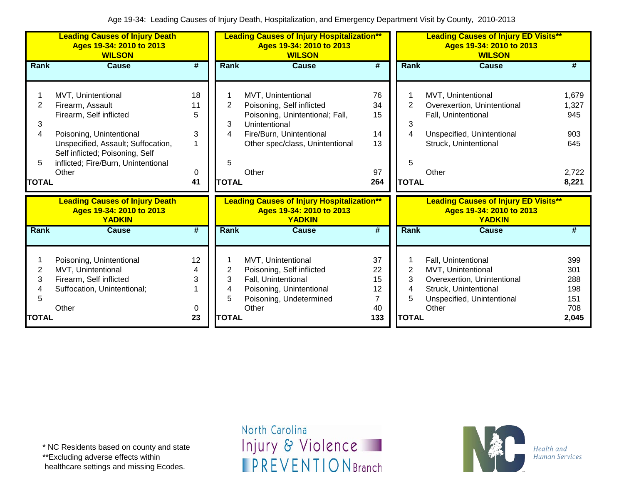| <b>Leading Causes of Injury Death</b><br>Ages 19-34: 2010 to 2013<br><b>WILSON</b> |                                                                                                                                                                                                                        |                               |                                  | <b>Leading Causes of Injury Hospitalization**</b><br>Ages 19-34: 2010 to 2013<br><b>WILSON</b>                                                                              |                                         |                                               | <b>Leading Causes of Injury ED Visits**</b><br>Ages 19-34: 2010 to 2013<br><b>WILSON</b>                                                 |                                                       |  |  |
|------------------------------------------------------------------------------------|------------------------------------------------------------------------------------------------------------------------------------------------------------------------------------------------------------------------|-------------------------------|----------------------------------|-----------------------------------------------------------------------------------------------------------------------------------------------------------------------------|-----------------------------------------|-----------------------------------------------|------------------------------------------------------------------------------------------------------------------------------------------|-------------------------------------------------------|--|--|
| Rank                                                                               | <b>Cause</b>                                                                                                                                                                                                           | $\overline{\boldsymbol{r}}$   | Rank                             | <b>Cause</b>                                                                                                                                                                | $\overline{\boldsymbol{r}}$             | Rank                                          | <b>Cause</b>                                                                                                                             | #                                                     |  |  |
| 2<br>3<br>4<br>5<br>TOTAL                                                          | MVT, Unintentional<br>Firearm, Assault<br>Firearm, Self inflicted<br>Poisoning, Unintentional<br>Unspecified, Assault; Suffocation,<br>Self inflicted; Poisoning, Self<br>inflicted; Fire/Burn, Unintentional<br>Other | 18<br>11<br>5<br>3<br>0<br>41 | 2<br>3<br>4<br>5<br><b>TOTAL</b> | MVT, Unintentional<br>Poisoning, Self inflicted<br>Poisoning, Unintentional; Fall,<br>Unintentional<br>Fire/Burn, Unintentional<br>Other spec/class, Unintentional<br>Other | 76<br>34<br>15<br>14<br>13<br>97<br>264 | $\overline{2}$<br>3<br>4<br>5<br><b>TOTAL</b> | MVT, Unintentional<br>Overexertion, Unintentional<br>Fall, Unintentional<br>Unspecified, Unintentional<br>Struck, Unintentional<br>Other | 1,679<br>1,327<br>945<br>903<br>645<br>2,722<br>8,221 |  |  |
|                                                                                    | <b>Leading Causes of Injury Death</b><br>Ages 19-34: 2010 to 2013<br><b>YADKIN</b>                                                                                                                                     |                               |                                  | <b>Leading Causes of Injury Hospitalization**</b><br>Ages 19-34: 2010 to 2013<br><b>YADKIN</b>                                                                              |                                         |                                               | <b>Leading Causes of Injury ED Visits**</b><br>Ages 19-34: 2010 to 2013<br><b>YADKIN</b>                                                 |                                                       |  |  |
| <b>Rank</b>                                                                        | <b>Cause</b>                                                                                                                                                                                                           | $\overline{\#}$               | <b>Rank</b>                      | <b>Cause</b>                                                                                                                                                                | #                                       | Rank                                          | <b>Cause</b>                                                                                                                             | #                                                     |  |  |
| 2<br>3<br>5<br><b>TOTAL</b>                                                        | Poisoning, Unintentional<br>MVT, Unintentional<br>Firearm, Self inflicted<br>Suffocation, Unintentional;<br>Other                                                                                                      | 12<br>3<br>0<br>23            | 2<br>3<br>4<br>5<br><b>TOTAL</b> | MVT, Unintentional<br>Poisoning, Self inflicted<br>Fall, Unintentional<br>Poisoning, Unintentional<br>Poisoning, Undetermined<br>Other                                      | 37<br>22<br>15<br>12<br>7<br>40<br>133  | 2<br>3<br>4<br>5<br><b>TOTAL</b>              | Fall, Unintentional<br>MVT, Unintentional<br>Overexertion, Unintentional<br>Struck, Unintentional<br>Unspecified, Unintentional<br>Other | 399<br>301<br>288<br>198<br>151<br>708<br>2,045       |  |  |

\* NC Residents based on county and state

\*\*Excluding adverse effects within

healthcare settings and missing Ecodes.

North Carolina Injury & Violence **IPREVENTIONBranch**